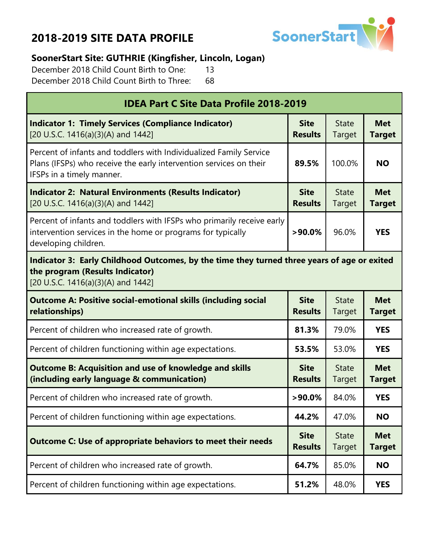

#### **SoonerStart Site: GUTHRIE (Kingfisher, Lincoln, Logan)**

December 2018 Child Count Birth to One: 13 December 2018 Child Count Birth to Three: 68

| <b>IDEA Part C Site Data Profile 2018-2019</b>                                                                                                                        |                               |                        |                             |  |  |
|-----------------------------------------------------------------------------------------------------------------------------------------------------------------------|-------------------------------|------------------------|-----------------------------|--|--|
| <b>Indicator 1: Timely Services (Compliance Indicator)</b><br>[20 U.S.C. 1416(a)(3)(A) and 1442]                                                                      | <b>Site</b><br><b>Results</b> | <b>State</b><br>Target | <b>Met</b><br><b>Target</b> |  |  |
| Percent of infants and toddlers with Individualized Family Service<br>Plans (IFSPs) who receive the early intervention services on their<br>IFSPs in a timely manner. | 100.0%                        | <b>NO</b>              |                             |  |  |
| <b>Indicator 2: Natural Environments (Results Indicator)</b><br>[20 U.S.C. 1416(a)(3)(A) and 1442]                                                                    | <b>Site</b><br><b>Results</b> | <b>State</b><br>Target | <b>Met</b><br><b>Target</b> |  |  |
| Percent of infants and toddlers with IFSPs who primarily receive early<br>intervention services in the home or programs for typically<br>developing children.         | 96.0%                         | <b>YES</b>             |                             |  |  |
| Indicator 3: Early Childhood Outcomes, by the time they turned three years of age or exited<br>the program (Results Indicator)<br>[20 U.S.C. 1416(a)(3)(A) and 1442]  |                               |                        |                             |  |  |
| <b>Outcome A: Positive social-emotional skills (including social</b><br>relationships)                                                                                | <b>Site</b><br><b>Results</b> | <b>State</b><br>Target | <b>Met</b><br><b>Target</b> |  |  |
| Percent of children who increased rate of growth.                                                                                                                     | 81.3%                         | 79.0%                  | <b>YES</b>                  |  |  |
| Percent of children functioning within age expectations.                                                                                                              | 53.5%                         | 53.0%                  | <b>YES</b>                  |  |  |
| <b>Outcome B: Acquisition and use of knowledge and skills</b><br>(including early language & communication)                                                           | <b>Site</b><br><b>Results</b> | <b>State</b><br>Target | <b>Met</b><br><b>Target</b> |  |  |
| Percent of children who increased rate of growth.                                                                                                                     | $>90.0\%$                     | 84.0%                  | <b>YES</b>                  |  |  |
| Percent of children functioning within age expectations.                                                                                                              | 44.2%                         | 47.0%                  | <b>NO</b>                   |  |  |
| <b>Outcome C: Use of appropriate behaviors to meet their needs</b>                                                                                                    | <b>Site</b><br><b>Results</b> | <b>State</b><br>Target | <b>Met</b><br><b>Target</b> |  |  |
| Percent of children who increased rate of growth.                                                                                                                     | 64.7%                         | 85.0%                  | <b>NO</b>                   |  |  |
| Percent of children functioning within age expectations.                                                                                                              | 51.2%                         | 48.0%                  | <b>YES</b>                  |  |  |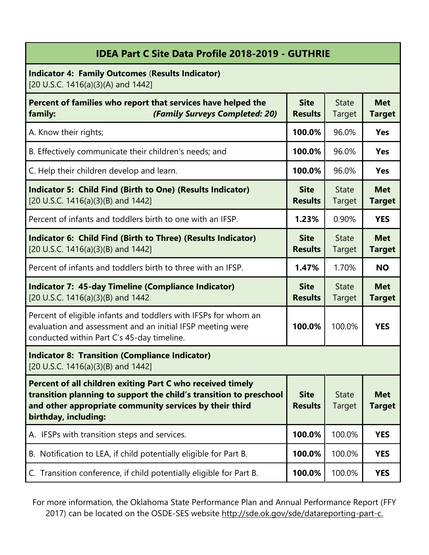| <b>IDEA Part C Site Data Profile 2018-2019 - GUTHRIE</b>                                                                                                                                                            |                               |                               |                             |
|---------------------------------------------------------------------------------------------------------------------------------------------------------------------------------------------------------------------|-------------------------------|-------------------------------|-----------------------------|
| <b>Indicator 4: Family Outcomes (Results Indicator)</b><br>[20 U.S.C. 1416(a)(3)(A) and 1442]                                                                                                                       |                               |                               |                             |
| Percent of families who report that services have helped the<br>(Family Surveys Completed: 20)<br>family:                                                                                                           | <b>Site</b><br><b>Results</b> | <b>State</b><br><b>Target</b> | <b>Met</b><br><b>Target</b> |
| A. Know their rights;                                                                                                                                                                                               | 100.0%                        | 96.0%                         | Yes                         |
| B. Effectively communicate their children's needs; and                                                                                                                                                              | 100.0%                        | 96.0%                         | Yes                         |
| C. Help their children develop and learn.                                                                                                                                                                           | 100.0%                        | 96.0%                         | <b>Yes</b>                  |
| <b>Indicator 5: Child Find (Birth to One) (Results Indicator)</b><br>[20 U.S.C. 1416(a)(3)(B) and 1442]                                                                                                             | <b>Site</b><br><b>Results</b> | <b>State</b><br>Target        | <b>Met</b><br><b>Target</b> |
| Percent of infants and toddlers birth to one with an IFSP.                                                                                                                                                          | 1.23%                         | 0.90%                         | <b>YES</b>                  |
| Indicator 6: Child Find (Birth to Three) (Results Indicator)<br>[20 U.S.C. 1416(a)(3)(B) and 1442]                                                                                                                  | <b>Site</b><br><b>Results</b> | <b>State</b><br>Target        | <b>Met</b><br><b>Target</b> |
| Percent of infants and toddlers birth to three with an IFSP.                                                                                                                                                        | 1.47%                         | 1.70%                         | <b>NO</b>                   |
| <b>Indicator 7: 45-day Timeline (Compliance Indicator)</b><br>[20 U.S.C. 1416(a)(3)(B) and 1442                                                                                                                     | <b>Site</b><br><b>Results</b> | <b>State</b><br>Target        | <b>Met</b><br><b>Target</b> |
| Percent of eligible infants and toddlers with IFSPs for whom an<br>evaluation and assessment and an initial IFSP meeting were<br>conducted within Part C's 45-day timeline.                                         | 100.0%                        | 100.0%                        | <b>YES</b>                  |
| <b>Indicator 8: Transition (Compliance Indicator)</b><br>[20 U.S.C. 1416(a)(3)(B) and 1442]                                                                                                                         |                               |                               |                             |
| Percent of all children exiting Part C who received timely<br>transition planning to support the child's transition to preschool<br>and other appropriate community services by their third<br>birthday, including: | <b>Site</b><br><b>Results</b> | <b>State</b><br>Target        | <b>Met</b><br><b>Target</b> |
| A. IFSPs with transition steps and services.                                                                                                                                                                        | 100.0%                        | 100.0%                        | <b>YES</b>                  |
| B. Notification to LEA, if child potentially eligible for Part B.                                                                                                                                                   | 100.0%                        | 100.0%                        | <b>YES</b>                  |
| C. Transition conference, if child potentially eligible for Part B.                                                                                                                                                 | 100.0%                        | 100.0%                        | <b>YES</b>                  |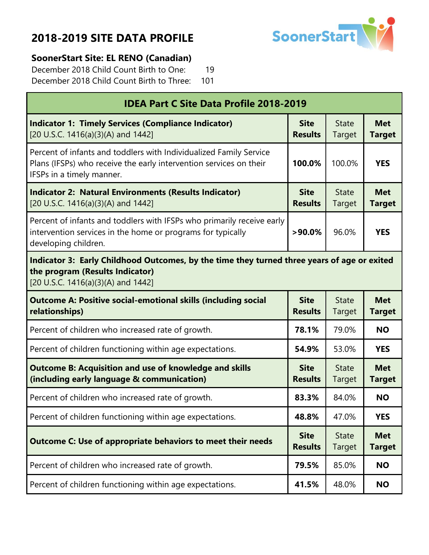

#### **SoonerStart Site: EL RENO (Canadian)**

Г

December 2018 Child Count Birth to One: 19 December 2018 Child Count Birth to Three: 101

| <b>IDEA Part C Site Data Profile 2018-2019</b>                                                                                                                        |                               |                        |                             |
|-----------------------------------------------------------------------------------------------------------------------------------------------------------------------|-------------------------------|------------------------|-----------------------------|
| <b>Indicator 1: Timely Services (Compliance Indicator)</b><br>[20 U.S.C. 1416(a)(3)(A) and 1442]                                                                      | <b>Site</b><br><b>Results</b> | <b>State</b><br>Target | <b>Met</b><br><b>Target</b> |
| Percent of infants and toddlers with Individualized Family Service<br>Plans (IFSPs) who receive the early intervention services on their<br>IFSPs in a timely manner. | 100.0%                        | 100.0%                 | <b>YES</b>                  |
| <b>Indicator 2: Natural Environments (Results Indicator)</b><br>[20 U.S.C. 1416(a)(3)(A) and 1442]                                                                    | <b>Site</b><br><b>Results</b> | <b>State</b><br>Target | <b>Met</b><br><b>Target</b> |
| Percent of infants and toddlers with IFSPs who primarily receive early<br>intervention services in the home or programs for typically<br>developing children.         | $>90.0\%$                     | 96.0%                  | <b>YES</b>                  |
| Indicator 3: Early Childhood Outcomes, by the time they turned three years of age or exited<br>the program (Results Indicator)<br>[20 U.S.C. 1416(a)(3)(A) and 1442]  |                               |                        |                             |
| <b>Outcome A: Positive social-emotional skills (including social</b><br>relationships)                                                                                | <b>Site</b><br><b>Results</b> | <b>State</b><br>Target | <b>Met</b><br><b>Target</b> |
| Percent of children who increased rate of growth.                                                                                                                     | 78.1%                         | 79.0%                  | <b>NO</b>                   |
| Percent of children functioning within age expectations.                                                                                                              | 54.9%                         | 53.0%                  | <b>YES</b>                  |
| <b>Outcome B: Acquisition and use of knowledge and skills</b><br>(including early language & communication)                                                           | <b>Site</b><br><b>Results</b> | <b>State</b><br>Target | <b>Met</b><br><b>Target</b> |
| Percent of children who increased rate of growth.                                                                                                                     | 83.3%                         | 84.0%                  | <b>NO</b>                   |
| Percent of children functioning within age expectations.                                                                                                              | 48.8%                         | 47.0%                  | <b>YES</b>                  |
| <b>Outcome C: Use of appropriate behaviors to meet their needs</b>                                                                                                    | <b>Site</b><br><b>Results</b> | <b>State</b><br>Target | <b>Met</b><br><b>Target</b> |
| Percent of children who increased rate of growth.                                                                                                                     | 79.5%                         | 85.0%                  | <b>NO</b>                   |
| Percent of children functioning within age expectations.                                                                                                              | 41.5%                         | 48.0%                  | <b>NO</b>                   |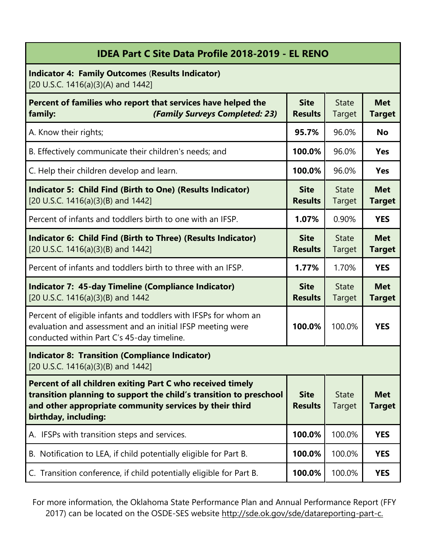| <b>IDEA Part C Site Data Profile 2018-2019 - EL RENO</b>                                                                                                                                                            |                               |                               |                             |
|---------------------------------------------------------------------------------------------------------------------------------------------------------------------------------------------------------------------|-------------------------------|-------------------------------|-----------------------------|
| <b>Indicator 4: Family Outcomes (Results Indicator)</b><br>[20 U.S.C. 1416(a)(3)(A) and 1442]                                                                                                                       |                               |                               |                             |
| Percent of families who report that services have helped the<br>(Family Surveys Completed: 23)<br>family:                                                                                                           | <b>Site</b><br><b>Results</b> | <b>State</b><br>Target        | <b>Met</b><br><b>Target</b> |
| A. Know their rights;                                                                                                                                                                                               | 95.7%                         | 96.0%                         | <b>No</b>                   |
| B. Effectively communicate their children's needs; and                                                                                                                                                              | 100.0%                        | 96.0%                         | <b>Yes</b>                  |
| C. Help their children develop and learn.                                                                                                                                                                           | 100.0%                        | 96.0%                         | <b>Yes</b>                  |
| Indicator 5: Child Find (Birth to One) (Results Indicator)<br>[20 U.S.C. 1416(a)(3)(B) and 1442]                                                                                                                    | <b>Site</b><br><b>Results</b> | <b>State</b><br><b>Target</b> | <b>Met</b><br><b>Target</b> |
| Percent of infants and toddlers birth to one with an IFSP.                                                                                                                                                          | 1.07%                         | 0.90%                         | <b>YES</b>                  |
| Indicator 6: Child Find (Birth to Three) (Results Indicator)<br>[20 U.S.C. 1416(a)(3)(B) and 1442]                                                                                                                  | <b>Site</b><br><b>Results</b> | <b>State</b><br><b>Target</b> | <b>Met</b><br><b>Target</b> |
| Percent of infants and toddlers birth to three with an IFSP.                                                                                                                                                        | 1.77%                         | 1.70%                         | <b>YES</b>                  |
| <b>Indicator 7: 45-day Timeline (Compliance Indicator)</b><br>[20 U.S.C. 1416(a)(3)(B) and 1442                                                                                                                     | <b>Site</b><br><b>Results</b> | <b>State</b><br><b>Target</b> | <b>Met</b><br><b>Target</b> |
| Percent of eligible infants and toddlers with IFSPs for whom an<br>evaluation and assessment and an initial IFSP meeting were<br>conducted within Part C's 45-day timeline.                                         | 100.0%                        | 100.0%                        | <b>YES</b>                  |
| <b>Indicator 8: Transition (Compliance Indicator)</b><br>[20 U.S.C. 1416(a)(3)(B) and 1442]                                                                                                                         |                               |                               |                             |
| Percent of all children exiting Part C who received timely<br>transition planning to support the child's transition to preschool<br>and other appropriate community services by their third<br>birthday, including: | <b>Site</b><br><b>Results</b> | <b>State</b><br><b>Target</b> | <b>Met</b><br><b>Target</b> |
| A. IFSPs with transition steps and services.                                                                                                                                                                        | 100.0%                        | 100.0%                        | <b>YES</b>                  |
| B. Notification to LEA, if child potentially eligible for Part B.                                                                                                                                                   | 100.0%                        | 100.0%                        | <b>YES</b>                  |
| C. Transition conference, if child potentially eligible for Part B.                                                                                                                                                 | 100.0%                        | 100.0%                        | <b>YES</b>                  |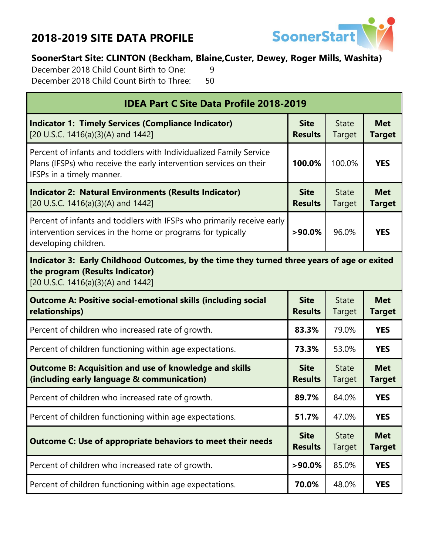

#### **SoonerStart Site: CLINTON (Beckham, Blaine,Custer, Dewey, Roger Mills, Washita)**

December 2018 Child Count Birth to One: 9 December 2018 Child Count Birth to Three: 50

| <b>IDEA Part C Site Data Profile 2018-2019</b>                                                                                                                        |                               |                               |                             |  |  |
|-----------------------------------------------------------------------------------------------------------------------------------------------------------------------|-------------------------------|-------------------------------|-----------------------------|--|--|
| <b>Indicator 1: Timely Services (Compliance Indicator)</b><br>[20 U.S.C. 1416(a)(3)(A) and 1442]                                                                      | <b>Site</b><br><b>Results</b> | <b>State</b><br>Target        | <b>Met</b><br><b>Target</b> |  |  |
| Percent of infants and toddlers with Individualized Family Service<br>Plans (IFSPs) who receive the early intervention services on their<br>IFSPs in a timely manner. | 100.0%                        | <b>YES</b>                    |                             |  |  |
| <b>Indicator 2: Natural Environments (Results Indicator)</b><br>[20 U.S.C. 1416(a)(3)(A) and 1442]                                                                    | <b>Site</b><br><b>Results</b> | <b>State</b><br><b>Target</b> | <b>Met</b><br><b>Target</b> |  |  |
| Percent of infants and toddlers with IFSPs who primarily receive early<br>intervention services in the home or programs for typically<br>developing children.         | 96.0%                         | <b>YES</b>                    |                             |  |  |
| Indicator 3: Early Childhood Outcomes, by the time they turned three years of age or exited<br>the program (Results Indicator)<br>[20 U.S.C. 1416(a)(3)(A) and 1442]  |                               |                               |                             |  |  |
| <b>Outcome A: Positive social-emotional skills (including social</b><br>relationships)                                                                                | <b>Site</b><br><b>Results</b> | <b>State</b><br>Target        | <b>Met</b><br><b>Target</b> |  |  |
| Percent of children who increased rate of growth.                                                                                                                     | 83.3%                         | 79.0%                         | <b>YES</b>                  |  |  |
| Percent of children functioning within age expectations.                                                                                                              | 73.3%                         | 53.0%                         | <b>YES</b>                  |  |  |
| <b>Outcome B: Acquisition and use of knowledge and skills</b><br>(including early language & communication)                                                           | <b>Site</b><br><b>Results</b> | <b>State</b><br>Target        | <b>Met</b><br><b>Target</b> |  |  |
| Percent of children who increased rate of growth.                                                                                                                     | 89.7%                         | 84.0%                         | <b>YES</b>                  |  |  |
| Percent of children functioning within age expectations.                                                                                                              | 51.7%                         | 47.0%                         | <b>YES</b>                  |  |  |
| <b>Outcome C: Use of appropriate behaviors to meet their needs</b>                                                                                                    | <b>Site</b><br><b>Results</b> | <b>State</b><br>Target        | <b>Met</b><br><b>Target</b> |  |  |
| Percent of children who increased rate of growth.                                                                                                                     | $>90.0\%$                     | 85.0%                         | <b>YES</b>                  |  |  |
| Percent of children functioning within age expectations.                                                                                                              | 70.0%                         | 48.0%                         | <b>YES</b>                  |  |  |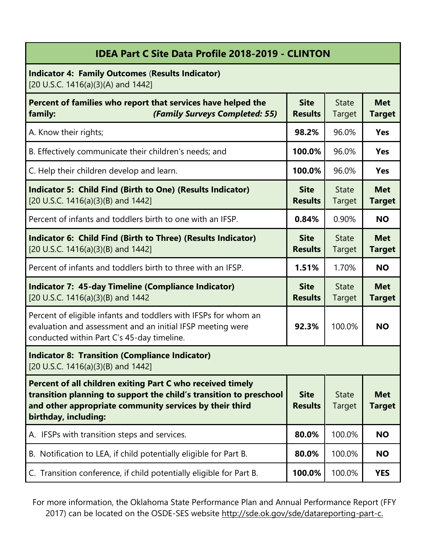| <b>IDEA Part C Site Data Profile 2018-2019 - CLINTON</b>                                                                                                                                                            |                               |                               |                             |  |
|---------------------------------------------------------------------------------------------------------------------------------------------------------------------------------------------------------------------|-------------------------------|-------------------------------|-----------------------------|--|
| <b>Indicator 4: Family Outcomes (Results Indicator)</b><br>[20 U.S.C. 1416(a)(3)(A) and 1442]                                                                                                                       |                               |                               |                             |  |
| Percent of families who report that services have helped the<br>(Family Surveys Completed: 55)<br>family:                                                                                                           | <b>Site</b><br><b>Results</b> | <b>State</b><br>Target        | <b>Met</b><br><b>Target</b> |  |
| A. Know their rights;                                                                                                                                                                                               | 98.2%                         | 96.0%                         | Yes                         |  |
| B. Effectively communicate their children's needs; and                                                                                                                                                              | 100.0%                        | 96.0%                         | <b>Yes</b>                  |  |
| C. Help their children develop and learn.                                                                                                                                                                           | 100.0%                        | 96.0%                         | <b>Yes</b>                  |  |
| <b>Indicator 5: Child Find (Birth to One) (Results Indicator)</b><br>[20 U.S.C. 1416(a)(3)(B) and 1442]                                                                                                             | <b>Site</b><br><b>Results</b> | <b>State</b><br>Target        | <b>Met</b><br><b>Target</b> |  |
| Percent of infants and toddlers birth to one with an IFSP.                                                                                                                                                          | 0.84%                         | 0.90%                         | <b>NO</b>                   |  |
| Indicator 6: Child Find (Birth to Three) (Results Indicator)<br>[20 U.S.C. 1416(a)(3)(B) and 1442]                                                                                                                  | <b>Site</b><br><b>Results</b> | <b>State</b><br>Target        | <b>Met</b><br><b>Target</b> |  |
| Percent of infants and toddlers birth to three with an IFSP.                                                                                                                                                        | 1.51%                         | 1.70%                         | <b>NO</b>                   |  |
| <b>Indicator 7: 45-day Timeline (Compliance Indicator)</b><br>[20 U.S.C. 1416(a)(3)(B) and 1442                                                                                                                     | <b>Site</b><br><b>Results</b> | <b>State</b><br>Target        | <b>Met</b><br><b>Target</b> |  |
| Percent of eligible infants and toddlers with IFSPs for whom an<br>evaluation and assessment and an initial IFSP meeting were<br>conducted within Part C's 45-day timeline.                                         | 92.3%                         | 100.0%                        | <b>NO</b>                   |  |
| <b>Indicator 8: Transition (Compliance Indicator)</b><br>[20 U.S.C. 1416(a)(3)(B) and 1442]                                                                                                                         |                               |                               |                             |  |
| Percent of all children exiting Part C who received timely<br>transition planning to support the child's transition to preschool<br>and other appropriate community services by their third<br>birthday, including: | <b>Site</b><br><b>Results</b> | <b>State</b><br><b>Target</b> | <b>Met</b><br><b>Target</b> |  |
| A. IFSPs with transition steps and services.                                                                                                                                                                        | 80.0%                         | 100.0%                        | <b>NO</b>                   |  |
| B. Notification to LEA, if child potentially eligible for Part B.                                                                                                                                                   | 80.0%                         | 100.0%                        | <b>NO</b>                   |  |
| C. Transition conference, if child potentially eligible for Part B.                                                                                                                                                 | 100.0%                        | 100.0%                        | <b>YES</b>                  |  |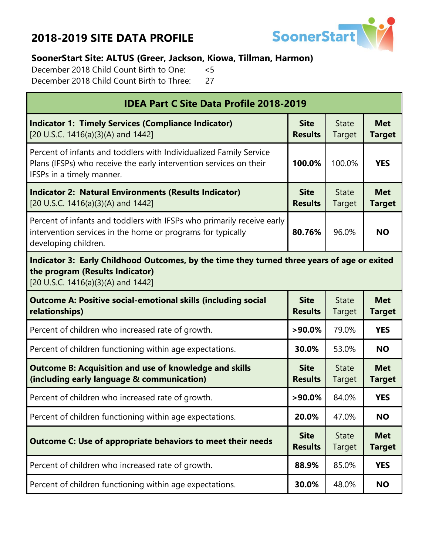

#### **SoonerStart Site: ALTUS (Greer, Jackson, Kiowa, Tillman, Harmon)**

December 2018 Child Count Birth to One: <5 December 2018 Child Count Birth to Three: 27

| <b>IDEA Part C Site Data Profile 2018-2019</b>                                                                                                                        |                               |                        |                             |  |  |
|-----------------------------------------------------------------------------------------------------------------------------------------------------------------------|-------------------------------|------------------------|-----------------------------|--|--|
| <b>Indicator 1: Timely Services (Compliance Indicator)</b><br>[20 U.S.C. 1416(a)(3)(A) and 1442]                                                                      | <b>Site</b><br><b>Results</b> | <b>State</b><br>Target | <b>Met</b><br><b>Target</b> |  |  |
| Percent of infants and toddlers with Individualized Family Service<br>Plans (IFSPs) who receive the early intervention services on their<br>IFSPs in a timely manner. | 100.0%                        | <b>YES</b>             |                             |  |  |
| <b>Indicator 2: Natural Environments (Results Indicator)</b><br>[20 U.S.C. 1416(a)(3)(A) and 1442]                                                                    | <b>Site</b><br><b>Results</b> | <b>State</b><br>Target | <b>Met</b><br><b>Target</b> |  |  |
| Percent of infants and toddlers with IFSPs who primarily receive early<br>intervention services in the home or programs for typically<br>developing children.         | 96.0%                         | <b>NO</b>              |                             |  |  |
| Indicator 3: Early Childhood Outcomes, by the time they turned three years of age or exited<br>the program (Results Indicator)<br>[20 U.S.C. 1416(a)(3)(A) and 1442]  |                               |                        |                             |  |  |
| <b>Outcome A: Positive social-emotional skills (including social</b><br>relationships)                                                                                | <b>Site</b><br><b>Results</b> | <b>State</b><br>Target | <b>Met</b><br><b>Target</b> |  |  |
| Percent of children who increased rate of growth.                                                                                                                     | $>90.0\%$                     | 79.0%                  | <b>YES</b>                  |  |  |
| Percent of children functioning within age expectations.                                                                                                              | 30.0%                         | 53.0%                  | <b>NO</b>                   |  |  |
| <b>Outcome B: Acquisition and use of knowledge and skills</b><br>(including early language & communication)                                                           | <b>Site</b><br><b>Results</b> | <b>State</b><br>Target | <b>Met</b><br><b>Target</b> |  |  |
| Percent of children who increased rate of growth.                                                                                                                     | $>90.0\%$                     | 84.0%                  | <b>YES</b>                  |  |  |
| Percent of children functioning within age expectations.                                                                                                              | 20.0%                         | 47.0%                  | <b>NO</b>                   |  |  |
| <b>Outcome C: Use of appropriate behaviors to meet their needs</b>                                                                                                    | <b>Site</b><br><b>Results</b> | <b>State</b><br>Target | <b>Met</b><br><b>Target</b> |  |  |
| Percent of children who increased rate of growth.                                                                                                                     | 88.9%                         | 85.0%                  | <b>YES</b>                  |  |  |
| Percent of children functioning within age expectations.                                                                                                              | 30.0%                         | 48.0%                  | <b>NO</b>                   |  |  |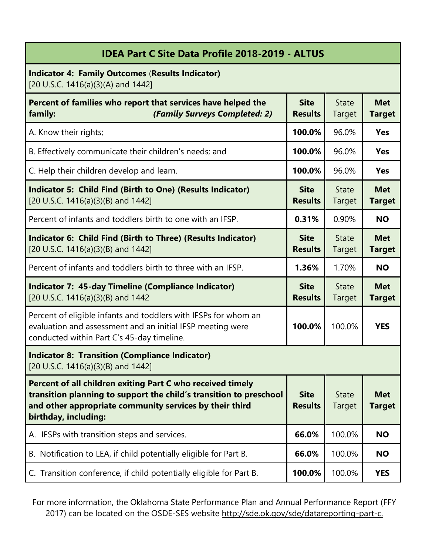| <b>IDEA Part C Site Data Profile 2018-2019 - ALTUS</b>                                                                                                                                                              |                               |                               |                             |
|---------------------------------------------------------------------------------------------------------------------------------------------------------------------------------------------------------------------|-------------------------------|-------------------------------|-----------------------------|
| <b>Indicator 4: Family Outcomes (Results Indicator)</b><br>[20 U.S.C. 1416(a)(3)(A) and 1442]                                                                                                                       |                               |                               |                             |
| Percent of families who report that services have helped the<br>(Family Surveys Completed: 2)<br>family:                                                                                                            | <b>Site</b><br><b>Results</b> | <b>State</b><br>Target        | <b>Met</b><br><b>Target</b> |
| A. Know their rights;                                                                                                                                                                                               | 100.0%                        | 96.0%                         | <b>Yes</b>                  |
| B. Effectively communicate their children's needs; and                                                                                                                                                              | 100.0%                        | 96.0%                         | <b>Yes</b>                  |
| C. Help their children develop and learn.                                                                                                                                                                           | 100.0%                        | 96.0%                         | <b>Yes</b>                  |
| <b>Indicator 5: Child Find (Birth to One) (Results Indicator)</b><br>[20 U.S.C. 1416(a)(3)(B) and 1442]                                                                                                             | <b>Site</b><br><b>Results</b> | <b>State</b><br><b>Target</b> | <b>Met</b><br><b>Target</b> |
| Percent of infants and toddlers birth to one with an IFSP.                                                                                                                                                          | 0.31%                         | 0.90%                         | <b>NO</b>                   |
| Indicator 6: Child Find (Birth to Three) (Results Indicator)<br>[20 U.S.C. 1416(a)(3)(B) and 1442]                                                                                                                  | <b>Site</b><br><b>Results</b> | <b>State</b><br>Target        | <b>Met</b><br><b>Target</b> |
| Percent of infants and toddlers birth to three with an IFSP.                                                                                                                                                        | 1.36%                         | 1.70%                         | <b>NO</b>                   |
| <b>Indicator 7: 45-day Timeline (Compliance Indicator)</b><br>[20 U.S.C. 1416(a)(3)(B) and 1442                                                                                                                     | <b>Site</b><br><b>Results</b> | <b>State</b><br>Target        | <b>Met</b><br><b>Target</b> |
| Percent of eligible infants and toddlers with IFSPs for whom an<br>evaluation and assessment and an initial IFSP meeting were<br>conducted within Part C's 45-day timeline.                                         | 100.0%                        | 100.0%                        | <b>YES</b>                  |
| <b>Indicator 8: Transition (Compliance Indicator)</b><br>[20 U.S.C. 1416(a)(3)(B) and 1442]                                                                                                                         |                               |                               |                             |
| Percent of all children exiting Part C who received timely<br>transition planning to support the child's transition to preschool<br>and other appropriate community services by their third<br>birthday, including: | <b>Site</b><br><b>Results</b> | <b>State</b><br><b>Target</b> | <b>Met</b><br><b>Target</b> |
| A. IFSPs with transition steps and services.                                                                                                                                                                        | 66.0%                         | 100.0%                        | <b>NO</b>                   |
| B. Notification to LEA, if child potentially eligible for Part B.                                                                                                                                                   | 66.0%                         | 100.0%                        | <b>NO</b>                   |
| C. Transition conference, if child potentially eligible for Part B.                                                                                                                                                 | 100.0%                        | 100.0%                        | <b>YES</b>                  |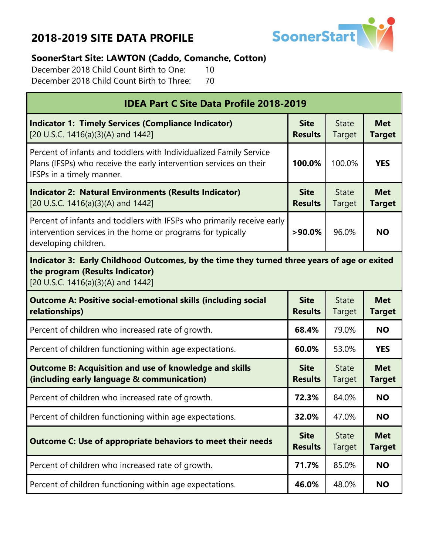

#### **SoonerStart Site: LAWTON (Caddo, Comanche, Cotton)**

December 2018 Child Count Birth to One: 10 December 2018 Child Count Birth to Three: 70

| <b>IDEA Part C Site Data Profile 2018-2019</b>                                                                                                                        |                               |                               |                             |  |  |
|-----------------------------------------------------------------------------------------------------------------------------------------------------------------------|-------------------------------|-------------------------------|-----------------------------|--|--|
| <b>Indicator 1: Timely Services (Compliance Indicator)</b><br>[20 U.S.C. 1416(a)(3)(A) and 1442]                                                                      | <b>Site</b><br><b>Results</b> | <b>State</b><br>Target        | <b>Met</b><br><b>Target</b> |  |  |
| Percent of infants and toddlers with Individualized Family Service<br>Plans (IFSPs) who receive the early intervention services on their<br>IFSPs in a timely manner. | 100.0%                        | <b>YES</b>                    |                             |  |  |
| <b>Indicator 2: Natural Environments (Results Indicator)</b><br>[20 U.S.C. 1416(a)(3)(A) and 1442]                                                                    | <b>Site</b><br><b>Results</b> | <b>State</b><br>Target        | <b>Met</b><br><b>Target</b> |  |  |
| Percent of infants and toddlers with IFSPs who primarily receive early<br>intervention services in the home or programs for typically<br>developing children.         | 96.0%                         | <b>NO</b>                     |                             |  |  |
| Indicator 3: Early Childhood Outcomes, by the time they turned three years of age or exited<br>the program (Results Indicator)<br>[20 U.S.C. 1416(a)(3)(A) and 1442]  |                               |                               |                             |  |  |
| <b>Outcome A: Positive social-emotional skills (including social</b><br>relationships)                                                                                | <b>Site</b><br><b>Results</b> | <b>State</b><br>Target        | <b>Met</b><br><b>Target</b> |  |  |
| Percent of children who increased rate of growth.                                                                                                                     | 68.4%                         | 79.0%                         | <b>NO</b>                   |  |  |
| Percent of children functioning within age expectations.                                                                                                              | 60.0%                         | 53.0%                         | <b>YES</b>                  |  |  |
| <b>Outcome B: Acquisition and use of knowledge and skills</b><br>(including early language & communication)                                                           | <b>Site</b><br><b>Results</b> | <b>State</b><br>Target        | <b>Met</b><br><b>Target</b> |  |  |
| Percent of children who increased rate of growth.                                                                                                                     | 72.3%                         | 84.0%                         | <b>NO</b>                   |  |  |
| Percent of children functioning within age expectations.                                                                                                              | 32.0%                         | 47.0%                         | <b>NO</b>                   |  |  |
| <b>Outcome C: Use of appropriate behaviors to meet their needs</b>                                                                                                    | <b>Site</b><br><b>Results</b> | <b>State</b><br><b>Target</b> | <b>Met</b><br><b>Target</b> |  |  |
| Percent of children who increased rate of growth.                                                                                                                     | 71.7%                         | 85.0%                         | <b>NO</b>                   |  |  |
| Percent of children functioning within age expectations.                                                                                                              | 46.0%                         | 48.0%                         | <b>NO</b>                   |  |  |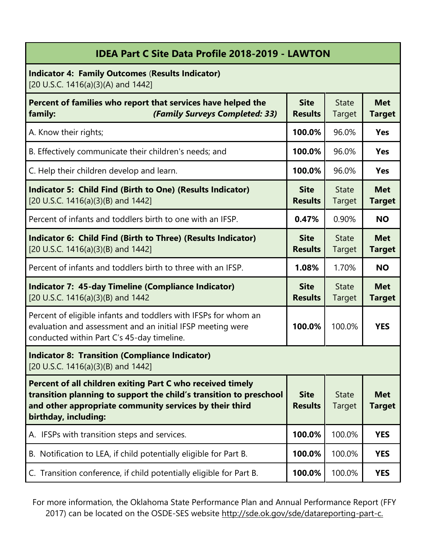| <b>IDEA Part C Site Data Profile 2018-2019 - LAWTON</b>                                                                                                                                                             |                               |                               |                             |
|---------------------------------------------------------------------------------------------------------------------------------------------------------------------------------------------------------------------|-------------------------------|-------------------------------|-----------------------------|
| <b>Indicator 4: Family Outcomes (Results Indicator)</b><br>[20 U.S.C. 1416(a)(3)(A) and 1442]                                                                                                                       |                               |                               |                             |
| Percent of families who report that services have helped the<br>(Family Surveys Completed: 33)<br>family:                                                                                                           | <b>Site</b><br><b>Results</b> | <b>State</b><br><b>Target</b> | <b>Met</b><br><b>Target</b> |
| A. Know their rights;                                                                                                                                                                                               | 100.0%                        | 96.0%                         | Yes                         |
| B. Effectively communicate their children's needs; and                                                                                                                                                              | 100.0%                        | 96.0%                         | Yes                         |
| C. Help their children develop and learn.                                                                                                                                                                           | 100.0%                        | 96.0%                         | <b>Yes</b>                  |
| <b>Indicator 5: Child Find (Birth to One) (Results Indicator)</b><br>[20 U.S.C. 1416(a)(3)(B) and 1442]                                                                                                             | <b>Site</b><br><b>Results</b> | <b>State</b><br>Target        | <b>Met</b><br><b>Target</b> |
| Percent of infants and toddlers birth to one with an IFSP.                                                                                                                                                          | 0.47%                         | 0.90%                         | <b>NO</b>                   |
| Indicator 6: Child Find (Birth to Three) (Results Indicator)<br>[20 U.S.C. 1416(a)(3)(B) and 1442]                                                                                                                  | <b>Site</b><br><b>Results</b> | <b>State</b><br><b>Target</b> | <b>Met</b><br><b>Target</b> |
| Percent of infants and toddlers birth to three with an IFSP.                                                                                                                                                        | 1.08%                         | 1.70%                         | <b>NO</b>                   |
| <b>Indicator 7: 45-day Timeline (Compliance Indicator)</b><br>[20 U.S.C. 1416(a)(3)(B) and 1442                                                                                                                     | <b>Site</b><br><b>Results</b> | <b>State</b><br>Target        | <b>Met</b><br><b>Target</b> |
| Percent of eligible infants and toddlers with IFSPs for whom an<br>evaluation and assessment and an initial IFSP meeting were<br>conducted within Part C's 45-day timeline.                                         | 100.0%                        | 100.0%                        | <b>YES</b>                  |
| <b>Indicator 8: Transition (Compliance Indicator)</b><br>[20 U.S.C. 1416(a)(3)(B) and 1442]                                                                                                                         |                               |                               |                             |
| Percent of all children exiting Part C who received timely<br>transition planning to support the child's transition to preschool<br>and other appropriate community services by their third<br>birthday, including: | <b>Site</b><br><b>Results</b> | <b>State</b><br><b>Target</b> | <b>Met</b><br><b>Target</b> |
| A. IFSPs with transition steps and services.                                                                                                                                                                        | 100.0%                        | 100.0%                        | <b>YES</b>                  |
| B. Notification to LEA, if child potentially eligible for Part B.                                                                                                                                                   | 100.0%                        | 100.0%                        | <b>YES</b>                  |
| C. Transition conference, if child potentially eligible for Part B.                                                                                                                                                 | 100.0%                        | 100.0%                        | <b>YES</b>                  |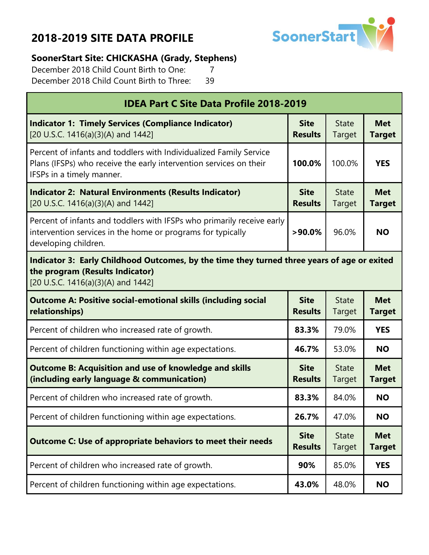

#### **SoonerStart Site: CHICKASHA (Grady, Stephens)**

December 2018 Child Count Birth to One: 7 December 2018 Child Count Birth to Three: 39

| <b>IDEA Part C Site Data Profile 2018-2019</b>                                                                                                                        |                               |                        |                             |  |  |
|-----------------------------------------------------------------------------------------------------------------------------------------------------------------------|-------------------------------|------------------------|-----------------------------|--|--|
| <b>Indicator 1: Timely Services (Compliance Indicator)</b><br>[20 U.S.C. 1416(a)(3)(A) and 1442]                                                                      | <b>Site</b><br><b>Results</b> | <b>State</b><br>Target | <b>Met</b><br><b>Target</b> |  |  |
| Percent of infants and toddlers with Individualized Family Service<br>Plans (IFSPs) who receive the early intervention services on their<br>IFSPs in a timely manner. | 100.0%                        | <b>YES</b>             |                             |  |  |
| <b>Indicator 2: Natural Environments (Results Indicator)</b><br>[20 U.S.C. 1416(a)(3)(A) and 1442]                                                                    | <b>Site</b><br><b>Results</b> | <b>State</b><br>Target | <b>Met</b><br><b>Target</b> |  |  |
| Percent of infants and toddlers with IFSPs who primarily receive early<br>intervention services in the home or programs for typically<br>developing children.         | $>90.0\%$                     | 96.0%                  | <b>NO</b>                   |  |  |
| Indicator 3: Early Childhood Outcomes, by the time they turned three years of age or exited<br>the program (Results Indicator)<br>[20 U.S.C. 1416(a)(3)(A) and 1442]  |                               |                        |                             |  |  |
| <b>Outcome A: Positive social-emotional skills (including social</b><br>relationships)                                                                                | <b>Site</b><br><b>Results</b> | <b>State</b><br>Target | <b>Met</b><br><b>Target</b> |  |  |
| Percent of children who increased rate of growth.                                                                                                                     | 83.3%                         | 79.0%                  | <b>YES</b>                  |  |  |
| Percent of children functioning within age expectations.                                                                                                              | 46.7%                         | 53.0%                  | <b>NO</b>                   |  |  |
| <b>Outcome B: Acquisition and use of knowledge and skills</b><br>(including early language & communication)                                                           | <b>Site</b><br><b>Results</b> | <b>State</b><br>Target | <b>Met</b><br><b>Target</b> |  |  |
| Percent of children who increased rate of growth.                                                                                                                     | 83.3%                         | 84.0%                  | <b>NO</b>                   |  |  |
| Percent of children functioning within age expectations.                                                                                                              | 26.7%                         | 47.0%                  | <b>NO</b>                   |  |  |
| <b>Outcome C: Use of appropriate behaviors to meet their needs</b>                                                                                                    | <b>Site</b><br><b>Results</b> | <b>State</b><br>Target | <b>Met</b><br><b>Target</b> |  |  |
| Percent of children who increased rate of growth.                                                                                                                     | 90%                           | 85.0%                  | <b>YES</b>                  |  |  |
| Percent of children functioning within age expectations.                                                                                                              | 43.0%                         | 48.0%                  | <b>NO</b>                   |  |  |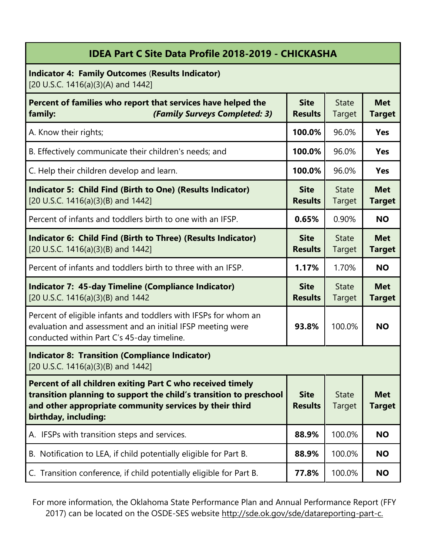| <b>IDEA Part C Site Data Profile 2018-2019 - CHICKASHA</b> |  |  |  |  |  |  |
|------------------------------------------------------------|--|--|--|--|--|--|
|------------------------------------------------------------|--|--|--|--|--|--|

**Indicator 4: Family Outcomes** (**Results Indicator)** [20 U.S.C. 1416(a)(3)(A) and 1442]

| Percent of families who report that services have helped the<br>(Family Surveys Completed: 3)<br>family:                                                                                                            | <b>Site</b><br><b>Results</b> | <b>State</b><br><b>Target</b> | <b>Met</b><br><b>Target</b> |
|---------------------------------------------------------------------------------------------------------------------------------------------------------------------------------------------------------------------|-------------------------------|-------------------------------|-----------------------------|
| A. Know their rights;                                                                                                                                                                                               | 100.0%                        | 96.0%                         | <b>Yes</b>                  |
| B. Effectively communicate their children's needs; and                                                                                                                                                              | 100.0%                        | 96.0%                         | <b>Yes</b>                  |
| C. Help their children develop and learn.                                                                                                                                                                           | 100.0%                        | 96.0%                         | <b>Yes</b>                  |
| <b>Indicator 5: Child Find (Birth to One) (Results Indicator)</b><br>[20 U.S.C. 1416(a)(3)(B) and 1442]                                                                                                             | <b>Site</b><br><b>Results</b> | <b>State</b><br><b>Target</b> | <b>Met</b><br><b>Target</b> |
| Percent of infants and toddlers birth to one with an IFSP.                                                                                                                                                          | 0.65%                         | 0.90%                         | <b>NO</b>                   |
| Indicator 6: Child Find (Birth to Three) (Results Indicator)<br>[20 U.S.C. 1416(a)(3)(B) and 1442]                                                                                                                  | <b>Site</b><br><b>Results</b> | <b>State</b><br><b>Target</b> | <b>Met</b><br><b>Target</b> |
| Percent of infants and toddlers birth to three with an IFSP.                                                                                                                                                        | 1.17%                         | 1.70%                         | <b>NO</b>                   |
| <b>Indicator 7: 45-day Timeline (Compliance Indicator)</b><br>[20 U.S.C. 1416(a)(3)(B) and 1442                                                                                                                     | <b>Site</b><br><b>Results</b> | <b>State</b><br>Target        | <b>Met</b><br><b>Target</b> |
| Percent of eligible infants and toddlers with IFSPs for whom an<br>evaluation and assessment and an initial IFSP meeting were<br>conducted within Part C's 45-day timeline.                                         | 93.8%                         | 100.0%                        | <b>NO</b>                   |
| <b>Indicator 8: Transition (Compliance Indicator)</b><br>[20 U.S.C. 1416(a)(3)(B) and 1442]                                                                                                                         |                               |                               |                             |
| Percent of all children exiting Part C who received timely<br>transition planning to support the child's transition to preschool<br>and other appropriate community services by their third<br>birthday, including: | <b>Site</b><br><b>Results</b> | <b>State</b><br>Target        | <b>Met</b><br>Target        |
| A. IFSPs with transition steps and services.                                                                                                                                                                        | 88.9%                         | 100.0%                        | <b>NO</b>                   |
| B. Notification to LEA, if child potentially eligible for Part B.                                                                                                                                                   | 88.9%                         | 100.0%                        | <b>NO</b>                   |
| C. Transition conference, if child potentially eligible for Part B.                                                                                                                                                 | 77.8%                         | 100.0%                        | <b>NO</b>                   |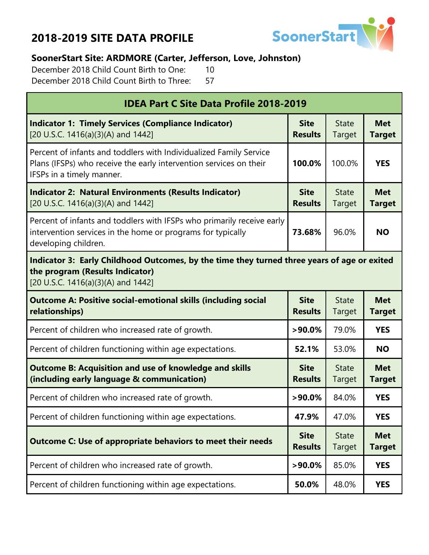

#### **SoonerStart Site: ARDMORE (Carter, Jefferson, Love, Johnston)**

December 2018 Child Count Birth to One: 10 December 2018 Child Count Birth to Three: 57

| <b>IDEA Part C Site Data Profile 2018-2019</b>                                                                                                                        |                               |                        |                             |  |
|-----------------------------------------------------------------------------------------------------------------------------------------------------------------------|-------------------------------|------------------------|-----------------------------|--|
| <b>Indicator 1: Timely Services (Compliance Indicator)</b><br>[20 U.S.C. 1416(a)(3)(A) and 1442]                                                                      | <b>Site</b><br><b>Results</b> | <b>State</b><br>Target | <b>Met</b><br><b>Target</b> |  |
| Percent of infants and toddlers with Individualized Family Service<br>Plans (IFSPs) who receive the early intervention services on their<br>IFSPs in a timely manner. | 100.0%                        | 100.0%                 | <b>YES</b>                  |  |
| <b>Indicator 2: Natural Environments (Results Indicator)</b><br>[20 U.S.C. 1416(a)(3)(A) and 1442]                                                                    | <b>Site</b><br><b>Results</b> | <b>State</b><br>Target | <b>Met</b><br><b>Target</b> |  |
| Percent of infants and toddlers with IFSPs who primarily receive early<br>intervention services in the home or programs for typically<br>developing children.         | 73.68%                        | 96.0%                  | <b>NO</b>                   |  |
| Indicator 3: Early Childhood Outcomes, by the time they turned three years of age or exited<br>the program (Results Indicator)<br>[20 U.S.C. 1416(a)(3)(A) and 1442]  |                               |                        |                             |  |
| <b>Outcome A: Positive social-emotional skills (including social</b><br>relationships)                                                                                | <b>Site</b><br><b>Results</b> | <b>State</b><br>Target | <b>Met</b><br><b>Target</b> |  |
| Percent of children who increased rate of growth.                                                                                                                     | $>90.0\%$                     | 79.0%                  | <b>YES</b>                  |  |
| Percent of children functioning within age expectations.                                                                                                              | 52.1%                         | 53.0%                  | <b>NO</b>                   |  |
| <b>Outcome B: Acquisition and use of knowledge and skills</b><br>(including early language & communication)                                                           | <b>Site</b><br><b>Results</b> | <b>State</b><br>Target | <b>Met</b><br><b>Target</b> |  |
| Percent of children who increased rate of growth.                                                                                                                     | $>90.0\%$                     | 84.0%                  | <b>YES</b>                  |  |
| Percent of children functioning within age expectations.                                                                                                              | 47.9%                         | 47.0%                  | <b>YES</b>                  |  |
| <b>Outcome C: Use of appropriate behaviors to meet their needs</b>                                                                                                    | <b>Site</b><br><b>Results</b> | <b>State</b><br>Target | <b>Met</b><br><b>Target</b> |  |
| Percent of children who increased rate of growth.                                                                                                                     | $>90.0\%$                     | 85.0%                  | <b>YES</b>                  |  |
| Percent of children functioning within age expectations.                                                                                                              | 50.0%                         | 48.0%                  | <b>YES</b>                  |  |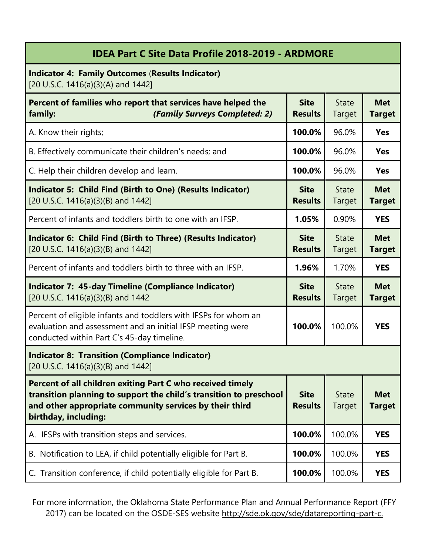| <b>IDEA Part C Site Data Profile 2018-2019 - ARDMORE</b>                                                                                                                                                            |                               |                               |                             |
|---------------------------------------------------------------------------------------------------------------------------------------------------------------------------------------------------------------------|-------------------------------|-------------------------------|-----------------------------|
| <b>Indicator 4: Family Outcomes (Results Indicator)</b><br>[20 U.S.C. 1416(a)(3)(A) and 1442]                                                                                                                       |                               |                               |                             |
| Percent of families who report that services have helped the<br>(Family Surveys Completed: 2)<br>family:                                                                                                            | <b>Site</b><br><b>Results</b> | <b>State</b><br>Target        | <b>Met</b><br><b>Target</b> |
| A. Know their rights;                                                                                                                                                                                               | 100.0%                        | 96.0%                         | <b>Yes</b>                  |
| B. Effectively communicate their children's needs; and                                                                                                                                                              | 100.0%                        | 96.0%                         | <b>Yes</b>                  |
| C. Help their children develop and learn.                                                                                                                                                                           | 100.0%                        | 96.0%                         | <b>Yes</b>                  |
| <b>Indicator 5: Child Find (Birth to One) (Results Indicator)</b><br>[20 U.S.C. 1416(a)(3)(B) and 1442]                                                                                                             | <b>Site</b><br><b>Results</b> | <b>State</b><br>Target        | <b>Met</b><br><b>Target</b> |
| Percent of infants and toddlers birth to one with an IFSP.                                                                                                                                                          | 1.05%                         | 0.90%                         | <b>YES</b>                  |
| Indicator 6: Child Find (Birth to Three) (Results Indicator)<br>[20 U.S.C. 1416(a)(3)(B) and 1442]                                                                                                                  | <b>Site</b><br><b>Results</b> | <b>State</b><br><b>Target</b> | <b>Met</b><br><b>Target</b> |
| Percent of infants and toddlers birth to three with an IFSP.                                                                                                                                                        | 1.96%                         | 1.70%                         | <b>YES</b>                  |
| <b>Indicator 7: 45-day Timeline (Compliance Indicator)</b><br>[20 U.S.C. 1416(a)(3)(B) and 1442                                                                                                                     | <b>Site</b><br><b>Results</b> | <b>State</b><br>Target        | <b>Met</b><br><b>Target</b> |
| Percent of eligible infants and toddlers with IFSPs for whom an<br>evaluation and assessment and an initial IFSP meeting were<br>conducted within Part C's 45-day timeline.                                         | 100.0%                        | 100.0%                        | <b>YES</b>                  |
| <b>Indicator 8: Transition (Compliance Indicator)</b><br>[20 U.S.C. 1416(a)(3)(B) and 1442]                                                                                                                         |                               |                               |                             |
| Percent of all children exiting Part C who received timely<br>transition planning to support the child's transition to preschool<br>and other appropriate community services by their third<br>birthday, including: | <b>Site</b><br><b>Results</b> | <b>State</b><br><b>Target</b> | <b>Met</b><br><b>Target</b> |
| IFSPs with transition steps and services.<br>А.                                                                                                                                                                     | 100.0%                        | 100.0%                        | <b>YES</b>                  |
| B. Notification to LEA, if child potentially eligible for Part B.                                                                                                                                                   | 100.0%                        | 100.0%                        | <b>YES</b>                  |
| C. Transition conference, if child potentially eligible for Part B.                                                                                                                                                 | 100.0%                        | 100.0%                        | <b>YES</b>                  |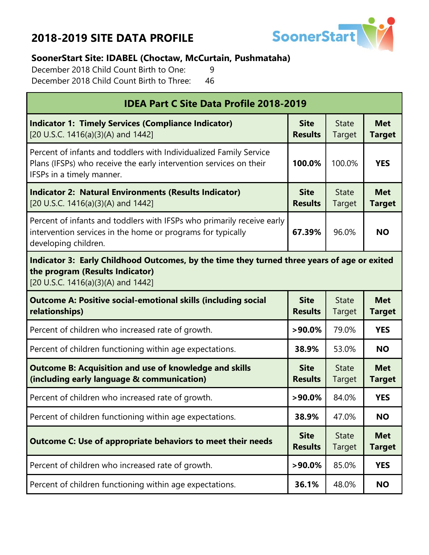

#### **SoonerStart Site: IDABEL (Choctaw, McCurtain, Pushmataha)**

December 2018 Child Count Birth to One: 9 December 2018 Child Count Birth to Three: 46

| <b>IDEA Part C Site Data Profile 2018-2019</b>                                                                                                                        |                               |                        |                             |  |
|-----------------------------------------------------------------------------------------------------------------------------------------------------------------------|-------------------------------|------------------------|-----------------------------|--|
| <b>Indicator 1: Timely Services (Compliance Indicator)</b><br>[20 U.S.C. 1416(a)(3)(A) and 1442]                                                                      | <b>Site</b><br><b>Results</b> | <b>State</b><br>Target | <b>Met</b><br><b>Target</b> |  |
| Percent of infants and toddlers with Individualized Family Service<br>Plans (IFSPs) who receive the early intervention services on their<br>IFSPs in a timely manner. | 100.0%                        | 100.0%                 | <b>YES</b>                  |  |
| <b>Indicator 2: Natural Environments (Results Indicator)</b><br>[20 U.S.C. 1416(a)(3)(A) and 1442]                                                                    | <b>Site</b><br><b>Results</b> | <b>State</b><br>Target | <b>Met</b><br><b>Target</b> |  |
| Percent of infants and toddlers with IFSPs who primarily receive early<br>intervention services in the home or programs for typically<br>developing children.         | 67.39%                        | 96.0%                  | <b>NO</b>                   |  |
| Indicator 3: Early Childhood Outcomes, by the time they turned three years of age or exited<br>the program (Results Indicator)<br>[20 U.S.C. 1416(a)(3)(A) and 1442]  |                               |                        |                             |  |
| <b>Outcome A: Positive social-emotional skills (including social</b><br>relationships)                                                                                | <b>Site</b><br><b>Results</b> | <b>State</b><br>Target | <b>Met</b><br><b>Target</b> |  |
| Percent of children who increased rate of growth.                                                                                                                     | $>90.0\%$                     | 79.0%                  | <b>YES</b>                  |  |
| Percent of children functioning within age expectations.                                                                                                              | 38.9%                         | 53.0%                  | <b>NO</b>                   |  |
| <b>Outcome B: Acquisition and use of knowledge and skills</b><br>(including early language & communication)                                                           | <b>Site</b><br><b>Results</b> | <b>State</b><br>Target | <b>Met</b><br><b>Target</b> |  |
| Percent of children who increased rate of growth.                                                                                                                     | $>90.0\%$                     | 84.0%                  | <b>YES</b>                  |  |
| Percent of children functioning within age expectations.                                                                                                              | 38.9%                         | 47.0%                  | <b>NO</b>                   |  |
| <b>Outcome C: Use of appropriate behaviors to meet their needs</b>                                                                                                    | <b>Site</b><br><b>Results</b> | <b>State</b><br>Target | <b>Met</b><br><b>Target</b> |  |
| Percent of children who increased rate of growth.                                                                                                                     | $>90.0\%$                     | 85.0%                  | <b>YES</b>                  |  |
| Percent of children functioning within age expectations.                                                                                                              | 36.1%                         | 48.0%                  | <b>NO</b>                   |  |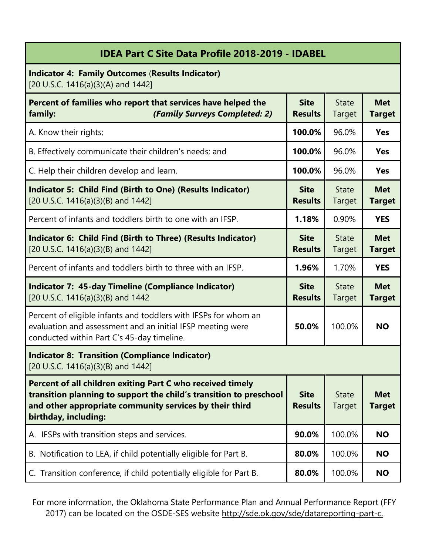| <b>IDEA Part C Site Data Profile 2018-2019 - IDABEL</b>                                                                                                                                                             |                               |                               |                             |
|---------------------------------------------------------------------------------------------------------------------------------------------------------------------------------------------------------------------|-------------------------------|-------------------------------|-----------------------------|
| <b>Indicator 4: Family Outcomes (Results Indicator)</b><br>[20 U.S.C. 1416(a)(3)(A) and 1442]                                                                                                                       |                               |                               |                             |
| Percent of families who report that services have helped the<br>(Family Surveys Completed: 2)<br>family:                                                                                                            | <b>Site</b><br><b>Results</b> | <b>State</b><br>Target        | <b>Met</b><br><b>Target</b> |
| A. Know their rights;                                                                                                                                                                                               | 100.0%                        | 96.0%                         | <b>Yes</b>                  |
| B. Effectively communicate their children's needs; and                                                                                                                                                              | 100.0%                        | 96.0%                         | <b>Yes</b>                  |
| C. Help their children develop and learn.                                                                                                                                                                           | 100.0%                        | 96.0%                         | <b>Yes</b>                  |
| <b>Indicator 5: Child Find (Birth to One) (Results Indicator)</b><br>[20 U.S.C. 1416(a)(3)(B) and 1442]                                                                                                             | <b>Site</b><br><b>Results</b> | <b>State</b><br><b>Target</b> | <b>Met</b><br><b>Target</b> |
| Percent of infants and toddlers birth to one with an IFSP.                                                                                                                                                          | 1.18%                         | 0.90%                         | <b>YES</b>                  |
| Indicator 6: Child Find (Birth to Three) (Results Indicator)<br>[20 U.S.C. 1416(a)(3)(B) and 1442]                                                                                                                  | <b>Site</b><br><b>Results</b> | <b>State</b><br><b>Target</b> | <b>Met</b><br><b>Target</b> |
| Percent of infants and toddlers birth to three with an IFSP.                                                                                                                                                        | 1.96%                         | 1.70%                         | <b>YES</b>                  |
| <b>Indicator 7: 45-day Timeline (Compliance Indicator)</b><br>[20 U.S.C. 1416(a)(3)(B) and 1442                                                                                                                     | <b>Site</b><br><b>Results</b> | <b>State</b><br>Target        | <b>Met</b><br><b>Target</b> |
| Percent of eligible infants and toddlers with IFSPs for whom an<br>evaluation and assessment and an initial IFSP meeting were<br>conducted within Part C's 45-day timeline.                                         | 50.0%                         | 100.0%                        | <b>NO</b>                   |
| <b>Indicator 8: Transition (Compliance Indicator)</b><br>[20 U.S.C. 1416(a)(3)(B) and 1442]                                                                                                                         |                               |                               |                             |
| Percent of all children exiting Part C who received timely<br>transition planning to support the child's transition to preschool<br>and other appropriate community services by their third<br>birthday, including: | <b>Site</b><br><b>Results</b> | <b>State</b><br><b>Target</b> | <b>Met</b><br><b>Target</b> |
| IFSPs with transition steps and services.<br>А.                                                                                                                                                                     | 90.0%                         | 100.0%                        | <b>NO</b>                   |
| B. Notification to LEA, if child potentially eligible for Part B.                                                                                                                                                   | 80.0%                         | 100.0%                        | <b>NO</b>                   |
| C. Transition conference, if child potentially eligible for Part B.                                                                                                                                                 | 80.0%                         | 100.0%                        | <b>NO</b>                   |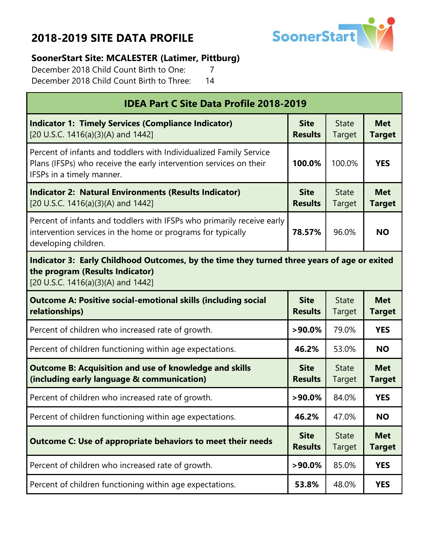

#### **SoonerStart Site: MCALESTER (Latimer, Pittburg)**

December 2018 Child Count Birth to One: 7 December 2018 Child Count Birth to Three: 14

| <b>IDEA Part C Site Data Profile 2018-2019</b>                                                                                                                        |                               |                        |                             |  |
|-----------------------------------------------------------------------------------------------------------------------------------------------------------------------|-------------------------------|------------------------|-----------------------------|--|
| <b>Indicator 1: Timely Services (Compliance Indicator)</b><br>[20 U.S.C. 1416(a)(3)(A) and 1442]                                                                      | <b>Site</b><br><b>Results</b> | <b>State</b><br>Target | <b>Met</b><br><b>Target</b> |  |
| Percent of infants and toddlers with Individualized Family Service<br>Plans (IFSPs) who receive the early intervention services on their<br>IFSPs in a timely manner. | 100.0%                        | 100.0%                 | <b>YES</b>                  |  |
| <b>Indicator 2: Natural Environments (Results Indicator)</b><br>[20 U.S.C. 1416(a)(3)(A) and 1442]                                                                    | <b>Site</b><br><b>Results</b> | <b>State</b><br>Target | <b>Met</b><br><b>Target</b> |  |
| Percent of infants and toddlers with IFSPs who primarily receive early<br>intervention services in the home or programs for typically<br>developing children.         | 78.57%                        | 96.0%                  | <b>NO</b>                   |  |
| Indicator 3: Early Childhood Outcomes, by the time they turned three years of age or exited<br>the program (Results Indicator)<br>[20 U.S.C. 1416(a)(3)(A) and 1442]  |                               |                        |                             |  |
| <b>Outcome A: Positive social-emotional skills (including social</b><br>relationships)                                                                                | <b>Site</b><br><b>Results</b> | <b>State</b><br>Target | <b>Met</b><br><b>Target</b> |  |
| Percent of children who increased rate of growth.                                                                                                                     | $>90.0\%$                     | 79.0%                  | <b>YES</b>                  |  |
| Percent of children functioning within age expectations.                                                                                                              | 46.2%                         | 53.0%                  | <b>NO</b>                   |  |
| <b>Outcome B: Acquisition and use of knowledge and skills</b><br>(including early language & communication)                                                           | <b>Site</b><br><b>Results</b> | <b>State</b><br>Target | <b>Met</b><br><b>Target</b> |  |
| Percent of children who increased rate of growth.                                                                                                                     | $>90.0\%$                     | 84.0%                  | <b>YES</b>                  |  |
| Percent of children functioning within age expectations.                                                                                                              | 46.2%                         | 47.0%                  | <b>NO</b>                   |  |
| <b>Outcome C: Use of appropriate behaviors to meet their needs</b>                                                                                                    | <b>Site</b><br><b>Results</b> | <b>State</b><br>Target | <b>Met</b><br><b>Target</b> |  |
| Percent of children who increased rate of growth.                                                                                                                     | $>90.0\%$                     | 85.0%                  | <b>YES</b>                  |  |
| Percent of children functioning within age expectations.                                                                                                              | 53.8%                         | 48.0%                  | <b>YES</b>                  |  |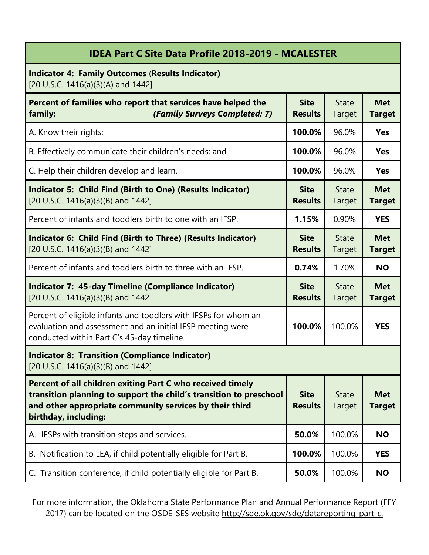| <b>IDEA Part C Site Data Profile 2018-2019 - MCALESTER</b>                                                                                                                                                          |                               |                        |                             |
|---------------------------------------------------------------------------------------------------------------------------------------------------------------------------------------------------------------------|-------------------------------|------------------------|-----------------------------|
| <b>Indicator 4: Family Outcomes (Results Indicator)</b><br>[20 U.S.C. 1416(a)(3)(A) and 1442]                                                                                                                       |                               |                        |                             |
| Percent of families who report that services have helped the<br>(Family Surveys Completed: 7)<br>family:                                                                                                            | <b>Site</b><br><b>Results</b> | <b>State</b><br>Target | <b>Met</b><br><b>Target</b> |
| A. Know their rights;                                                                                                                                                                                               | 100.0%                        | 96.0%                  | Yes                         |
| B. Effectively communicate their children's needs; and                                                                                                                                                              | 100.0%                        | 96.0%                  | <b>Yes</b>                  |
| C. Help their children develop and learn.                                                                                                                                                                           | 100.0%                        | 96.0%                  | <b>Yes</b>                  |
| Indicator 5: Child Find (Birth to One) (Results Indicator)<br>[20 U.S.C. 1416(a)(3)(B) and 1442]                                                                                                                    | <b>Site</b><br><b>Results</b> | <b>State</b><br>Target | <b>Met</b><br><b>Target</b> |
| Percent of infants and toddlers birth to one with an IFSP.                                                                                                                                                          | 1.15%                         | 0.90%                  | <b>YES</b>                  |
| Indicator 6: Child Find (Birth to Three) (Results Indicator)<br>[20 U.S.C. 1416(a)(3)(B) and 1442]                                                                                                                  | <b>Site</b><br><b>Results</b> | <b>State</b><br>Target | <b>Met</b><br><b>Target</b> |
| Percent of infants and toddlers birth to three with an IFSP.                                                                                                                                                        | 0.74%                         | 1.70%                  | <b>NO</b>                   |
| <b>Indicator 7: 45-day Timeline (Compliance Indicator)</b><br>[20 U.S.C. 1416(a)(3)(B) and 1442                                                                                                                     | <b>Site</b><br><b>Results</b> | <b>State</b><br>Target | <b>Met</b><br><b>Target</b> |
| Percent of eligible infants and toddlers with IFSPs for whom an<br>evaluation and assessment and an initial IFSP meeting were<br>conducted within Part C's 45-day timeline.                                         | 100.0%                        | 100.0%                 | <b>YES</b>                  |
| <b>Indicator 8: Transition (Compliance Indicator)</b><br>[20 U.S.C. 1416(a)(3)(B) and 1442]                                                                                                                         |                               |                        |                             |
| Percent of all children exiting Part C who received timely<br>transition planning to support the child's transition to preschool<br>and other appropriate community services by their third<br>birthday, including: | <b>Site</b><br><b>Results</b> | <b>State</b><br>Target | <b>Met</b><br><b>Target</b> |
| A. IFSPs with transition steps and services.                                                                                                                                                                        | 50.0%                         | 100.0%                 | <b>NO</b>                   |
| B. Notification to LEA, if child potentially eligible for Part B.                                                                                                                                                   | 100.0%                        | 100.0%                 | <b>YES</b>                  |
| C. Transition conference, if child potentially eligible for Part B.                                                                                                                                                 | 50.0%                         | 100.0%                 | <b>NO</b>                   |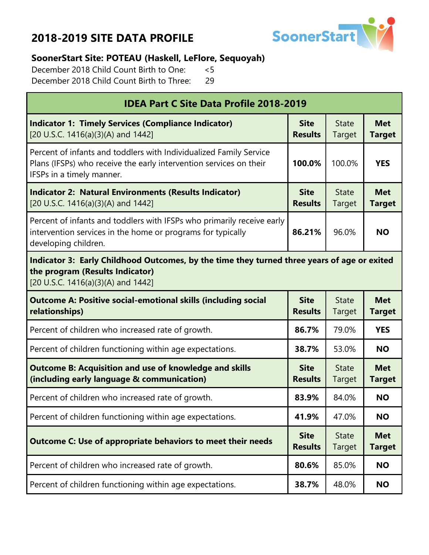

### **SoonerStart Site: POTEAU (Haskell, LeFlore, Sequoyah)**

December 2018 Child Count Birth to One: <5 December 2018 Child Count Birth to Three: 29

| <b>IDEA Part C Site Data Profile 2018-2019</b>                                                                                                                        |                               |                        |                             |  |
|-----------------------------------------------------------------------------------------------------------------------------------------------------------------------|-------------------------------|------------------------|-----------------------------|--|
| <b>Indicator 1: Timely Services (Compliance Indicator)</b><br>[20 U.S.C. 1416(a)(3)(A) and 1442]                                                                      | <b>Site</b><br><b>Results</b> | <b>State</b><br>Target | <b>Met</b><br><b>Target</b> |  |
| Percent of infants and toddlers with Individualized Family Service<br>Plans (IFSPs) who receive the early intervention services on their<br>IFSPs in a timely manner. | 100.0%                        | 100.0%                 | <b>YES</b>                  |  |
| <b>Indicator 2: Natural Environments (Results Indicator)</b><br>[20 U.S.C. 1416(a)(3)(A) and 1442]                                                                    | <b>Site</b><br><b>Results</b> | <b>State</b><br>Target | <b>Met</b><br><b>Target</b> |  |
| Percent of infants and toddlers with IFSPs who primarily receive early<br>intervention services in the home or programs for typically<br>developing children.         | 86.21%                        | 96.0%                  | <b>NO</b>                   |  |
| Indicator 3: Early Childhood Outcomes, by the time they turned three years of age or exited<br>the program (Results Indicator)<br>[20 U.S.C. 1416(a)(3)(A) and 1442]  |                               |                        |                             |  |
| <b>Outcome A: Positive social-emotional skills (including social</b><br>relationships)                                                                                | <b>Site</b><br><b>Results</b> | <b>State</b><br>Target | <b>Met</b><br><b>Target</b> |  |
| Percent of children who increased rate of growth.                                                                                                                     | 86.7%                         | 79.0%                  | <b>YES</b>                  |  |
| Percent of children functioning within age expectations.                                                                                                              | 38.7%                         | 53.0%                  | <b>NO</b>                   |  |
| <b>Outcome B: Acquisition and use of knowledge and skills</b><br>(including early language & communication)                                                           | <b>Site</b><br><b>Results</b> | <b>State</b><br>Target | <b>Met</b><br><b>Target</b> |  |
| Percent of children who increased rate of growth.                                                                                                                     | 83.9%                         | 84.0%                  | <b>NO</b>                   |  |
| Percent of children functioning within age expectations.                                                                                                              | 41.9%                         | 47.0%                  | <b>NO</b>                   |  |
| <b>Outcome C: Use of appropriate behaviors to meet their needs</b>                                                                                                    | <b>Site</b><br><b>Results</b> | <b>State</b><br>Target | <b>Met</b><br><b>Target</b> |  |
| Percent of children who increased rate of growth.                                                                                                                     | 80.6%                         | 85.0%                  | <b>NO</b>                   |  |
| Percent of children functioning within age expectations.                                                                                                              | 38.7%                         | 48.0%                  | <b>NO</b>                   |  |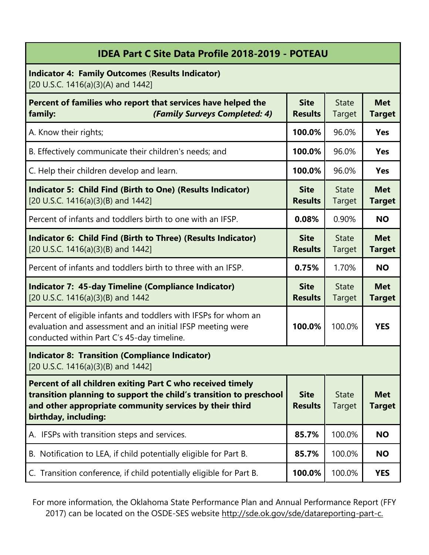| <b>IDEA Part C Site Data Profile 2018-2019 - POTEAU</b>                                                                                                                                                             |                               |                               |                             |
|---------------------------------------------------------------------------------------------------------------------------------------------------------------------------------------------------------------------|-------------------------------|-------------------------------|-----------------------------|
| <b>Indicator 4: Family Outcomes (Results Indicator)</b><br>[20 U.S.C. 1416(a)(3)(A) and 1442]                                                                                                                       |                               |                               |                             |
| Percent of families who report that services have helped the<br>(Family Surveys Completed: 4)<br>family:                                                                                                            | <b>Site</b><br><b>Results</b> | <b>State</b><br><b>Target</b> | <b>Met</b><br><b>Target</b> |
| A. Know their rights;                                                                                                                                                                                               | 100.0%                        | 96.0%                         | <b>Yes</b>                  |
| B. Effectively communicate their children's needs; and                                                                                                                                                              | 100.0%                        | 96.0%                         | <b>Yes</b>                  |
| C. Help their children develop and learn.                                                                                                                                                                           | 100.0%                        | 96.0%                         | <b>Yes</b>                  |
| <b>Indicator 5: Child Find (Birth to One) (Results Indicator)</b><br>[20 U.S.C. 1416(a)(3)(B) and 1442]                                                                                                             | <b>Site</b><br><b>Results</b> | <b>State</b><br><b>Target</b> | <b>Met</b><br><b>Target</b> |
| Percent of infants and toddlers birth to one with an IFSP.                                                                                                                                                          | 0.08%                         | 0.90%                         | <b>NO</b>                   |
| Indicator 6: Child Find (Birth to Three) (Results Indicator)<br>[20 U.S.C. 1416(a)(3)(B) and 1442]                                                                                                                  | <b>Site</b><br><b>Results</b> | <b>State</b><br>Target        | <b>Met</b><br><b>Target</b> |
| Percent of infants and toddlers birth to three with an IFSP.                                                                                                                                                        | 0.75%                         | 1.70%                         | <b>NO</b>                   |
| <b>Indicator 7: 45-day Timeline (Compliance Indicator)</b><br>[20 U.S.C. 1416(a)(3)(B) and 1442                                                                                                                     | <b>Site</b><br><b>Results</b> | <b>State</b><br>Target        | <b>Met</b><br><b>Target</b> |
| Percent of eligible infants and toddlers with IFSPs for whom an<br>evaluation and assessment and an initial IFSP meeting were<br>conducted within Part C's 45-day timeline.                                         | 100.0%                        | 100.0%                        | <b>YES</b>                  |
| <b>Indicator 8: Transition (Compliance Indicator)</b><br>[20 U.S.C. 1416(a)(3)(B) and 1442]                                                                                                                         |                               |                               |                             |
| Percent of all children exiting Part C who received timely<br>transition planning to support the child's transition to preschool<br>and other appropriate community services by their third<br>birthday, including: | <b>Site</b><br><b>Results</b> | <b>State</b><br><b>Target</b> | <b>Met</b><br><b>Target</b> |
| A. IFSPs with transition steps and services.                                                                                                                                                                        | 85.7%                         | 100.0%                        | <b>NO</b>                   |
| B. Notification to LEA, if child potentially eligible for Part B.                                                                                                                                                   | 85.7%                         | 100.0%                        | <b>NO</b>                   |
| C. Transition conference, if child potentially eligible for Part B.                                                                                                                                                 | 100.0%                        | 100.0%                        | <b>YES</b>                  |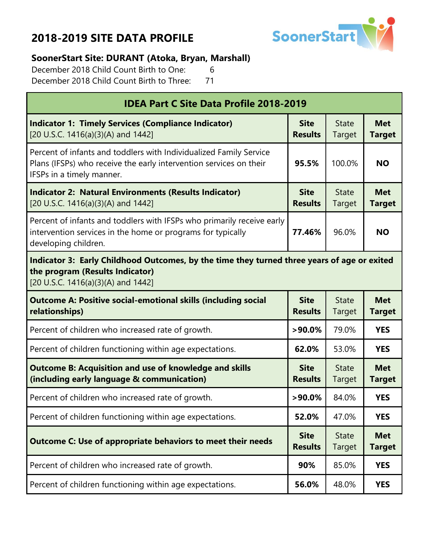

### **SoonerStart Site: DURANT (Atoka, Bryan, Marshall)**

December 2018 Child Count Birth to One: 6 December 2018 Child Count Birth to Three: 71

| <b>IDEA Part C Site Data Profile 2018-2019</b>                                                                                                                        |                               |                        |                             |  |
|-----------------------------------------------------------------------------------------------------------------------------------------------------------------------|-------------------------------|------------------------|-----------------------------|--|
| <b>Indicator 1: Timely Services (Compliance Indicator)</b><br>[20 U.S.C. 1416(a)(3)(A) and 1442]                                                                      | <b>Site</b><br><b>Results</b> | <b>State</b><br>Target | <b>Met</b><br><b>Target</b> |  |
| Percent of infants and toddlers with Individualized Family Service<br>Plans (IFSPs) who receive the early intervention services on their<br>IFSPs in a timely manner. | 95.5%                         | 100.0%                 | <b>NO</b>                   |  |
| <b>Indicator 2: Natural Environments (Results Indicator)</b><br>[20 U.S.C. 1416(a)(3)(A) and 1442]                                                                    | <b>Site</b><br><b>Results</b> | <b>State</b><br>Target | <b>Met</b><br><b>Target</b> |  |
| Percent of infants and toddlers with IFSPs who primarily receive early<br>intervention services in the home or programs for typically<br>developing children.         | 77.46%                        | 96.0%                  | <b>NO</b>                   |  |
| Indicator 3: Early Childhood Outcomes, by the time they turned three years of age or exited<br>the program (Results Indicator)<br>[20 U.S.C. 1416(a)(3)(A) and 1442]  |                               |                        |                             |  |
| <b>Outcome A: Positive social-emotional skills (including social</b><br>relationships)                                                                                | <b>Site</b><br><b>Results</b> | <b>State</b><br>Target | <b>Met</b><br><b>Target</b> |  |
| Percent of children who increased rate of growth.                                                                                                                     | $>90.0\%$                     | 79.0%                  | <b>YES</b>                  |  |
| Percent of children functioning within age expectations.                                                                                                              | 62.0%                         | 53.0%                  | <b>YES</b>                  |  |
| <b>Outcome B: Acquisition and use of knowledge and skills</b><br>(including early language & communication)                                                           | <b>Site</b><br><b>Results</b> | <b>State</b><br>Target | <b>Met</b><br><b>Target</b> |  |
| Percent of children who increased rate of growth.                                                                                                                     | $>90.0\%$                     | 84.0%                  | <b>YES</b>                  |  |
| Percent of children functioning within age expectations.                                                                                                              | 52.0%                         | 47.0%                  | <b>YES</b>                  |  |
| <b>Outcome C: Use of appropriate behaviors to meet their needs</b>                                                                                                    | <b>Site</b><br><b>Results</b> | <b>State</b><br>Target | <b>Met</b><br><b>Target</b> |  |
| Percent of children who increased rate of growth.                                                                                                                     | 90%                           | 85.0%                  | <b>YES</b>                  |  |
| Percent of children functioning within age expectations.                                                                                                              | 56.0%                         | 48.0%                  | <b>YES</b>                  |  |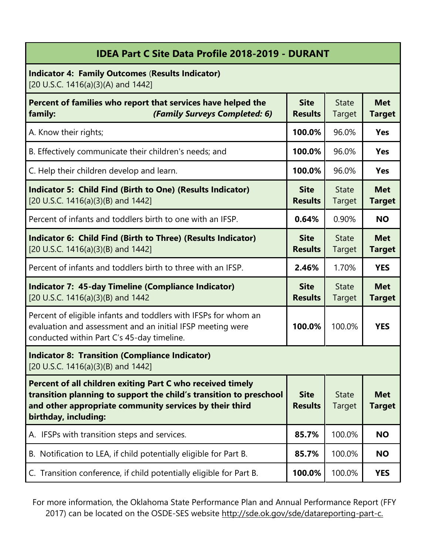| IDEA Part C Site Data Profile 2018-2019 - DURANT                                                                                                                                                                    |                               |                               |                             |
|---------------------------------------------------------------------------------------------------------------------------------------------------------------------------------------------------------------------|-------------------------------|-------------------------------|-----------------------------|
| <b>Indicator 4: Family Outcomes (Results Indicator)</b><br>[20 U.S.C. 1416(a)(3)(A) and 1442]                                                                                                                       |                               |                               |                             |
| Percent of families who report that services have helped the<br>(Family Surveys Completed: 6)<br>family:                                                                                                            | <b>Site</b><br><b>Results</b> | <b>State</b><br>Target        | <b>Met</b><br><b>Target</b> |
| A. Know their rights;                                                                                                                                                                                               | 100.0%                        | 96.0%                         | <b>Yes</b>                  |
| B. Effectively communicate their children's needs; and                                                                                                                                                              | 100.0%                        | 96.0%                         | <b>Yes</b>                  |
| C. Help their children develop and learn.                                                                                                                                                                           | 100.0%                        | 96.0%                         | <b>Yes</b>                  |
| <b>Indicator 5: Child Find (Birth to One) (Results Indicator)</b><br>[20 U.S.C. 1416(a)(3)(B) and 1442]                                                                                                             | <b>Site</b><br><b>Results</b> | <b>State</b><br>Target        | <b>Met</b><br><b>Target</b> |
| Percent of infants and toddlers birth to one with an IFSP.                                                                                                                                                          | 0.64%                         | 0.90%                         | <b>NO</b>                   |
| Indicator 6: Child Find (Birth to Three) (Results Indicator)<br>[20 U.S.C. 1416(a)(3)(B) and 1442]                                                                                                                  | <b>Site</b><br><b>Results</b> | <b>State</b><br>Target        | <b>Met</b><br><b>Target</b> |
| Percent of infants and toddlers birth to three with an IFSP.                                                                                                                                                        | 2.46%                         | 1.70%                         | <b>YES</b>                  |
| <b>Indicator 7: 45-day Timeline (Compliance Indicator)</b><br>[20 U.S.C. 1416(a)(3)(B) and 1442                                                                                                                     | <b>Site</b><br><b>Results</b> | <b>State</b><br>Target        | <b>Met</b><br><b>Target</b> |
| Percent of eligible infants and toddlers with IFSPs for whom an<br>evaluation and assessment and an initial IFSP meeting were<br>conducted within Part C's 45-day timeline.                                         | 100.0%                        | 100.0%                        | <b>YES</b>                  |
| <b>Indicator 8: Transition (Compliance Indicator)</b><br>[20 U.S.C. 1416(a)(3)(B) and 1442]                                                                                                                         |                               |                               |                             |
| Percent of all children exiting Part C who received timely<br>transition planning to support the child's transition to preschool<br>and other appropriate community services by their third<br>birthday, including: | <b>Site</b><br><b>Results</b> | <b>State</b><br><b>Target</b> | <b>Met</b><br><b>Target</b> |
| IFSPs with transition steps and services.<br>А.                                                                                                                                                                     | 85.7%                         | 100.0%                        | <b>NO</b>                   |
| B. Notification to LEA, if child potentially eligible for Part B.                                                                                                                                                   | 85.7%                         | 100.0%                        | <b>NO</b>                   |
| C. Transition conference, if child potentially eligible for Part B.                                                                                                                                                 | 100.0%                        | 100.0%                        | <b>YES</b>                  |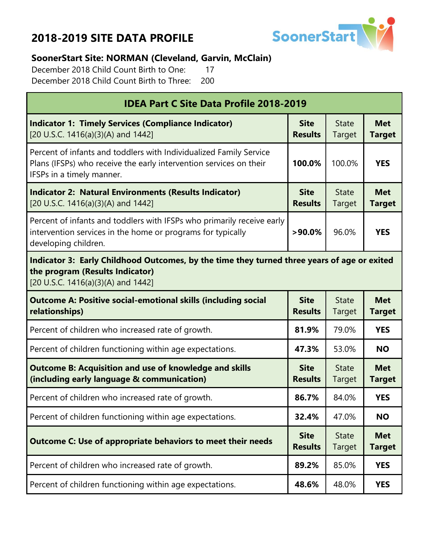

#### **SoonerStart Site: NORMAN (Cleveland, Garvin, McClain)**

December 2018 Child Count Birth to One: 17 December 2018 Child Count Birth to Three: 200

| <b>IDEA Part C Site Data Profile 2018-2019</b>                                                                                                                        |                               |                        |                             |  |
|-----------------------------------------------------------------------------------------------------------------------------------------------------------------------|-------------------------------|------------------------|-----------------------------|--|
| <b>Indicator 1: Timely Services (Compliance Indicator)</b><br>[20 U.S.C. 1416(a)(3)(A) and 1442]                                                                      | <b>Site</b><br><b>Results</b> | <b>State</b><br>Target | <b>Met</b><br><b>Target</b> |  |
| Percent of infants and toddlers with Individualized Family Service<br>Plans (IFSPs) who receive the early intervention services on their<br>IFSPs in a timely manner. | 100.0%                        | 100.0%                 | <b>YES</b>                  |  |
| <b>Indicator 2: Natural Environments (Results Indicator)</b><br>[20 U.S.C. 1416(a)(3)(A) and 1442]                                                                    | <b>Site</b><br><b>Results</b> | <b>State</b><br>Target | <b>Met</b><br><b>Target</b> |  |
| Percent of infants and toddlers with IFSPs who primarily receive early<br>intervention services in the home or programs for typically<br>developing children.         | $>90.0\%$                     | 96.0%                  | <b>YES</b>                  |  |
| Indicator 3: Early Childhood Outcomes, by the time they turned three years of age or exited<br>the program (Results Indicator)<br>[20 U.S.C. 1416(a)(3)(A) and 1442]  |                               |                        |                             |  |
| <b>Outcome A: Positive social-emotional skills (including social</b><br>relationships)                                                                                | <b>Site</b><br><b>Results</b> | <b>State</b><br>Target | <b>Met</b><br><b>Target</b> |  |
| Percent of children who increased rate of growth.                                                                                                                     | 81.9%                         | 79.0%                  | <b>YES</b>                  |  |
| Percent of children functioning within age expectations.                                                                                                              | 47.3%                         | 53.0%                  | <b>NO</b>                   |  |
| <b>Outcome B: Acquisition and use of knowledge and skills</b><br>(including early language & communication)                                                           | <b>Site</b><br><b>Results</b> | <b>State</b><br>Target | <b>Met</b><br><b>Target</b> |  |
| Percent of children who increased rate of growth.                                                                                                                     | 86.7%                         | 84.0%                  | <b>YES</b>                  |  |
| Percent of children functioning within age expectations.                                                                                                              | 32.4%                         | 47.0%                  | <b>NO</b>                   |  |
| <b>Outcome C: Use of appropriate behaviors to meet their needs</b>                                                                                                    | <b>Site</b><br><b>Results</b> | <b>State</b><br>Target | <b>Met</b><br><b>Target</b> |  |
| Percent of children who increased rate of growth.                                                                                                                     | 89.2%                         | 85.0%                  | <b>YES</b>                  |  |
| Percent of children functioning within age expectations.                                                                                                              | 48.6%                         | 48.0%                  | <b>YES</b>                  |  |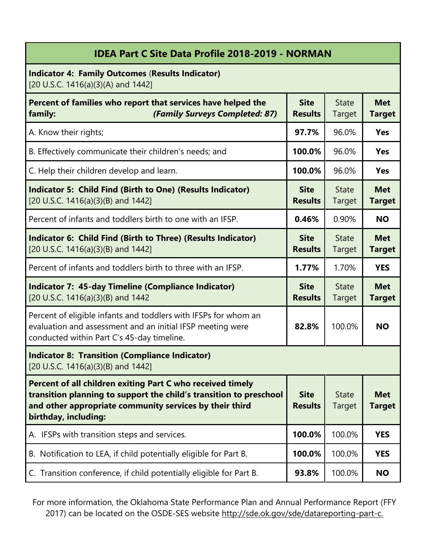|                                                                                                                                                                                                                     | <b>IDEA Part C Site Data Profile 2018-2019 - NORMAN</b> |                               |                             |
|---------------------------------------------------------------------------------------------------------------------------------------------------------------------------------------------------------------------|---------------------------------------------------------|-------------------------------|-----------------------------|
| <b>Indicator 4: Family Outcomes (Results Indicator)</b><br>[20 U.S.C. 1416(a)(3)(A) and 1442]                                                                                                                       |                                                         |                               |                             |
| Percent of families who report that services have helped the<br>(Family Surveys Completed: 87)<br>family:                                                                                                           | <b>Site</b><br><b>Results</b>                           | <b>State</b><br>Target        | <b>Met</b><br><b>Target</b> |
| A. Know their rights;                                                                                                                                                                                               | 97.7%                                                   | 96.0%                         | <b>Yes</b>                  |
| B. Effectively communicate their children's needs; and                                                                                                                                                              | 100.0%                                                  | 96.0%                         | <b>Yes</b>                  |
| C. Help their children develop and learn.                                                                                                                                                                           | 100.0%                                                  | 96.0%                         | <b>Yes</b>                  |
| <b>Indicator 5: Child Find (Birth to One) (Results Indicator)</b><br>[20 U.S.C. 1416(a)(3)(B) and 1442]                                                                                                             | <b>Site</b><br><b>Results</b>                           | <b>State</b><br><b>Target</b> | <b>Met</b><br><b>Target</b> |
| Percent of infants and toddlers birth to one with an IFSP.                                                                                                                                                          | 0.46%                                                   | 0.90%                         | <b>NO</b>                   |
| Indicator 6: Child Find (Birth to Three) (Results Indicator)<br>[20 U.S.C. 1416(a)(3)(B) and 1442]                                                                                                                  | <b>Site</b><br><b>Results</b>                           | <b>State</b><br>Target        | <b>Met</b><br><b>Target</b> |
| Percent of infants and toddlers birth to three with an IFSP.                                                                                                                                                        | 1.77%                                                   | 1.70%                         | <b>YES</b>                  |
| <b>Indicator 7: 45-day Timeline (Compliance Indicator)</b><br>[20 U.S.C. 1416(a)(3)(B) and 1442                                                                                                                     | <b>Site</b><br><b>Results</b>                           | <b>State</b><br>Target        | <b>Met</b><br><b>Target</b> |
| Percent of eligible infants and toddlers with IFSPs for whom an<br>evaluation and assessment and an initial IFSP meeting were<br>conducted within Part C's 45-day timeline.                                         | 82.8%                                                   | 100.0%                        | <b>NO</b>                   |
| <b>Indicator 8: Transition (Compliance Indicator)</b><br>[20 U.S.C. 1416(a)(3)(B) and 1442]                                                                                                                         |                                                         |                               |                             |
| Percent of all children exiting Part C who received timely<br>transition planning to support the child's transition to preschool<br>and other appropriate community services by their third<br>birthday, including: | <b>Site</b><br><b>Results</b>                           | <b>State</b><br><b>Target</b> | <b>Met</b><br><b>Target</b> |
| IFSPs with transition steps and services.<br>А.                                                                                                                                                                     | 100.0%                                                  | 100.0%                        | <b>YES</b>                  |
| B. Notification to LEA, if child potentially eligible for Part B.                                                                                                                                                   | 100.0%                                                  | 100.0%                        | <b>YES</b>                  |
| C. Transition conference, if child potentially eligible for Part B.                                                                                                                                                 | 93.8%                                                   | 100.0%                        | <b>NO</b>                   |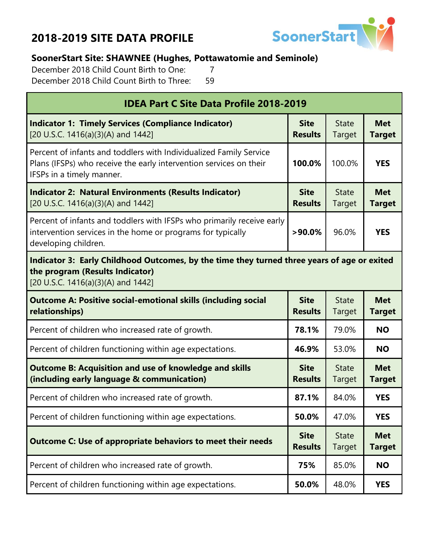

#### **SoonerStart Site: SHAWNEE (Hughes, Pottawatomie and Seminole)**

December 2018 Child Count Birth to One: 7 December 2018 Child Count Birth to Three: 59

| <b>IDEA Part C Site Data Profile 2018-2019</b>                                                                                                                        |                               |                        |                             |  |
|-----------------------------------------------------------------------------------------------------------------------------------------------------------------------|-------------------------------|------------------------|-----------------------------|--|
| <b>Indicator 1: Timely Services (Compliance Indicator)</b><br>[20 U.S.C. 1416(a)(3)(A) and 1442]                                                                      | <b>Site</b><br><b>Results</b> | <b>State</b><br>Target | <b>Met</b><br><b>Target</b> |  |
| Percent of infants and toddlers with Individualized Family Service<br>Plans (IFSPs) who receive the early intervention services on their<br>IFSPs in a timely manner. | 100.0%                        | 100.0%                 | <b>YES</b>                  |  |
| <b>Indicator 2: Natural Environments (Results Indicator)</b><br>[20 U.S.C. 1416(a)(3)(A) and 1442]                                                                    | <b>Site</b><br><b>Results</b> | <b>State</b><br>Target | <b>Met</b><br><b>Target</b> |  |
| Percent of infants and toddlers with IFSPs who primarily receive early<br>intervention services in the home or programs for typically<br>developing children.         | $>90.0\%$                     | 96.0%                  | <b>YES</b>                  |  |
| Indicator 3: Early Childhood Outcomes, by the time they turned three years of age or exited<br>the program (Results Indicator)<br>[20 U.S.C. 1416(a)(3)(A) and 1442]  |                               |                        |                             |  |
| <b>Outcome A: Positive social-emotional skills (including social</b><br>relationships)                                                                                | <b>Site</b><br><b>Results</b> | <b>State</b><br>Target | <b>Met</b><br><b>Target</b> |  |
| Percent of children who increased rate of growth.                                                                                                                     | 78.1%                         | 79.0%                  | <b>NO</b>                   |  |
| Percent of children functioning within age expectations.                                                                                                              | 46.9%                         | 53.0%                  | <b>NO</b>                   |  |
| <b>Outcome B: Acquisition and use of knowledge and skills</b><br>(including early language & communication)                                                           | <b>Site</b><br><b>Results</b> | <b>State</b><br>Target | <b>Met</b><br><b>Target</b> |  |
| Percent of children who increased rate of growth.                                                                                                                     | 87.1%                         | 84.0%                  | <b>YES</b>                  |  |
| Percent of children functioning within age expectations.                                                                                                              | 50.0%                         | 47.0%                  | <b>YES</b>                  |  |
| <b>Outcome C: Use of appropriate behaviors to meet their needs</b><br><b>Results</b>                                                                                  |                               | <b>State</b><br>Target | <b>Met</b><br><b>Target</b> |  |
| Percent of children who increased rate of growth.                                                                                                                     | 75%                           | 85.0%                  | <b>NO</b>                   |  |
| Percent of children functioning within age expectations.                                                                                                              | 50.0%                         | 48.0%                  | <b>YES</b>                  |  |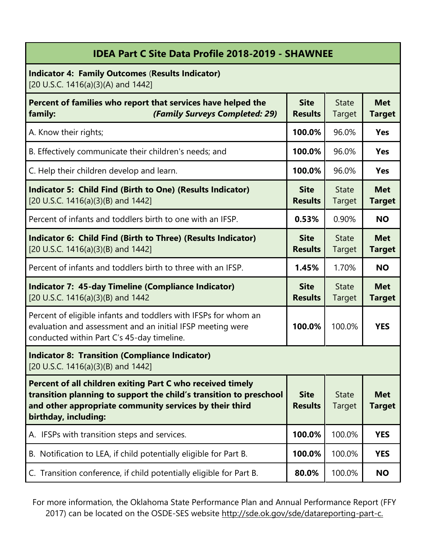| <b>IDEA Part C Site Data Profile 2018-2019 - SHAWNEE</b>                                                                                                                                                            |                               |                        |                             |
|---------------------------------------------------------------------------------------------------------------------------------------------------------------------------------------------------------------------|-------------------------------|------------------------|-----------------------------|
| <b>Indicator 4: Family Outcomes (Results Indicator)</b><br>[20 U.S.C. 1416(a)(3)(A) and 1442]                                                                                                                       |                               |                        |                             |
| Percent of families who report that services have helped the<br>(Family Surveys Completed: 29)<br>family:                                                                                                           | <b>Site</b><br><b>Results</b> | <b>State</b><br>Target | <b>Met</b><br><b>Target</b> |
| A. Know their rights;                                                                                                                                                                                               | 100.0%                        | 96.0%                  | <b>Yes</b>                  |
| B. Effectively communicate their children's needs; and                                                                                                                                                              | 100.0%                        | 96.0%                  | <b>Yes</b>                  |
| C. Help their children develop and learn.                                                                                                                                                                           | 100.0%                        | 96.0%                  | <b>Yes</b>                  |
| <b>Indicator 5: Child Find (Birth to One) (Results Indicator)</b><br>[20 U.S.C. 1416(a)(3)(B) and 1442]                                                                                                             | <b>Site</b><br><b>Results</b> | <b>State</b><br>Target | <b>Met</b><br><b>Target</b> |
| Percent of infants and toddlers birth to one with an IFSP.                                                                                                                                                          | 0.53%                         | 0.90%                  | <b>NO</b>                   |
| Indicator 6: Child Find (Birth to Three) (Results Indicator)<br>[20 U.S.C. 1416(a)(3)(B) and 1442]                                                                                                                  | <b>Site</b><br><b>Results</b> | <b>State</b><br>Target | <b>Met</b><br><b>Target</b> |
| Percent of infants and toddlers birth to three with an IFSP.                                                                                                                                                        | 1.45%                         | 1.70%                  | <b>NO</b>                   |
| <b>Indicator 7: 45-day Timeline (Compliance Indicator)</b><br>[20 U.S.C. 1416(a)(3)(B) and 1442                                                                                                                     | <b>Site</b><br><b>Results</b> | <b>State</b><br>Target | <b>Met</b><br><b>Target</b> |
| Percent of eligible infants and toddlers with IFSPs for whom an<br>evaluation and assessment and an initial IFSP meeting were<br>conducted within Part C's 45-day timeline.                                         | 100.0%                        | 100.0%                 | <b>YES</b>                  |
| <b>Indicator 8: Transition (Compliance Indicator)</b><br>[20 U.S.C. 1416(a)(3)(B) and 1442]                                                                                                                         |                               |                        |                             |
| Percent of all children exiting Part C who received timely<br>transition planning to support the child's transition to preschool<br>and other appropriate community services by their third<br>birthday, including: | <b>Site</b><br><b>Results</b> | <b>State</b><br>Target | <b>Met</b><br><b>Target</b> |
| A. IFSPs with transition steps and services.                                                                                                                                                                        | 100.0%                        | 100.0%                 | <b>YES</b>                  |
| B. Notification to LEA, if child potentially eligible for Part B.                                                                                                                                                   | 100.0%                        | 100.0%                 | <b>YES</b>                  |
| C. Transition conference, if child potentially eligible for Part B.                                                                                                                                                 | 80.0%                         | 100.0%                 | <b>NO</b>                   |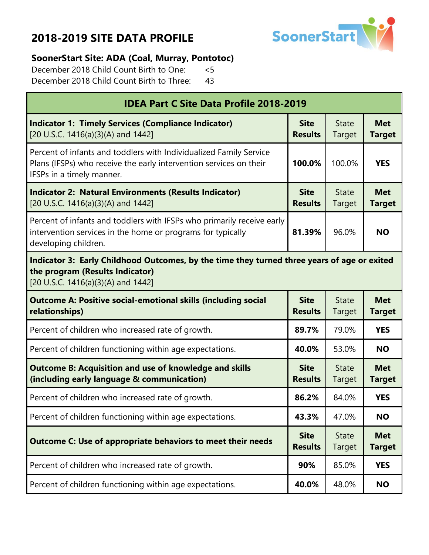

#### **SoonerStart Site: ADA (Coal, Murray, Pontotoc)**

December 2018 Child Count Birth to One: <5 December 2018 Child Count Birth to Three: 43

| <b>IDEA Part C Site Data Profile 2018-2019</b>                                                                                                                        |                               |                               |                             |  |
|-----------------------------------------------------------------------------------------------------------------------------------------------------------------------|-------------------------------|-------------------------------|-----------------------------|--|
| <b>Indicator 1: Timely Services (Compliance Indicator)</b><br>[20 U.S.C. 1416(a)(3)(A) and 1442]                                                                      | <b>Site</b><br><b>Results</b> | <b>State</b><br>Target        | <b>Met</b><br><b>Target</b> |  |
| Percent of infants and toddlers with Individualized Family Service<br>Plans (IFSPs) who receive the early intervention services on their<br>IFSPs in a timely manner. | 100.0%                        | 100.0%                        | <b>YES</b>                  |  |
| <b>Site</b><br><b>Indicator 2: Natural Environments (Results Indicator)</b><br>[20 U.S.C. 1416(a)(3)(A) and 1442]<br><b>Results</b>                                   |                               | <b>State</b><br>Target        | <b>Met</b><br><b>Target</b> |  |
| Percent of infants and toddlers with IFSPs who primarily receive early<br>intervention services in the home or programs for typically<br>developing children.         | 81.39%                        | 96.0%                         | <b>NO</b>                   |  |
| Indicator 3: Early Childhood Outcomes, by the time they turned three years of age or exited<br>the program (Results Indicator)<br>[20 U.S.C. 1416(a)(3)(A) and 1442]  |                               |                               |                             |  |
| <b>Outcome A: Positive social-emotional skills (including social</b><br>relationships)                                                                                | <b>Site</b><br><b>Results</b> | <b>State</b><br>Target        | <b>Met</b><br><b>Target</b> |  |
| Percent of children who increased rate of growth.                                                                                                                     | 89.7%                         | 79.0%                         | <b>YES</b>                  |  |
| Percent of children functioning within age expectations.                                                                                                              | 40.0%                         | 53.0%                         | <b>NO</b>                   |  |
| <b>Outcome B: Acquisition and use of knowledge and skills</b><br>(including early language & communication)                                                           | <b>Site</b><br><b>Results</b> | <b>State</b><br>Target        | <b>Met</b><br><b>Target</b> |  |
| Percent of children who increased rate of growth.                                                                                                                     | 86.2%                         | 84.0%                         | <b>YES</b>                  |  |
| Percent of children functioning within age expectations.                                                                                                              | 43.3%                         | 47.0%                         | <b>NO</b>                   |  |
| <b>Outcome C: Use of appropriate behaviors to meet their needs</b>                                                                                                    |                               | <b>State</b><br><b>Target</b> | <b>Met</b><br><b>Target</b> |  |
| Percent of children who increased rate of growth.                                                                                                                     | 90%                           | 85.0%                         | <b>YES</b>                  |  |
| Percent of children functioning within age expectations.                                                                                                              | 40.0%                         | 48.0%                         | <b>NO</b>                   |  |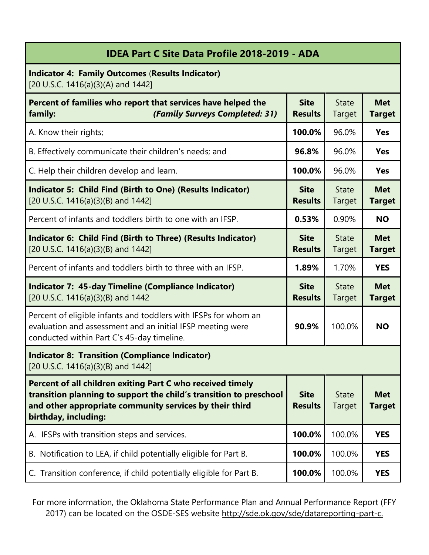| <b>IDEA Part C Site Data Profile 2018-2019 - ADA</b>                                                                                                                                                                |                               |                               |                             |
|---------------------------------------------------------------------------------------------------------------------------------------------------------------------------------------------------------------------|-------------------------------|-------------------------------|-----------------------------|
| <b>Indicator 4: Family Outcomes (Results Indicator)</b><br>[20 U.S.C. 1416(a)(3)(A) and 1442]                                                                                                                       |                               |                               |                             |
| Percent of families who report that services have helped the<br>(Family Surveys Completed: 31)<br>family:                                                                                                           | <b>Site</b><br><b>Results</b> | <b>State</b><br>Target        | <b>Met</b><br><b>Target</b> |
| A. Know their rights;                                                                                                                                                                                               | 100.0%                        | 96.0%                         | <b>Yes</b>                  |
| B. Effectively communicate their children's needs; and                                                                                                                                                              | 96.8%                         | 96.0%                         | <b>Yes</b>                  |
| C. Help their children develop and learn.                                                                                                                                                                           | 100.0%                        | 96.0%                         | <b>Yes</b>                  |
| Indicator 5: Child Find (Birth to One) (Results Indicator)<br>[20 U.S.C. 1416(a)(3)(B) and 1442]                                                                                                                    | <b>Site</b><br><b>Results</b> | <b>State</b><br><b>Target</b> | <b>Met</b><br><b>Target</b> |
| Percent of infants and toddlers birth to one with an IFSP.                                                                                                                                                          | 0.53%                         | 0.90%                         | <b>NO</b>                   |
| Indicator 6: Child Find (Birth to Three) (Results Indicator)<br>[20 U.S.C. 1416(a)(3)(B) and 1442]                                                                                                                  | <b>Site</b><br><b>Results</b> | <b>State</b><br>Target        | <b>Met</b><br><b>Target</b> |
| Percent of infants and toddlers birth to three with an IFSP.                                                                                                                                                        | 1.89%                         | 1.70%                         | <b>YES</b>                  |
| <b>Indicator 7: 45-day Timeline (Compliance Indicator)</b><br>[20 U.S.C. 1416(a)(3)(B) and 1442                                                                                                                     | <b>Site</b><br><b>Results</b> | <b>State</b><br>Target        | <b>Met</b><br><b>Target</b> |
| Percent of eligible infants and toddlers with IFSPs for whom an<br>evaluation and assessment and an initial IFSP meeting were<br>conducted within Part C's 45-day timeline.                                         | 90.9%                         | 100.0%                        | <b>NO</b>                   |
| <b>Indicator 8: Transition (Compliance Indicator)</b><br>[20 U.S.C. 1416(a)(3)(B) and 1442]                                                                                                                         |                               |                               |                             |
| Percent of all children exiting Part C who received timely<br>transition planning to support the child's transition to preschool<br>and other appropriate community services by their third<br>birthday, including: | <b>Site</b><br><b>Results</b> | <b>State</b><br>Target        | <b>Met</b><br><b>Target</b> |
| A. IFSPs with transition steps and services.                                                                                                                                                                        | 100.0%                        | 100.0%                        | <b>YES</b>                  |
| B. Notification to LEA, if child potentially eligible for Part B.                                                                                                                                                   | 100.0%                        | 100.0%                        | <b>YES</b>                  |
| C. Transition conference, if child potentially eligible for Part B.                                                                                                                                                 | 100.0%                        | 100.0%                        | <b>YES</b>                  |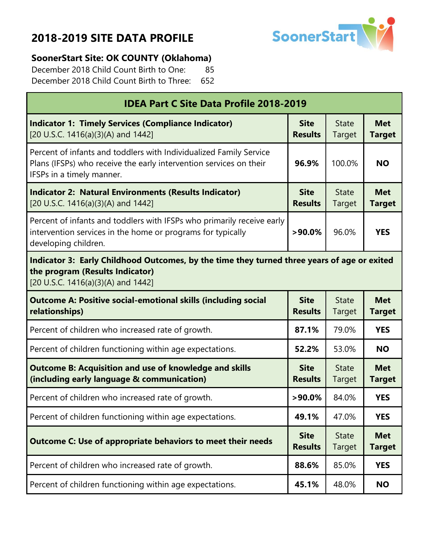г



#### **SoonerStart Site: OK COUNTY (Oklahoma)**

December 2018 Child Count Birth to One: 85 December 2018 Child Count Birth to Three: 652

| <b>IDEA Part C Site Data Profile 2018-2019</b>                                                                                                                        |                               |                        |                             |  |
|-----------------------------------------------------------------------------------------------------------------------------------------------------------------------|-------------------------------|------------------------|-----------------------------|--|
| <b>Indicator 1: Timely Services (Compliance Indicator)</b><br>[20 U.S.C. 1416(a)(3)(A) and 1442]                                                                      | <b>Site</b><br><b>Results</b> | <b>State</b><br>Target | <b>Met</b><br><b>Target</b> |  |
| Percent of infants and toddlers with Individualized Family Service<br>Plans (IFSPs) who receive the early intervention services on their<br>IFSPs in a timely manner. | 96.9%                         | 100.0%                 | <b>NO</b>                   |  |
| <b>Indicator 2: Natural Environments (Results Indicator)</b><br>[20 U.S.C. 1416(a)(3)(A) and 1442]                                                                    | <b>Site</b><br><b>Results</b> | <b>State</b><br>Target | <b>Met</b><br><b>Target</b> |  |
| Percent of infants and toddlers with IFSPs who primarily receive early<br>intervention services in the home or programs for typically<br>developing children.         | $>90.0\%$                     | 96.0%                  | <b>YES</b>                  |  |
| Indicator 3: Early Childhood Outcomes, by the time they turned three years of age or exited<br>the program (Results Indicator)<br>[20 U.S.C. 1416(a)(3)(A) and 1442]  |                               |                        |                             |  |
| <b>Outcome A: Positive social-emotional skills (including social</b><br>relationships)                                                                                | <b>Site</b><br><b>Results</b> | <b>State</b><br>Target | <b>Met</b><br><b>Target</b> |  |
| Percent of children who increased rate of growth.                                                                                                                     | 87.1%                         | 79.0%                  | <b>YES</b>                  |  |
| Percent of children functioning within age expectations.                                                                                                              | 52.2%                         | 53.0%                  | <b>NO</b>                   |  |
| <b>Outcome B: Acquisition and use of knowledge and skills</b><br>(including early language & communication)                                                           | <b>Site</b><br><b>Results</b> | <b>State</b><br>Target | <b>Met</b><br><b>Target</b> |  |
| Percent of children who increased rate of growth.                                                                                                                     | $>90.0\%$                     | 84.0%                  | <b>YES</b>                  |  |
| Percent of children functioning within age expectations.                                                                                                              | 49.1%                         | 47.0%                  | <b>YES</b>                  |  |
| <b>Outcome C: Use of appropriate behaviors to meet their needs</b>                                                                                                    | <b>Site</b><br><b>Results</b> | <b>State</b><br>Target | <b>Met</b><br><b>Target</b> |  |
| Percent of children who increased rate of growth.                                                                                                                     | 88.6%                         | 85.0%                  | <b>YES</b>                  |  |
| Percent of children functioning within age expectations.                                                                                                              | 45.1%                         | 48.0%                  | <b>NO</b>                   |  |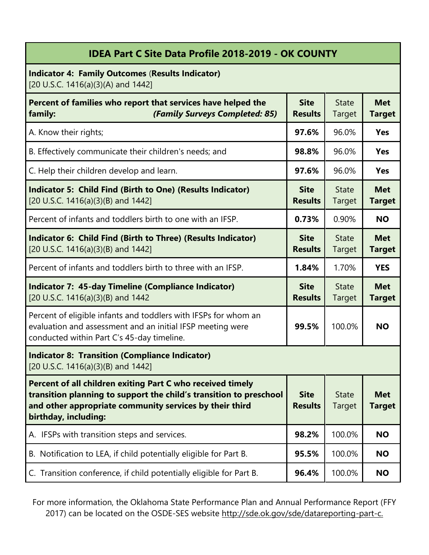#### **IDEA Part C Site Data Profile 2018-2019 - OK COUNTY**

**Indicator 4: Family Outcomes** (**Results Indicator)** [20 U.S.C. 1416(a)(3)(A) and 1442]

| Percent of families who report that services have helped the<br>(Family Surveys Completed: 85)<br>family:                                                                                                           | <b>Site</b><br><b>Results</b> | <b>State</b><br><b>Target</b> | <b>Met</b><br><b>Target</b> |
|---------------------------------------------------------------------------------------------------------------------------------------------------------------------------------------------------------------------|-------------------------------|-------------------------------|-----------------------------|
| A. Know their rights;                                                                                                                                                                                               | 97.6%                         | 96.0%                         | <b>Yes</b>                  |
| B. Effectively communicate their children's needs; and                                                                                                                                                              | 98.8%                         | 96.0%                         | <b>Yes</b>                  |
| C. Help their children develop and learn.                                                                                                                                                                           | 97.6%                         | 96.0%                         | <b>Yes</b>                  |
| <b>Indicator 5: Child Find (Birth to One) (Results Indicator)</b><br>[20 U.S.C. 1416(a)(3)(B) and 1442]                                                                                                             | <b>Site</b><br><b>Results</b> | <b>State</b><br>Target        | <b>Met</b><br><b>Target</b> |
| Percent of infants and toddlers birth to one with an IFSP.                                                                                                                                                          | 0.73%                         | 0.90%                         | <b>NO</b>                   |
| Indicator 6: Child Find (Birth to Three) (Results Indicator)<br>[20 U.S.C. 1416(a)(3)(B) and 1442]                                                                                                                  | <b>Site</b><br><b>Results</b> | <b>State</b><br>Target        | <b>Met</b><br><b>Target</b> |
| Percent of infants and toddlers birth to three with an IFSP.                                                                                                                                                        | 1.84%                         | 1.70%                         | <b>YES</b>                  |
| <b>Indicator 7: 45-day Timeline (Compliance Indicator)</b><br>[20 U.S.C. 1416(a)(3)(B) and 1442                                                                                                                     | <b>Site</b><br><b>Results</b> | <b>State</b><br><b>Target</b> | <b>Met</b><br><b>Target</b> |
| Percent of eligible infants and toddlers with IFSPs for whom an<br>evaluation and assessment and an initial IFSP meeting were<br>conducted within Part C's 45-day timeline.                                         | 99.5%                         | 100.0%                        | <b>NO</b>                   |
| <b>Indicator 8: Transition (Compliance Indicator)</b><br>[20 U.S.C. 1416(a)(3)(B) and 1442]                                                                                                                         |                               |                               |                             |
| Percent of all children exiting Part C who received timely<br>transition planning to support the child's transition to preschool<br>and other appropriate community services by their third<br>birthday, including: | <b>Site</b><br><b>Results</b> | <b>State</b><br>Target        | <b>Met</b><br><b>Target</b> |
| A. IFSPs with transition steps and services.                                                                                                                                                                        | 98.2%                         | 100.0%                        | <b>NO</b>                   |
| B. Notification to LEA, if child potentially eligible for Part B.                                                                                                                                                   | 95.5%                         | 100.0%                        | <b>NO</b>                   |
| C. Transition conference, if child potentially eligible for Part B.                                                                                                                                                 | 96.4%                         | 100.0%                        | <b>NO</b>                   |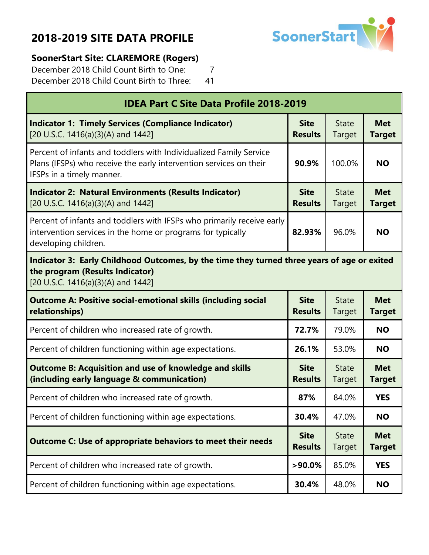

#### **SoonerStart Site: CLAREMORE (Rogers)**

Г

December 2018 Child Count Birth to One: 7 December 2018 Child Count Birth to Three: 41

| <b>IDEA Part C Site Data Profile 2018-2019</b>                                                                                                                        |                               |                        |                             |  |
|-----------------------------------------------------------------------------------------------------------------------------------------------------------------------|-------------------------------|------------------------|-----------------------------|--|
| <b>Indicator 1: Timely Services (Compliance Indicator)</b><br>[20 U.S.C. 1416(a)(3)(A) and 1442]                                                                      | <b>Site</b><br><b>Results</b> | <b>State</b><br>Target | <b>Met</b><br><b>Target</b> |  |
| Percent of infants and toddlers with Individualized Family Service<br>Plans (IFSPs) who receive the early intervention services on their<br>IFSPs in a timely manner. | 90.9%                         | 100.0%                 | <b>NO</b>                   |  |
| <b>Indicator 2: Natural Environments (Results Indicator)</b><br>[20 U.S.C. 1416(a)(3)(A) and 1442]                                                                    | <b>Site</b><br><b>Results</b> | <b>State</b><br>Target | <b>Met</b><br><b>Target</b> |  |
| Percent of infants and toddlers with IFSPs who primarily receive early<br>intervention services in the home or programs for typically<br>developing children.         | 82.93%                        | 96.0%                  | <b>NO</b>                   |  |
| Indicator 3: Early Childhood Outcomes, by the time they turned three years of age or exited<br>the program (Results Indicator)<br>[20 U.S.C. 1416(a)(3)(A) and 1442]  |                               |                        |                             |  |
| <b>Outcome A: Positive social-emotional skills (including social</b><br>relationships)                                                                                | <b>Site</b><br><b>Results</b> | <b>State</b><br>Target | <b>Met</b><br><b>Target</b> |  |
| Percent of children who increased rate of growth.                                                                                                                     | 72.7%                         | 79.0%                  | <b>NO</b>                   |  |
| Percent of children functioning within age expectations.                                                                                                              | 26.1%                         | 53.0%                  | <b>NO</b>                   |  |
| <b>Outcome B: Acquisition and use of knowledge and skills</b><br>(including early language & communication)                                                           | <b>Site</b><br><b>Results</b> | <b>State</b><br>Target | <b>Met</b><br><b>Target</b> |  |
| Percent of children who increased rate of growth.                                                                                                                     | 87%                           | 84.0%                  | <b>YES</b>                  |  |
| Percent of children functioning within age expectations.                                                                                                              | 30.4%                         | 47.0%                  | <b>NO</b>                   |  |
| <b>Outcome C: Use of appropriate behaviors to meet their needs</b>                                                                                                    | <b>Site</b><br><b>Results</b> | <b>State</b><br>Target | <b>Met</b><br><b>Target</b> |  |
| Percent of children who increased rate of growth.                                                                                                                     | $>90.0\%$                     | 85.0%                  | <b>YES</b>                  |  |
| Percent of children functioning within age expectations.                                                                                                              | 30.4%                         | 48.0%                  | <b>NO</b>                   |  |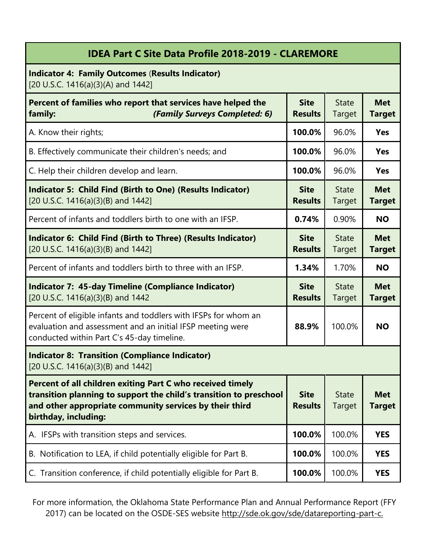| <b>IDEA Part C Site Data Profile 2018-2019 - CLAREMORE</b>                                                                                                                                                          |                               |                        |                             |
|---------------------------------------------------------------------------------------------------------------------------------------------------------------------------------------------------------------------|-------------------------------|------------------------|-----------------------------|
| <b>Indicator 4: Family Outcomes (Results Indicator)</b><br>[20 U.S.C. 1416(a)(3)(A) and 1442]                                                                                                                       |                               |                        |                             |
| Percent of families who report that services have helped the<br>(Family Surveys Completed: 6)<br>family:                                                                                                            | <b>Site</b><br><b>Results</b> | <b>State</b><br>Target | <b>Met</b><br><b>Target</b> |
| A. Know their rights;                                                                                                                                                                                               | 100.0%                        | 96.0%                  | Yes                         |
| B. Effectively communicate their children's needs; and                                                                                                                                                              | 100.0%                        | 96.0%                  | <b>Yes</b>                  |
| C. Help their children develop and learn.                                                                                                                                                                           | 100.0%                        | 96.0%                  | <b>Yes</b>                  |
| Indicator 5: Child Find (Birth to One) (Results Indicator)<br>[20 U.S.C. 1416(a)(3)(B) and 1442]                                                                                                                    | <b>Site</b><br><b>Results</b> | <b>State</b><br>Target | <b>Met</b><br><b>Target</b> |
| Percent of infants and toddlers birth to one with an IFSP.                                                                                                                                                          | 0.74%                         | 0.90%                  | <b>NO</b>                   |
| Indicator 6: Child Find (Birth to Three) (Results Indicator)<br>[20 U.S.C. 1416(a)(3)(B) and 1442]                                                                                                                  | <b>Site</b><br><b>Results</b> | <b>State</b><br>Target | <b>Met</b><br><b>Target</b> |
| Percent of infants and toddlers birth to three with an IFSP.                                                                                                                                                        | 1.34%                         | 1.70%                  | <b>NO</b>                   |
| <b>Indicator 7: 45-day Timeline (Compliance Indicator)</b><br>[20 U.S.C. 1416(a)(3)(B) and 1442                                                                                                                     | <b>Site</b><br><b>Results</b> | <b>State</b><br>Target | <b>Met</b><br><b>Target</b> |
| Percent of eligible infants and toddlers with IFSPs for whom an<br>evaluation and assessment and an initial IFSP meeting were<br>conducted within Part C's 45-day timeline.                                         | 88.9%                         | 100.0%                 | <b>NO</b>                   |
| <b>Indicator 8: Transition (Compliance Indicator)</b><br>[20 U.S.C. 1416(a)(3)(B) and 1442]                                                                                                                         |                               |                        |                             |
| Percent of all children exiting Part C who received timely<br>transition planning to support the child's transition to preschool<br>and other appropriate community services by their third<br>birthday, including: | <b>Site</b><br><b>Results</b> | <b>State</b><br>Target | <b>Met</b><br><b>Target</b> |
| A. IFSPs with transition steps and services.                                                                                                                                                                        | 100.0%                        | 100.0%                 | <b>YES</b>                  |
| B. Notification to LEA, if child potentially eligible for Part B.                                                                                                                                                   | 100.0%                        | 100.0%                 | <b>YES</b>                  |
| C. Transition conference, if child potentially eligible for Part B.                                                                                                                                                 | 100.0%                        | 100.0%                 | <b>YES</b>                  |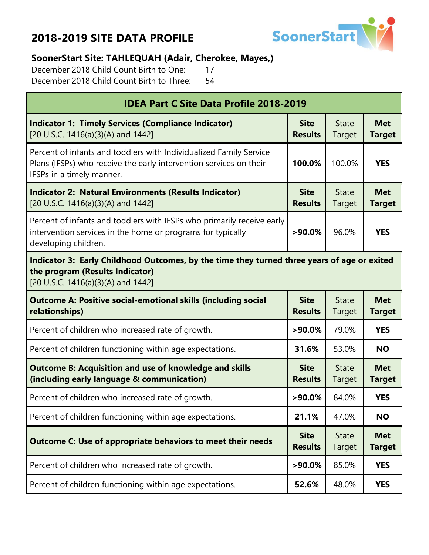

#### **SoonerStart Site: TAHLEQUAH (Adair, Cherokee, Mayes,)**

December 2018 Child Count Birth to One: 17 December 2018 Child Count Birth to Three: 54

| <b>IDEA Part C Site Data Profile 2018-2019</b>                                                                                                                        |                               |                        |                             |  |
|-----------------------------------------------------------------------------------------------------------------------------------------------------------------------|-------------------------------|------------------------|-----------------------------|--|
| <b>Indicator 1: Timely Services (Compliance Indicator)</b><br>[20 U.S.C. 1416(a)(3)(A) and 1442]                                                                      | <b>Site</b><br><b>Results</b> | <b>State</b><br>Target | <b>Met</b><br><b>Target</b> |  |
| Percent of infants and toddlers with Individualized Family Service<br>Plans (IFSPs) who receive the early intervention services on their<br>IFSPs in a timely manner. | 100.0%                        | 100.0%                 | <b>YES</b>                  |  |
| <b>Indicator 2: Natural Environments (Results Indicator)</b><br>[20 U.S.C. 1416(a)(3)(A) and 1442]                                                                    | <b>Site</b><br><b>Results</b> | <b>State</b><br>Target | <b>Met</b><br><b>Target</b> |  |
| Percent of infants and toddlers with IFSPs who primarily receive early<br>intervention services in the home or programs for typically<br>developing children.         | $>90.0\%$                     | 96.0%                  | <b>YES</b>                  |  |
| Indicator 3: Early Childhood Outcomes, by the time they turned three years of age or exited<br>the program (Results Indicator)<br>[20 U.S.C. 1416(a)(3)(A) and 1442]  |                               |                        |                             |  |
| <b>Outcome A: Positive social-emotional skills (including social</b><br>relationships)                                                                                | <b>Site</b><br><b>Results</b> | <b>State</b><br>Target | <b>Met</b><br><b>Target</b> |  |
| Percent of children who increased rate of growth.                                                                                                                     | $>90.0\%$                     | 79.0%                  | <b>YES</b>                  |  |
| Percent of children functioning within age expectations.                                                                                                              | 31.6%                         | 53.0%                  | <b>NO</b>                   |  |
| <b>Outcome B: Acquisition and use of knowledge and skills</b><br>(including early language & communication)                                                           | <b>Site</b><br><b>Results</b> | <b>State</b><br>Target | <b>Met</b><br><b>Target</b> |  |
| Percent of children who increased rate of growth.                                                                                                                     | $>90.0\%$                     | 84.0%                  | <b>YES</b>                  |  |
| Percent of children functioning within age expectations.                                                                                                              | 21.1%                         | 47.0%                  | <b>NO</b>                   |  |
| <b>Outcome C: Use of appropriate behaviors to meet their needs</b>                                                                                                    |                               | <b>State</b><br>Target | <b>Met</b><br><b>Target</b> |  |
| Percent of children who increased rate of growth.                                                                                                                     | $>90.0\%$                     | 85.0%                  | <b>YES</b>                  |  |
| Percent of children functioning within age expectations.                                                                                                              | 52.6%                         | 48.0%                  | <b>YES</b>                  |  |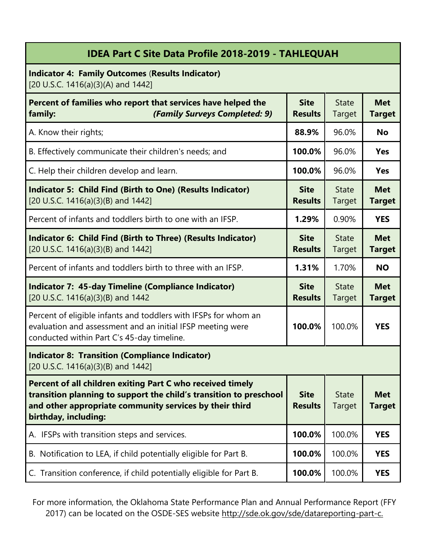| <b>IDEA Part C Site Data Profile 2018-2019 - TAHLEQUAH</b> |
|------------------------------------------------------------|
|                                                            |

**Indicator 4: Family Outcomes** (**Results Indicator)** [20 U.S.C. 1416(a)(3)(A) and 1442]

| Percent of families who report that services have helped the<br>(Family Surveys Completed: 9)<br>family:                                                                                                            | <b>Site</b><br><b>Results</b> | <b>State</b><br>Target        | <b>Met</b><br><b>Target</b> |
|---------------------------------------------------------------------------------------------------------------------------------------------------------------------------------------------------------------------|-------------------------------|-------------------------------|-----------------------------|
| A. Know their rights;                                                                                                                                                                                               | 88.9%                         | 96.0%                         | <b>No</b>                   |
| B. Effectively communicate their children's needs; and                                                                                                                                                              | 100.0%                        | 96.0%                         | <b>Yes</b>                  |
| C. Help their children develop and learn.                                                                                                                                                                           | 100.0%                        | 96.0%                         | <b>Yes</b>                  |
| Indicator 5: Child Find (Birth to One) (Results Indicator)<br>[20 U.S.C. 1416(a)(3)(B) and 1442]                                                                                                                    | <b>Site</b><br><b>Results</b> | <b>State</b><br><b>Target</b> | <b>Met</b><br><b>Target</b> |
| Percent of infants and toddlers birth to one with an IFSP.                                                                                                                                                          | 1.29%                         | 0.90%                         | <b>YES</b>                  |
| Indicator 6: Child Find (Birth to Three) (Results Indicator)<br>[20 U.S.C. 1416(a)(3)(B) and 1442]                                                                                                                  | <b>Site</b><br><b>Results</b> | <b>State</b><br><b>Target</b> | <b>Met</b><br><b>Target</b> |
| Percent of infants and toddlers birth to three with an IFSP.                                                                                                                                                        | 1.31%                         | 1.70%                         | <b>NO</b>                   |
| <b>Indicator 7: 45-day Timeline (Compliance Indicator)</b><br>[20 U.S.C. 1416(a)(3)(B) and 1442                                                                                                                     | <b>Site</b><br><b>Results</b> | <b>State</b><br><b>Target</b> | <b>Met</b><br><b>Target</b> |
| Percent of eligible infants and toddlers with IFSPs for whom an<br>evaluation and assessment and an initial IFSP meeting were<br>conducted within Part C's 45-day timeline.                                         | 100.0%                        | 100.0%                        | <b>YES</b>                  |
| <b>Indicator 8: Transition (Compliance Indicator)</b><br>[20 U.S.C. 1416(a)(3)(B) and 1442]                                                                                                                         |                               |                               |                             |
| Percent of all children exiting Part C who received timely<br>transition planning to support the child's transition to preschool<br>and other appropriate community services by their third<br>birthday, including: | <b>Site</b><br><b>Results</b> | <b>State</b><br><b>Target</b> | <b>Met</b><br>Target        |
| A. IFSPs with transition steps and services.                                                                                                                                                                        | 100.0%                        | 100.0%                        | <b>YES</b>                  |
| B. Notification to LEA, if child potentially eligible for Part B.                                                                                                                                                   | 100.0%                        | 100.0%                        | <b>YES</b>                  |
| C. Transition conference, if child potentially eligible for Part B.                                                                                                                                                 | 100.0%                        | 100.0%                        | <b>YES</b>                  |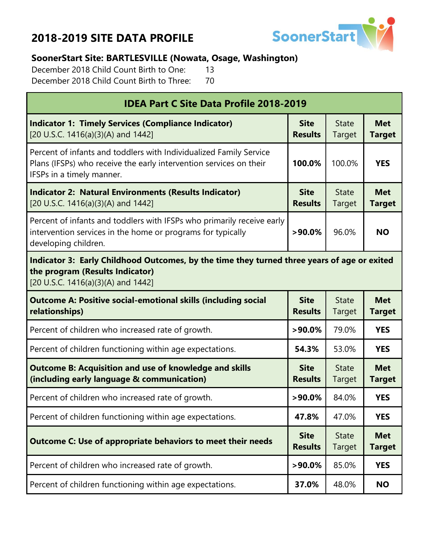

### **SoonerStart Site: BARTLESVILLE (Nowata, Osage, Washington)**

December 2018 Child Count Birth to One: 13 December 2018 Child Count Birth to Three: 70

| <b>IDEA Part C Site Data Profile 2018-2019</b>                                                                                                                        |                               |                        |                             |  |
|-----------------------------------------------------------------------------------------------------------------------------------------------------------------------|-------------------------------|------------------------|-----------------------------|--|
| <b>Indicator 1: Timely Services (Compliance Indicator)</b><br>[20 U.S.C. 1416(a)(3)(A) and 1442]                                                                      | <b>Site</b><br><b>Results</b> | <b>State</b><br>Target | <b>Met</b><br><b>Target</b> |  |
| Percent of infants and toddlers with Individualized Family Service<br>Plans (IFSPs) who receive the early intervention services on their<br>IFSPs in a timely manner. | 100.0%                        | 100.0%                 | <b>YES</b>                  |  |
| <b>Indicator 2: Natural Environments (Results Indicator)</b><br>[20 U.S.C. 1416(a)(3)(A) and 1442]                                                                    | <b>Site</b><br><b>Results</b> | <b>State</b><br>Target | <b>Met</b><br><b>Target</b> |  |
| Percent of infants and toddlers with IFSPs who primarily receive early<br>intervention services in the home or programs for typically<br>developing children.         | $>90.0\%$                     | 96.0%                  | <b>NO</b>                   |  |
| Indicator 3: Early Childhood Outcomes, by the time they turned three years of age or exited<br>the program (Results Indicator)<br>[20 U.S.C. 1416(a)(3)(A) and 1442]  |                               |                        |                             |  |
| <b>Outcome A: Positive social-emotional skills (including social</b><br>relationships)                                                                                | <b>Site</b><br><b>Results</b> | <b>State</b><br>Target | <b>Met</b><br><b>Target</b> |  |
| Percent of children who increased rate of growth.                                                                                                                     | $>90.0\%$                     | 79.0%                  | <b>YES</b>                  |  |
| Percent of children functioning within age expectations.                                                                                                              | 54.3%                         | 53.0%                  | <b>YES</b>                  |  |
| <b>Outcome B: Acquisition and use of knowledge and skills</b><br>(including early language & communication)                                                           | <b>Site</b><br><b>Results</b> | <b>State</b><br>Target | <b>Met</b><br><b>Target</b> |  |
| Percent of children who increased rate of growth.                                                                                                                     | $>90.0\%$                     | 84.0%                  | <b>YES</b>                  |  |
| Percent of children functioning within age expectations.                                                                                                              | 47.8%                         | 47.0%                  | <b>YES</b>                  |  |
| <b>Outcome C: Use of appropriate behaviors to meet their needs</b>                                                                                                    | <b>Site</b><br><b>Results</b> | <b>State</b><br>Target | <b>Met</b><br><b>Target</b> |  |
| Percent of children who increased rate of growth.                                                                                                                     | $>90.0\%$                     | 85.0%                  | <b>YES</b>                  |  |
| Percent of children functioning within age expectations.                                                                                                              |                               |                        |                             |  |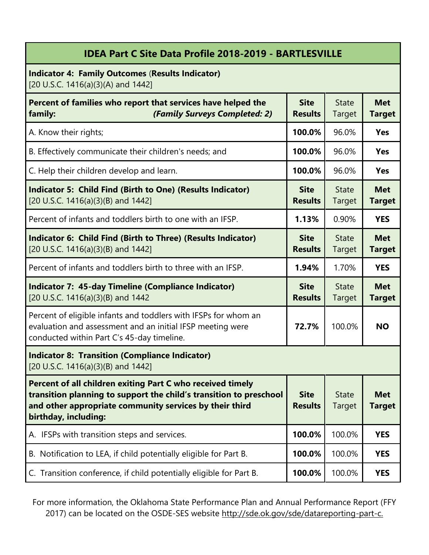### **IDEA Part C Site Data Profile 2018-2019 - BARTLESVILLE**

**Indicator 4: Family Outcomes** (**Results Indicator)** [20 U.S.C. 1416(a)(3)(A) and 1442]

| Percent of families who report that services have helped the<br>(Family Surveys Completed: 2)<br>family:                                                                                                            | <b>Site</b><br><b>Results</b> | <b>State</b><br>Target        | <b>Met</b><br><b>Target</b> |
|---------------------------------------------------------------------------------------------------------------------------------------------------------------------------------------------------------------------|-------------------------------|-------------------------------|-----------------------------|
| A. Know their rights;                                                                                                                                                                                               | 100.0%                        | 96.0%                         | <b>Yes</b>                  |
| B. Effectively communicate their children's needs; and                                                                                                                                                              | 100.0%                        | 96.0%                         | <b>Yes</b>                  |
| C. Help their children develop and learn.                                                                                                                                                                           | 100.0%                        | 96.0%                         | <b>Yes</b>                  |
| <b>Indicator 5: Child Find (Birth to One) (Results Indicator)</b><br>[20 U.S.C. 1416(a)(3)(B) and 1442]                                                                                                             | <b>Site</b><br><b>Results</b> | <b>State</b><br>Target        | <b>Met</b><br><b>Target</b> |
| Percent of infants and toddlers birth to one with an IFSP.                                                                                                                                                          | 1.13%                         | 0.90%                         | <b>YES</b>                  |
| Indicator 6: Child Find (Birth to Three) (Results Indicator)<br>[20 U.S.C. 1416(a)(3)(B) and 1442]                                                                                                                  | <b>Site</b><br><b>Results</b> | <b>State</b><br><b>Target</b> | <b>Met</b><br><b>Target</b> |
| Percent of infants and toddlers birth to three with an IFSP.                                                                                                                                                        | 1.94%                         | 1.70%                         | <b>YES</b>                  |
| <b>Indicator 7: 45-day Timeline (Compliance Indicator)</b><br>[20 U.S.C. 1416(a)(3)(B) and 1442                                                                                                                     | <b>Site</b><br><b>Results</b> | <b>State</b><br>Target        | <b>Met</b><br><b>Target</b> |
| Percent of eligible infants and toddlers with IFSPs for whom an<br>evaluation and assessment and an initial IFSP meeting were<br>conducted within Part C's 45-day timeline.                                         | 72.7%                         | 100.0%                        | <b>NO</b>                   |
| <b>Indicator 8: Transition (Compliance Indicator)</b><br>[20 U.S.C. 1416(a)(3)(B) and 1442]                                                                                                                         |                               |                               |                             |
| Percent of all children exiting Part C who received timely<br>transition planning to support the child's transition to preschool<br>and other appropriate community services by their third<br>birthday, including: | <b>Site</b><br><b>Results</b> | <b>State</b><br>Target        | <b>Met</b><br>Target        |
| A. IFSPs with transition steps and services.                                                                                                                                                                        | 100.0%                        | 100.0%                        | <b>YES</b>                  |
| B. Notification to LEA, if child potentially eligible for Part B.                                                                                                                                                   | 100.0%                        | 100.0%                        | <b>YES</b>                  |
| C. Transition conference, if child potentially eligible for Part B.                                                                                                                                                 | 100.0%                        | 100.0%                        | <b>YES</b>                  |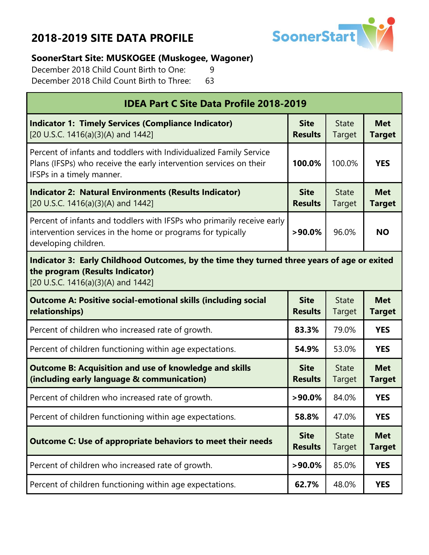

#### **SoonerStart Site: MUSKOGEE (Muskogee, Wagoner)**

December 2018 Child Count Birth to One: 9 December 2018 Child Count Birth to Three: 63

| <b>IDEA Part C Site Data Profile 2018-2019</b>                                                                                                                        |                               |                        |                             |  |
|-----------------------------------------------------------------------------------------------------------------------------------------------------------------------|-------------------------------|------------------------|-----------------------------|--|
| <b>Indicator 1: Timely Services (Compliance Indicator)</b><br>[20 U.S.C. 1416(a)(3)(A) and 1442]                                                                      | <b>Site</b><br><b>Results</b> | <b>State</b><br>Target | <b>Met</b><br><b>Target</b> |  |
| Percent of infants and toddlers with Individualized Family Service<br>Plans (IFSPs) who receive the early intervention services on their<br>IFSPs in a timely manner. | 100.0%                        | 100.0%                 | <b>YES</b>                  |  |
| <b>Indicator 2: Natural Environments (Results Indicator)</b><br>[20 U.S.C. 1416(a)(3)(A) and 1442]                                                                    | <b>Site</b><br><b>Results</b> | <b>State</b><br>Target | <b>Met</b><br><b>Target</b> |  |
| Percent of infants and toddlers with IFSPs who primarily receive early<br>intervention services in the home or programs for typically<br>developing children.         | $>90.0\%$                     | 96.0%                  | <b>NO</b>                   |  |
| Indicator 3: Early Childhood Outcomes, by the time they turned three years of age or exited<br>the program (Results Indicator)<br>[20 U.S.C. 1416(a)(3)(A) and 1442]  |                               |                        |                             |  |
| <b>Outcome A: Positive social-emotional skills (including social</b><br>relationships)                                                                                | <b>Site</b><br><b>Results</b> | <b>State</b><br>Target | <b>Met</b><br><b>Target</b> |  |
| Percent of children who increased rate of growth.                                                                                                                     | 83.3%                         | 79.0%                  | <b>YES</b>                  |  |
| Percent of children functioning within age expectations.                                                                                                              | 54.9%                         | 53.0%                  | <b>YES</b>                  |  |
| <b>Outcome B: Acquisition and use of knowledge and skills</b><br>(including early language & communication)                                                           | <b>Site</b><br><b>Results</b> | <b>State</b><br>Target | <b>Met</b><br><b>Target</b> |  |
| Percent of children who increased rate of growth.                                                                                                                     | $>90.0\%$                     | 84.0%                  | <b>YES</b>                  |  |
| Percent of children functioning within age expectations.                                                                                                              | 58.8%                         | 47.0%                  | <b>YES</b>                  |  |
| <b>Outcome C: Use of appropriate behaviors to meet their needs</b>                                                                                                    | <b>Site</b><br><b>Results</b> | <b>State</b><br>Target | <b>Met</b><br><b>Target</b> |  |
| Percent of children who increased rate of growth.                                                                                                                     | $>90.0\%$                     | 85.0%                  | <b>YES</b>                  |  |
| Percent of children functioning within age expectations.                                                                                                              | 62.7%                         | 48.0%                  | <b>YES</b>                  |  |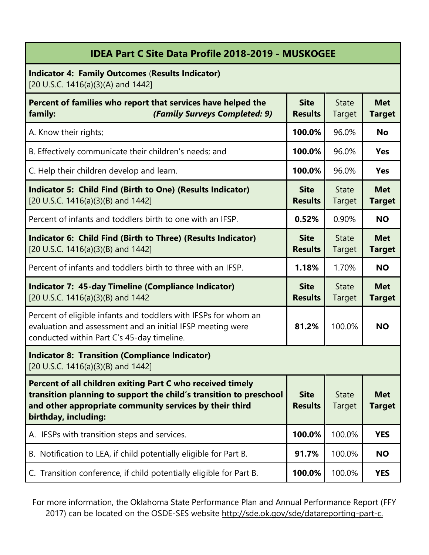| <b>IDEA Part C Site Data Profile 2018-2019 - MUSKOGEE</b>                                                                                                                                                           |                               |                        |                             |
|---------------------------------------------------------------------------------------------------------------------------------------------------------------------------------------------------------------------|-------------------------------|------------------------|-----------------------------|
| <b>Indicator 4: Family Outcomes (Results Indicator)</b><br>[20 U.S.C. 1416(a)(3)(A) and 1442]                                                                                                                       |                               |                        |                             |
| Percent of families who report that services have helped the<br>(Family Surveys Completed: 9)<br>family:                                                                                                            | <b>Site</b><br><b>Results</b> | <b>State</b><br>Target | <b>Met</b><br><b>Target</b> |
| A. Know their rights;                                                                                                                                                                                               | 100.0%                        | 96.0%                  | <b>No</b>                   |
| B. Effectively communicate their children's needs; and                                                                                                                                                              | 100.0%                        | 96.0%                  | <b>Yes</b>                  |
| C. Help their children develop and learn.                                                                                                                                                                           | 100.0%                        | 96.0%                  | <b>Yes</b>                  |
| <b>Indicator 5: Child Find (Birth to One) (Results Indicator)</b><br>[20 U.S.C. 1416(a)(3)(B) and 1442]                                                                                                             | <b>Site</b><br><b>Results</b> | <b>State</b><br>Target | <b>Met</b><br><b>Target</b> |
| Percent of infants and toddlers birth to one with an IFSP.                                                                                                                                                          | 0.52%                         | 0.90%                  | <b>NO</b>                   |
| Indicator 6: Child Find (Birth to Three) (Results Indicator)<br>[20 U.S.C. 1416(a)(3)(B) and 1442]                                                                                                                  | <b>Site</b><br><b>Results</b> | <b>State</b><br>Target | <b>Met</b><br><b>Target</b> |
| Percent of infants and toddlers birth to three with an IFSP.                                                                                                                                                        | 1.18%                         | 1.70%                  | <b>NO</b>                   |
| <b>Indicator 7: 45-day Timeline (Compliance Indicator)</b><br>[20 U.S.C. 1416(a)(3)(B) and 1442                                                                                                                     | <b>Site</b><br><b>Results</b> | <b>State</b><br>Target | <b>Met</b><br><b>Target</b> |
| Percent of eligible infants and toddlers with IFSPs for whom an<br>evaluation and assessment and an initial IFSP meeting were<br>conducted within Part C's 45-day timeline.                                         | 81.2%                         | 100.0%                 | <b>NO</b>                   |
| <b>Indicator 8: Transition (Compliance Indicator)</b><br>[20 U.S.C. 1416(a)(3)(B) and 1442]                                                                                                                         |                               |                        |                             |
| Percent of all children exiting Part C who received timely<br>transition planning to support the child's transition to preschool<br>and other appropriate community services by their third<br>birthday, including: | <b>Site</b><br><b>Results</b> | <b>State</b><br>Target | <b>Met</b><br><b>Target</b> |
| A. IFSPs with transition steps and services.                                                                                                                                                                        | 100.0%                        | 100.0%                 | <b>YES</b>                  |
| B. Notification to LEA, if child potentially eligible for Part B.                                                                                                                                                   | 91.7%                         | 100.0%                 | <b>NO</b>                   |
| C. Transition conference, if child potentially eligible for Part B.                                                                                                                                                 | 100.0%                        | 100.0%                 | <b>YES</b>                  |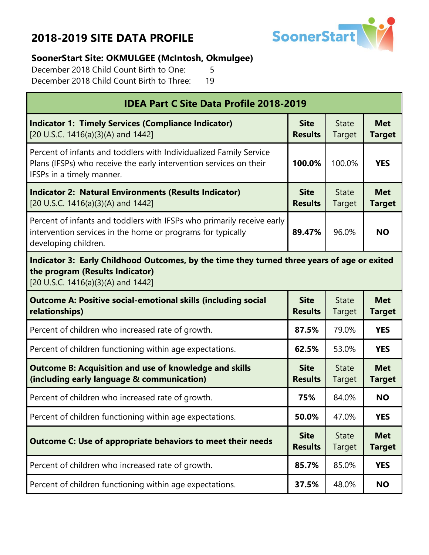

#### **SoonerStart Site: OKMULGEE (McIntosh, Okmulgee)**

December 2018 Child Count Birth to One: 5 December 2018 Child Count Birth to Three: 19

| <b>IDEA Part C Site Data Profile 2018-2019</b>                                                                                                                        |                               |                        |                             |
|-----------------------------------------------------------------------------------------------------------------------------------------------------------------------|-------------------------------|------------------------|-----------------------------|
| <b>Indicator 1: Timely Services (Compliance Indicator)</b><br>[20 U.S.C. 1416(a)(3)(A) and 1442]                                                                      | <b>Site</b><br><b>Results</b> | <b>State</b><br>Target | <b>Met</b><br><b>Target</b> |
| Percent of infants and toddlers with Individualized Family Service<br>Plans (IFSPs) who receive the early intervention services on their<br>IFSPs in a timely manner. | 100.0%                        | 100.0%                 | <b>YES</b>                  |
| <b>Indicator 2: Natural Environments (Results Indicator)</b><br>[20 U.S.C. 1416(a)(3)(A) and 1442]                                                                    | <b>Site</b><br><b>Results</b> | <b>State</b><br>Target | <b>Met</b><br><b>Target</b> |
| Percent of infants and toddlers with IFSPs who primarily receive early<br>intervention services in the home or programs for typically<br>developing children.         | 89.47%                        | 96.0%                  | <b>NO</b>                   |
| Indicator 3: Early Childhood Outcomes, by the time they turned three years of age or exited<br>the program (Results Indicator)<br>[20 U.S.C. 1416(a)(3)(A) and 1442]  |                               |                        |                             |
| <b>Outcome A: Positive social-emotional skills (including social</b><br>relationships)                                                                                | <b>Site</b><br><b>Results</b> | <b>State</b><br>Target | <b>Met</b><br><b>Target</b> |
| Percent of children who increased rate of growth.                                                                                                                     | 87.5%                         | 79.0%                  | <b>YES</b>                  |
| Percent of children functioning within age expectations.                                                                                                              | 62.5%                         | 53.0%                  | <b>YES</b>                  |
| <b>Outcome B: Acquisition and use of knowledge and skills</b><br>(including early language & communication)                                                           | <b>Site</b><br><b>Results</b> | <b>State</b><br>Target | <b>Met</b><br><b>Target</b> |
| Percent of children who increased rate of growth.                                                                                                                     | 75%                           | 84.0%                  | <b>NO</b>                   |
| Percent of children functioning within age expectations.                                                                                                              | 50.0%                         | 47.0%                  | <b>YES</b>                  |
| <b>Outcome C: Use of appropriate behaviors to meet their needs</b>                                                                                                    | <b>Site</b><br><b>Results</b> | <b>State</b><br>Target | <b>Met</b><br><b>Target</b> |
| Percent of children who increased rate of growth.                                                                                                                     | 85.7%                         | 85.0%                  | <b>YES</b>                  |
| Percent of children functioning within age expectations.                                                                                                              | 37.5%                         | 48.0%                  | <b>NO</b>                   |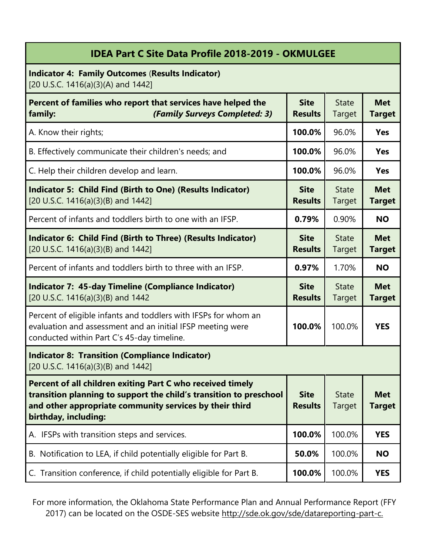| <b>IDEA Part C Site Data Profile 2018-2019 - OKMULGEE</b>                                                                                                                                                           |                               |                               |                             |
|---------------------------------------------------------------------------------------------------------------------------------------------------------------------------------------------------------------------|-------------------------------|-------------------------------|-----------------------------|
| <b>Indicator 4: Family Outcomes (Results Indicator)</b><br>[20 U.S.C. 1416(a)(3)(A) and 1442]                                                                                                                       |                               |                               |                             |
| Percent of families who report that services have helped the<br>(Family Surveys Completed: 3)<br>family:                                                                                                            | <b>Site</b><br><b>Results</b> | <b>State</b><br>Target        | <b>Met</b><br><b>Target</b> |
| A. Know their rights;                                                                                                                                                                                               | 100.0%                        | 96.0%                         | <b>Yes</b>                  |
| B. Effectively communicate their children's needs; and                                                                                                                                                              | 100.0%                        | 96.0%                         | <b>Yes</b>                  |
| C. Help their children develop and learn.                                                                                                                                                                           | 100.0%                        | 96.0%                         | <b>Yes</b>                  |
| Indicator 5: Child Find (Birth to One) (Results Indicator)<br>[20 U.S.C. 1416(a)(3)(B) and 1442]                                                                                                                    | <b>Site</b><br><b>Results</b> | <b>State</b><br>Target        | <b>Met</b><br><b>Target</b> |
| Percent of infants and toddlers birth to one with an IFSP.                                                                                                                                                          | 0.79%                         | 0.90%                         | <b>NO</b>                   |
| Indicator 6: Child Find (Birth to Three) (Results Indicator)<br>[20 U.S.C. 1416(a)(3)(B) and 1442]                                                                                                                  | <b>Site</b><br><b>Results</b> | <b>State</b><br>Target        | <b>Met</b><br><b>Target</b> |
| Percent of infants and toddlers birth to three with an IFSP.                                                                                                                                                        | 0.97%                         | 1.70%                         | <b>NO</b>                   |
| <b>Indicator 7: 45-day Timeline (Compliance Indicator)</b><br>[20 U.S.C. 1416(a)(3)(B) and 1442                                                                                                                     | <b>Site</b><br><b>Results</b> | <b>State</b><br>Target        | <b>Met</b><br><b>Target</b> |
| Percent of eligible infants and toddlers with IFSPs for whom an<br>evaluation and assessment and an initial IFSP meeting were<br>conducted within Part C's 45-day timeline.                                         | 100.0%                        | 100.0%                        | <b>YES</b>                  |
| <b>Indicator 8: Transition (Compliance Indicator)</b><br>[20 U.S.C. 1416(a)(3)(B) and 1442]                                                                                                                         |                               |                               |                             |
| Percent of all children exiting Part C who received timely<br>transition planning to support the child's transition to preschool<br>and other appropriate community services by their third<br>birthday, including: | <b>Site</b><br><b>Results</b> | <b>State</b><br><b>Target</b> | <b>Met</b><br><b>Target</b> |
| A. IFSPs with transition steps and services.                                                                                                                                                                        | 100.0%                        | 100.0%                        | <b>YES</b>                  |
| B. Notification to LEA, if child potentially eligible for Part B.                                                                                                                                                   | 50.0%                         | 100.0%                        | <b>NO</b>                   |
| C. Transition conference, if child potentially eligible for Part B.                                                                                                                                                 | 100.0%                        | 100.0%                        | <b>YES</b>                  |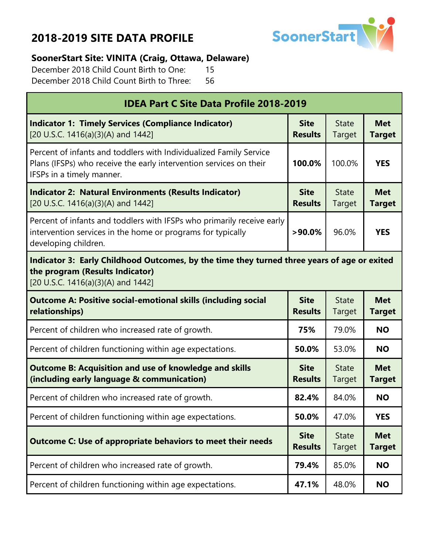

#### **SoonerStart Site: VINITA (Craig, Ottawa, Delaware)**

December 2018 Child Count Birth to One: 15 December 2018 Child Count Birth to Three: 56

| <b>IDEA Part C Site Data Profile 2018-2019</b>                                                                                                                        |                               |                        |                             |  |
|-----------------------------------------------------------------------------------------------------------------------------------------------------------------------|-------------------------------|------------------------|-----------------------------|--|
| <b>Indicator 1: Timely Services (Compliance Indicator)</b><br>[20 U.S.C. 1416(a)(3)(A) and 1442]                                                                      | <b>Site</b><br><b>Results</b> | <b>State</b><br>Target | <b>Met</b><br><b>Target</b> |  |
| Percent of infants and toddlers with Individualized Family Service<br>Plans (IFSPs) who receive the early intervention services on their<br>IFSPs in a timely manner. | 100.0%                        | 100.0%                 | <b>YES</b>                  |  |
| <b>Indicator 2: Natural Environments (Results Indicator)</b><br>[20 U.S.C. 1416(a)(3)(A) and 1442]                                                                    | <b>Site</b><br><b>Results</b> | <b>State</b><br>Target | <b>Met</b><br><b>Target</b> |  |
| Percent of infants and toddlers with IFSPs who primarily receive early<br>intervention services in the home or programs for typically<br>developing children.         | $>90.0\%$                     | 96.0%                  | <b>YES</b>                  |  |
| Indicator 3: Early Childhood Outcomes, by the time they turned three years of age or exited<br>the program (Results Indicator)<br>[20 U.S.C. 1416(a)(3)(A) and 1442]  |                               |                        |                             |  |
| <b>Outcome A: Positive social-emotional skills (including social</b><br>relationships)                                                                                | <b>Site</b><br><b>Results</b> | <b>State</b><br>Target | <b>Met</b><br><b>Target</b> |  |
| Percent of children who increased rate of growth.                                                                                                                     | 75%                           | 79.0%                  | <b>NO</b>                   |  |
| Percent of children functioning within age expectations.                                                                                                              | 50.0%                         | 53.0%                  | <b>NO</b>                   |  |
| <b>Outcome B: Acquisition and use of knowledge and skills</b><br>(including early language & communication)                                                           | <b>Site</b><br><b>Results</b> | <b>State</b><br>Target | <b>Met</b><br><b>Target</b> |  |
| Percent of children who increased rate of growth.                                                                                                                     | 82.4%                         | 84.0%                  | <b>NO</b>                   |  |
| Percent of children functioning within age expectations.                                                                                                              | 50.0%                         | 47.0%                  | <b>YES</b>                  |  |
| <b>Outcome C: Use of appropriate behaviors to meet their needs</b>                                                                                                    | <b>Site</b><br><b>Results</b> | <b>State</b><br>Target | <b>Met</b><br><b>Target</b> |  |
| Percent of children who increased rate of growth.                                                                                                                     | 79.4%                         | 85.0%                  | <b>NO</b>                   |  |
| Percent of children functioning within age expectations.                                                                                                              | 47.1%                         | 48.0%                  | <b>NO</b>                   |  |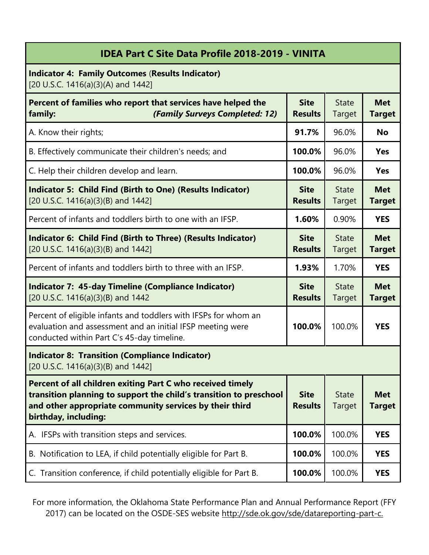| <b>IDEA Part C Site Data Profile 2018-2019 - VINITA</b>                                                                                                                                                             |                               |                        |                             |
|---------------------------------------------------------------------------------------------------------------------------------------------------------------------------------------------------------------------|-------------------------------|------------------------|-----------------------------|
| <b>Indicator 4: Family Outcomes (Results Indicator)</b><br>[20 U.S.C. 1416(a)(3)(A) and 1442]                                                                                                                       |                               |                        |                             |
| Percent of families who report that services have helped the<br>(Family Surveys Completed: 12)<br>family:                                                                                                           | <b>Site</b><br><b>Results</b> | <b>State</b><br>Target | <b>Met</b><br><b>Target</b> |
| A. Know their rights;                                                                                                                                                                                               | 91.7%                         | 96.0%                  | <b>No</b>                   |
| B. Effectively communicate their children's needs; and                                                                                                                                                              | 100.0%                        | 96.0%                  | <b>Yes</b>                  |
| C. Help their children develop and learn.                                                                                                                                                                           | 100.0%                        | 96.0%                  | <b>Yes</b>                  |
| <b>Indicator 5: Child Find (Birth to One) (Results Indicator)</b><br>[20 U.S.C. 1416(a)(3)(B) and 1442]                                                                                                             | <b>Site</b><br><b>Results</b> | <b>State</b><br>Target | <b>Met</b><br><b>Target</b> |
| Percent of infants and toddlers birth to one with an IFSP.                                                                                                                                                          | 1.60%                         | 0.90%                  | <b>YES</b>                  |
| Indicator 6: Child Find (Birth to Three) (Results Indicator)<br>[20 U.S.C. 1416(a)(3)(B) and 1442]                                                                                                                  | <b>Site</b><br><b>Results</b> | <b>State</b><br>Target | <b>Met</b><br><b>Target</b> |
| Percent of infants and toddlers birth to three with an IFSP.                                                                                                                                                        | 1.93%                         | 1.70%                  | <b>YES</b>                  |
| <b>Indicator 7: 45-day Timeline (Compliance Indicator)</b><br>[20 U.S.C. 1416(a)(3)(B) and 1442                                                                                                                     | <b>Site</b><br><b>Results</b> | <b>State</b><br>Target | <b>Met</b><br><b>Target</b> |
| Percent of eligible infants and toddlers with IFSPs for whom an<br>evaluation and assessment and an initial IFSP meeting were<br>conducted within Part C's 45-day timeline.                                         | 100.0%                        | 100.0%                 | <b>YES</b>                  |
| <b>Indicator 8: Transition (Compliance Indicator)</b><br>[20 U.S.C. 1416(a)(3)(B) and 1442]                                                                                                                         |                               |                        |                             |
| Percent of all children exiting Part C who received timely<br>transition planning to support the child's transition to preschool<br>and other appropriate community services by their third<br>birthday, including: | <b>Site</b><br><b>Results</b> | <b>State</b><br>Target | <b>Met</b><br><b>Target</b> |
| A. IFSPs with transition steps and services.                                                                                                                                                                        | 100.0%                        | 100.0%                 | <b>YES</b>                  |
| B. Notification to LEA, if child potentially eligible for Part B.                                                                                                                                                   | 100.0%                        | 100.0%                 | <b>YES</b>                  |
| C. Transition conference, if child potentially eligible for Part B.                                                                                                                                                 | 100.0%                        | 100.0%                 | <b>YES</b>                  |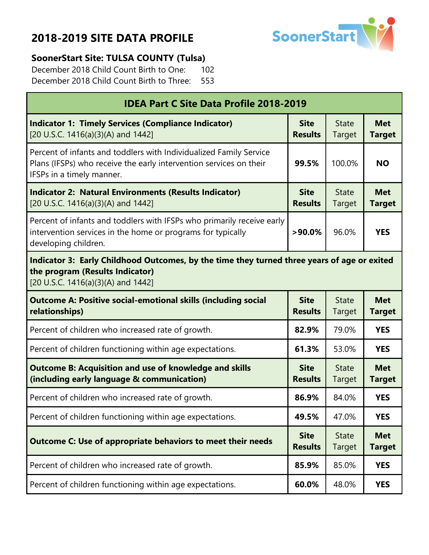г



#### **SoonerStart Site: TULSA COUNTY (Tulsa)**

December 2018 Child Count Birth to One: 102 December 2018 Child Count Birth to Three: 553

| <b>IDEA Part C Site Data Profile 2018-2019</b>                                                                                                                        |                               |                        |                             |  |
|-----------------------------------------------------------------------------------------------------------------------------------------------------------------------|-------------------------------|------------------------|-----------------------------|--|
| <b>Indicator 1: Timely Services (Compliance Indicator)</b><br>[20 U.S.C. 1416(a)(3)(A) and 1442]                                                                      | <b>Site</b><br><b>Results</b> | <b>State</b><br>Target | <b>Met</b><br><b>Target</b> |  |
| Percent of infants and toddlers with Individualized Family Service<br>Plans (IFSPs) who receive the early intervention services on their<br>IFSPs in a timely manner. | 99.5%                         | 100.0%                 | <b>NO</b>                   |  |
| <b>Indicator 2: Natural Environments (Results Indicator)</b><br>[20 U.S.C. 1416(a)(3)(A) and 1442]                                                                    | <b>Site</b><br><b>Results</b> | <b>State</b><br>Target | <b>Met</b><br><b>Target</b> |  |
| Percent of infants and toddlers with IFSPs who primarily receive early<br>intervention services in the home or programs for typically<br>developing children.         | $>90.0\%$                     | 96.0%                  | <b>YES</b>                  |  |
| Indicator 3: Early Childhood Outcomes, by the time they turned three years of age or exited<br>the program (Results Indicator)<br>[20 U.S.C. 1416(a)(3)(A) and 1442]  |                               |                        |                             |  |
| <b>Outcome A: Positive social-emotional skills (including social</b><br>relationships)                                                                                | <b>Site</b><br><b>Results</b> | <b>State</b><br>Target | <b>Met</b><br><b>Target</b> |  |
| Percent of children who increased rate of growth.                                                                                                                     | 82.9%                         | 79.0%                  | <b>YES</b>                  |  |
| Percent of children functioning within age expectations.                                                                                                              | 61.3%                         | 53.0%                  | <b>YES</b>                  |  |
| <b>Outcome B: Acquisition and use of knowledge and skills</b><br>(including early language & communication)                                                           | <b>Site</b><br><b>Results</b> | <b>State</b><br>Target | <b>Met</b><br><b>Target</b> |  |
| Percent of children who increased rate of growth.                                                                                                                     | 86.9%                         | 84.0%                  | <b>YES</b>                  |  |
| Percent of children functioning within age expectations.                                                                                                              | 49.5%                         | 47.0%                  | <b>YES</b>                  |  |
| <b>Outcome C: Use of appropriate behaviors to meet their needs</b>                                                                                                    | <b>Site</b><br><b>Results</b> | <b>State</b><br>Target | <b>Met</b><br><b>Target</b> |  |
| Percent of children who increased rate of growth.                                                                                                                     | 85.9%                         | 85.0%                  | <b>YES</b>                  |  |
| Percent of children functioning within age expectations.                                                                                                              | 60.0%                         | 48.0%                  | <b>YES</b>                  |  |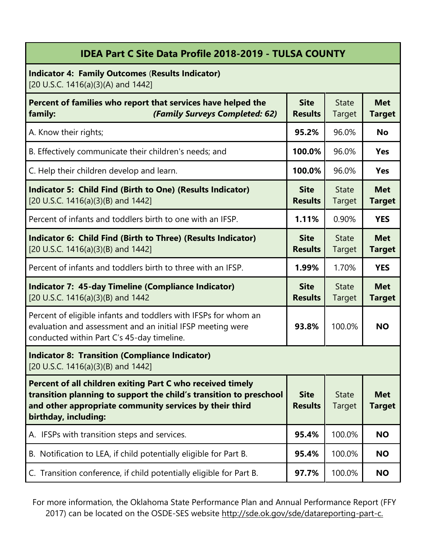#### **IDEA Part C Site Data Profile 2018-2019 - TULSA COUNTY**

**Indicator 4: Family Outcomes** (**Results Indicator)** [20 U.S.C. 1416(a)(3)(A) and 1442]

| Percent of families who report that services have helped the<br>(Family Surveys Completed: 62)<br>family:                                                                                                           | <b>Site</b><br><b>Results</b> | <b>State</b><br>Target        | <b>Met</b><br><b>Target</b> |
|---------------------------------------------------------------------------------------------------------------------------------------------------------------------------------------------------------------------|-------------------------------|-------------------------------|-----------------------------|
| A. Know their rights;                                                                                                                                                                                               | 95.2%                         | 96.0%                         | <b>No</b>                   |
| B. Effectively communicate their children's needs; and                                                                                                                                                              | 100.0%                        | 96.0%                         | <b>Yes</b>                  |
| C. Help their children develop and learn.                                                                                                                                                                           | 100.0%                        | 96.0%                         | <b>Yes</b>                  |
| Indicator 5: Child Find (Birth to One) (Results Indicator)<br>[20 U.S.C. 1416(a)(3)(B) and 1442]                                                                                                                    | <b>Site</b><br><b>Results</b> | <b>State</b><br><b>Target</b> | <b>Met</b><br><b>Target</b> |
| Percent of infants and toddlers birth to one with an IFSP.                                                                                                                                                          | 1.11%                         | 0.90%                         | <b>YES</b>                  |
| Indicator 6: Child Find (Birth to Three) (Results Indicator)<br>[20 U.S.C. 1416(a)(3)(B) and 1442]                                                                                                                  | <b>Site</b><br><b>Results</b> | <b>State</b><br><b>Target</b> | <b>Met</b><br><b>Target</b> |
| Percent of infants and toddlers birth to three with an IFSP.                                                                                                                                                        | 1.99%                         | 1.70%                         | <b>YES</b>                  |
| <b>Indicator 7: 45-day Timeline (Compliance Indicator)</b><br>[20 U.S.C. 1416(a)(3)(B) and 1442                                                                                                                     | <b>Site</b><br><b>Results</b> | <b>State</b><br><b>Target</b> | <b>Met</b><br><b>Target</b> |
| Percent of eligible infants and toddlers with IFSPs for whom an<br>evaluation and assessment and an initial IFSP meeting were<br>conducted within Part C's 45-day timeline.                                         | 93.8%                         | 100.0%                        | <b>NO</b>                   |
| <b>Indicator 8: Transition (Compliance Indicator)</b><br>[20 U.S.C. 1416(a)(3)(B) and 1442]                                                                                                                         |                               |                               |                             |
| Percent of all children exiting Part C who received timely<br>transition planning to support the child's transition to preschool<br>and other appropriate community services by their third<br>birthday, including: | <b>Site</b><br><b>Results</b> | <b>State</b><br><b>Target</b> | <b>Met</b><br>Target        |
| A. IFSPs with transition steps and services.                                                                                                                                                                        | 95.4%                         | 100.0%                        | <b>NO</b>                   |
| B. Notification to LEA, if child potentially eligible for Part B.                                                                                                                                                   | 95.4%                         | 100.0%                        | <b>NO</b>                   |
| C. Transition conference, if child potentially eligible for Part B.                                                                                                                                                 | 97.7%                         | 100.0%                        | <b>NO</b>                   |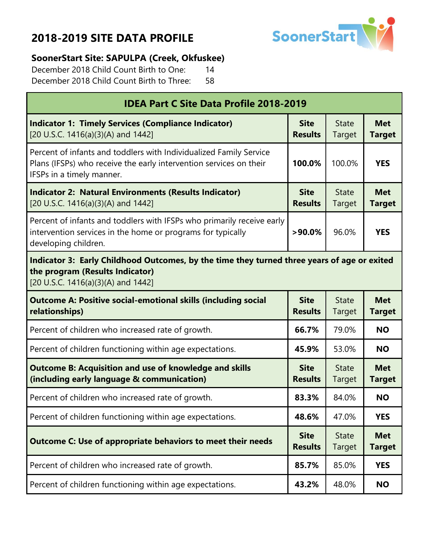

#### **SoonerStart Site: SAPULPA (Creek, Okfuskee)**

December 2018 Child Count Birth to One: 14 December 2018 Child Count Birth to Three: 58

| <b>IDEA Part C Site Data Profile 2018-2019</b>                                                                                                                        |                               |                        |                             |  |
|-----------------------------------------------------------------------------------------------------------------------------------------------------------------------|-------------------------------|------------------------|-----------------------------|--|
| <b>Indicator 1: Timely Services (Compliance Indicator)</b><br>[20 U.S.C. 1416(a)(3)(A) and 1442]                                                                      | <b>Site</b><br><b>Results</b> | <b>State</b><br>Target | <b>Met</b><br><b>Target</b> |  |
| Percent of infants and toddlers with Individualized Family Service<br>Plans (IFSPs) who receive the early intervention services on their<br>IFSPs in a timely manner. | 100.0%                        | 100.0%                 | <b>YES</b>                  |  |
| <b>Indicator 2: Natural Environments (Results Indicator)</b><br>[20 U.S.C. 1416(a)(3)(A) and 1442]                                                                    | <b>Site</b><br><b>Results</b> | <b>State</b><br>Target | <b>Met</b><br><b>Target</b> |  |
| Percent of infants and toddlers with IFSPs who primarily receive early<br>intervention services in the home or programs for typically<br>developing children.         | $>90.0\%$                     | 96.0%                  | <b>YES</b>                  |  |
| Indicator 3: Early Childhood Outcomes, by the time they turned three years of age or exited<br>the program (Results Indicator)<br>[20 U.S.C. 1416(a)(3)(A) and 1442]  |                               |                        |                             |  |
| <b>Outcome A: Positive social-emotional skills (including social</b><br>relationships)                                                                                | <b>Site</b><br><b>Results</b> | <b>State</b><br>Target | <b>Met</b><br><b>Target</b> |  |
| Percent of children who increased rate of growth.                                                                                                                     | 66.7%                         | 79.0%                  | <b>NO</b>                   |  |
| Percent of children functioning within age expectations.                                                                                                              | 45.9%                         | 53.0%                  | <b>NO</b>                   |  |
| <b>Outcome B: Acquisition and use of knowledge and skills</b><br>(including early language & communication)                                                           | <b>Site</b><br><b>Results</b> | <b>State</b><br>Target | <b>Met</b><br><b>Target</b> |  |
| Percent of children who increased rate of growth.                                                                                                                     | 83.3%                         | 84.0%                  | <b>NO</b>                   |  |
| Percent of children functioning within age expectations.                                                                                                              | 48.6%                         | 47.0%                  | <b>YES</b>                  |  |
| <b>Outcome C: Use of appropriate behaviors to meet their needs</b>                                                                                                    | <b>Site</b><br><b>Results</b> | <b>State</b><br>Target | <b>Met</b><br><b>Target</b> |  |
| Percent of children who increased rate of growth.                                                                                                                     | 85.7%                         | 85.0%                  | <b>YES</b>                  |  |
| Percent of children functioning within age expectations.                                                                                                              | 43.2%                         | 48.0%                  | <b>NO</b>                   |  |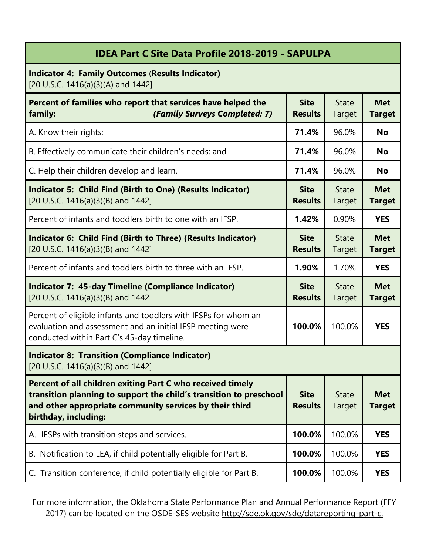| <b>IDEA Part C Site Data Profile 2018-2019 - SAPULPA</b>                                                                                                                                                            |                               |                               |                             |
|---------------------------------------------------------------------------------------------------------------------------------------------------------------------------------------------------------------------|-------------------------------|-------------------------------|-----------------------------|
| <b>Indicator 4: Family Outcomes (Results Indicator)</b><br>[20 U.S.C. 1416(a)(3)(A) and 1442]                                                                                                                       |                               |                               |                             |
| Percent of families who report that services have helped the<br>(Family Surveys Completed: 7)<br>family:                                                                                                            | <b>Site</b><br><b>Results</b> | <b>State</b><br>Target        | <b>Met</b><br><b>Target</b> |
| A. Know their rights;                                                                                                                                                                                               | 71.4%                         | 96.0%                         | <b>No</b>                   |
| B. Effectively communicate their children's needs; and                                                                                                                                                              | 71.4%                         | 96.0%                         | <b>No</b>                   |
| C. Help their children develop and learn.                                                                                                                                                                           | 71.4%                         | 96.0%                         | <b>No</b>                   |
| Indicator 5: Child Find (Birth to One) (Results Indicator)<br>[20 U.S.C. 1416(a)(3)(B) and 1442]                                                                                                                    | <b>Site</b><br><b>Results</b> | <b>State</b><br><b>Target</b> | <b>Met</b><br><b>Target</b> |
| Percent of infants and toddlers birth to one with an IFSP.                                                                                                                                                          | 1.42%                         | 0.90%                         | <b>YES</b>                  |
| Indicator 6: Child Find (Birth to Three) (Results Indicator)<br>[20 U.S.C. 1416(a)(3)(B) and 1442]                                                                                                                  | <b>Site</b><br><b>Results</b> | <b>State</b><br>Target        | <b>Met</b><br><b>Target</b> |
| Percent of infants and toddlers birth to three with an IFSP.                                                                                                                                                        | 1.90%                         | 1.70%                         | <b>YES</b>                  |
| <b>Indicator 7: 45-day Timeline (Compliance Indicator)</b><br>[20 U.S.C. 1416(a)(3)(B) and 1442                                                                                                                     | <b>Site</b><br><b>Results</b> | <b>State</b><br>Target        | <b>Met</b><br><b>Target</b> |
| Percent of eligible infants and toddlers with IFSPs for whom an<br>evaluation and assessment and an initial IFSP meeting were<br>conducted within Part C's 45-day timeline.                                         | 100.0%                        | 100.0%                        | <b>YES</b>                  |
| <b>Indicator 8: Transition (Compliance Indicator)</b><br>[20 U.S.C. 1416(a)(3)(B) and 1442]                                                                                                                         |                               |                               |                             |
| Percent of all children exiting Part C who received timely<br>transition planning to support the child's transition to preschool<br>and other appropriate community services by their third<br>birthday, including: | <b>Site</b><br><b>Results</b> | <b>State</b><br><b>Target</b> | <b>Met</b><br><b>Target</b> |
| A. IFSPs with transition steps and services.                                                                                                                                                                        | 100.0%                        | 100.0%                        | <b>YES</b>                  |
| B. Notification to LEA, if child potentially eligible for Part B.                                                                                                                                                   | 100.0%                        | 100.0%                        | <b>YES</b>                  |
| C. Transition conference, if child potentially eligible for Part B.                                                                                                                                                 | 100.0%                        | 100.0%                        | <b>YES</b>                  |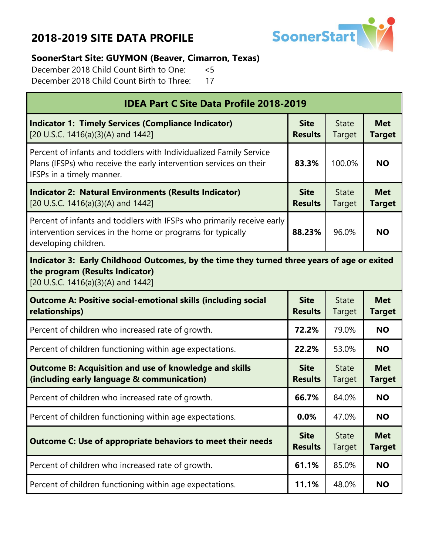

#### **SoonerStart Site: GUYMON (Beaver, Cimarron, Texas)**

December 2018 Child Count Birth to One: <5 December 2018 Child Count Birth to Three: 17

| <b>IDEA Part C Site Data Profile 2018-2019</b>                                                                                                                        |                               |                        |                             |  |  |
|-----------------------------------------------------------------------------------------------------------------------------------------------------------------------|-------------------------------|------------------------|-----------------------------|--|--|
| <b>Indicator 1: Timely Services (Compliance Indicator)</b><br>[20 U.S.C. 1416(a)(3)(A) and 1442]                                                                      | <b>Site</b><br><b>Results</b> | <b>State</b><br>Target | <b>Met</b><br><b>Target</b> |  |  |
| Percent of infants and toddlers with Individualized Family Service<br>Plans (IFSPs) who receive the early intervention services on their<br>IFSPs in a timely manner. | 83.3%                         | 100.0%                 | <b>NO</b>                   |  |  |
| <b>Indicator 2: Natural Environments (Results Indicator)</b><br>[20 U.S.C. 1416(a)(3)(A) and 1442]                                                                    | <b>Site</b><br><b>Results</b> | <b>State</b><br>Target | <b>Met</b><br><b>Target</b> |  |  |
| Percent of infants and toddlers with IFSPs who primarily receive early<br>intervention services in the home or programs for typically<br>developing children.         | 88.23%                        | 96.0%                  | <b>NO</b>                   |  |  |
| Indicator 3: Early Childhood Outcomes, by the time they turned three years of age or exited<br>the program (Results Indicator)<br>[20 U.S.C. 1416(a)(3)(A) and 1442]  |                               |                        |                             |  |  |
| <b>Outcome A: Positive social-emotional skills (including social</b><br>relationships)                                                                                | <b>Site</b><br><b>Results</b> | <b>State</b><br>Target | <b>Met</b><br><b>Target</b> |  |  |
| Percent of children who increased rate of growth.                                                                                                                     | 72.2%                         | 79.0%                  | <b>NO</b>                   |  |  |
| Percent of children functioning within age expectations.                                                                                                              | 22.2%                         | 53.0%                  | <b>NO</b>                   |  |  |
| <b>Outcome B: Acquisition and use of knowledge and skills</b><br>(including early language & communication)                                                           | <b>Site</b><br><b>Results</b> | <b>State</b><br>Target | <b>Met</b><br><b>Target</b> |  |  |
| Percent of children who increased rate of growth.                                                                                                                     | 66.7%                         | 84.0%                  | <b>NO</b>                   |  |  |
| Percent of children functioning within age expectations.                                                                                                              | 0.0%                          | 47.0%                  | <b>NO</b>                   |  |  |
| <b>Outcome C: Use of appropriate behaviors to meet their needs</b>                                                                                                    | <b>Site</b><br><b>Results</b> | <b>State</b><br>Target | <b>Met</b><br><b>Target</b> |  |  |
| Percent of children who increased rate of growth.                                                                                                                     | 61.1%                         | 85.0%                  | <b>NO</b>                   |  |  |
| Percent of children functioning within age expectations.                                                                                                              | 11.1%                         | 48.0%                  | <b>NO</b>                   |  |  |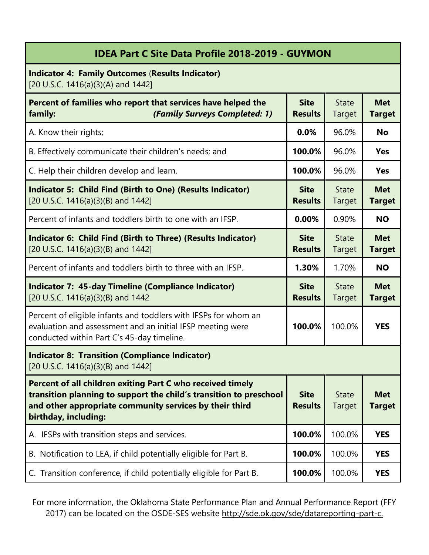| <b>IDEA Part C Site Data Profile 2018-2019 - GUYMON</b>                                                                                                                                                             |                               |                               |                             |
|---------------------------------------------------------------------------------------------------------------------------------------------------------------------------------------------------------------------|-------------------------------|-------------------------------|-----------------------------|
| <b>Indicator 4: Family Outcomes (Results Indicator)</b><br>[20 U.S.C. 1416(a)(3)(A) and 1442]                                                                                                                       |                               |                               |                             |
| Percent of families who report that services have helped the<br>(Family Surveys Completed: 1)<br>family:                                                                                                            | <b>Site</b><br><b>Results</b> | <b>State</b><br><b>Target</b> | <b>Met</b><br><b>Target</b> |
| A. Know their rights;                                                                                                                                                                                               | 0.0%                          | 96.0%                         | <b>No</b>                   |
| B. Effectively communicate their children's needs; and                                                                                                                                                              | 100.0%                        | 96.0%                         | <b>Yes</b>                  |
| C. Help their children develop and learn.                                                                                                                                                                           | 100.0%                        | 96.0%                         | <b>Yes</b>                  |
| <b>Indicator 5: Child Find (Birth to One) (Results Indicator)</b><br>[20 U.S.C. 1416(a)(3)(B) and 1442]                                                                                                             | <b>Site</b><br><b>Results</b> | <b>State</b><br><b>Target</b> | <b>Met</b><br><b>Target</b> |
| Percent of infants and toddlers birth to one with an IFSP.                                                                                                                                                          | 0.00%                         | 0.90%                         | <b>NO</b>                   |
| Indicator 6: Child Find (Birth to Three) (Results Indicator)<br>[20 U.S.C. 1416(a)(3)(B) and 1442]                                                                                                                  | <b>Site</b><br><b>Results</b> | <b>State</b><br><b>Target</b> | <b>Met</b><br><b>Target</b> |
| Percent of infants and toddlers birth to three with an IFSP.                                                                                                                                                        | 1.30%                         | 1.70%                         | <b>NO</b>                   |
| <b>Indicator 7: 45-day Timeline (Compliance Indicator)</b><br>[20 U.S.C. 1416(a)(3)(B) and 1442                                                                                                                     | <b>Site</b><br><b>Results</b> | <b>State</b><br>Target        | <b>Met</b><br><b>Target</b> |
| Percent of eligible infants and toddlers with IFSPs for whom an<br>evaluation and assessment and an initial IFSP meeting were<br>conducted within Part C's 45-day timeline.                                         | 100.0%                        | 100.0%                        | <b>YES</b>                  |
| <b>Indicator 8: Transition (Compliance Indicator)</b><br>[20 U.S.C. 1416(a)(3)(B) and 1442]                                                                                                                         |                               |                               |                             |
| Percent of all children exiting Part C who received timely<br>transition planning to support the child's transition to preschool<br>and other appropriate community services by their third<br>birthday, including: | <b>Site</b><br><b>Results</b> | <b>State</b><br><b>Target</b> | <b>Met</b><br><b>Target</b> |
| A. IFSPs with transition steps and services.                                                                                                                                                                        | 100.0%                        | 100.0%                        | <b>YES</b>                  |
| B. Notification to LEA, if child potentially eligible for Part B.                                                                                                                                                   | 100.0%                        | 100.0%                        | <b>YES</b>                  |
| C. Transition conference, if child potentially eligible for Part B.                                                                                                                                                 | 100.0%                        | 100.0%                        | <b>YES</b>                  |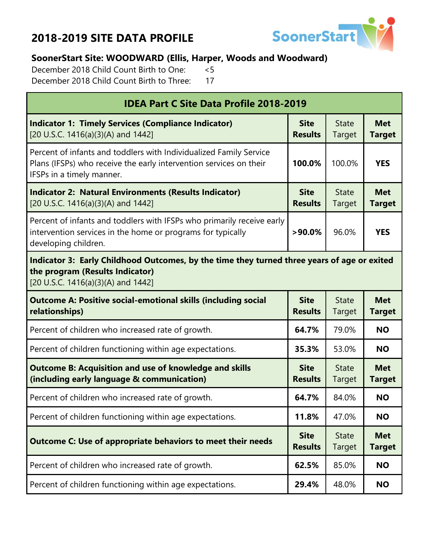

#### **SoonerStart Site: WOODWARD (Ellis, Harper, Woods and Woodward)**

December 2018 Child Count Birth to One: <5 December 2018 Child Count Birth to Three: 17

| <b>IDEA Part C Site Data Profile 2018-2019</b>                                                                                                                        |                               |                        |                             |  |  |
|-----------------------------------------------------------------------------------------------------------------------------------------------------------------------|-------------------------------|------------------------|-----------------------------|--|--|
| <b>Indicator 1: Timely Services (Compliance Indicator)</b><br>[20 U.S.C. 1416(a)(3)(A) and 1442]                                                                      | <b>Site</b><br><b>Results</b> | <b>State</b><br>Target | <b>Met</b><br><b>Target</b> |  |  |
| Percent of infants and toddlers with Individualized Family Service<br>Plans (IFSPs) who receive the early intervention services on their<br>IFSPs in a timely manner. | 100.0%                        | 100.0%                 | <b>YES</b>                  |  |  |
| <b>Indicator 2: Natural Environments (Results Indicator)</b><br>[20 U.S.C. 1416(a)(3)(A) and 1442]                                                                    | <b>Site</b><br><b>Results</b> | <b>State</b><br>Target | <b>Met</b><br><b>Target</b> |  |  |
| Percent of infants and toddlers with IFSPs who primarily receive early<br>intervention services in the home or programs for typically<br>developing children.         | $>90.0\%$                     | 96.0%                  | <b>YES</b>                  |  |  |
| Indicator 3: Early Childhood Outcomes, by the time they turned three years of age or exited<br>the program (Results Indicator)<br>[20 U.S.C. 1416(a)(3)(A) and 1442]  |                               |                        |                             |  |  |
| <b>Outcome A: Positive social-emotional skills (including social</b><br>relationships)                                                                                | <b>Site</b><br><b>Results</b> | <b>State</b><br>Target | <b>Met</b><br><b>Target</b> |  |  |
| Percent of children who increased rate of growth.                                                                                                                     | 64.7%                         | 79.0%                  | <b>NO</b>                   |  |  |
| Percent of children functioning within age expectations.                                                                                                              | 35.3%                         | 53.0%                  | <b>NO</b>                   |  |  |
| <b>Outcome B: Acquisition and use of knowledge and skills</b><br>(including early language & communication)                                                           |                               | <b>State</b><br>Target | <b>Met</b><br><b>Target</b> |  |  |
| Percent of children who increased rate of growth.                                                                                                                     | 64.7%                         | 84.0%                  | <b>NO</b>                   |  |  |
| Percent of children functioning within age expectations.                                                                                                              | 11.8%                         | 47.0%                  | <b>NO</b>                   |  |  |
| <b>Outcome C: Use of appropriate behaviors to meet their needs</b>                                                                                                    | <b>Site</b><br><b>Results</b> | <b>State</b><br>Target | <b>Met</b><br><b>Target</b> |  |  |
| Percent of children who increased rate of growth.                                                                                                                     | 62.5%                         | 85.0%                  | <b>NO</b>                   |  |  |
| Percent of children functioning within age expectations.                                                                                                              | 29.4%                         | 48.0%                  | <b>NO</b>                   |  |  |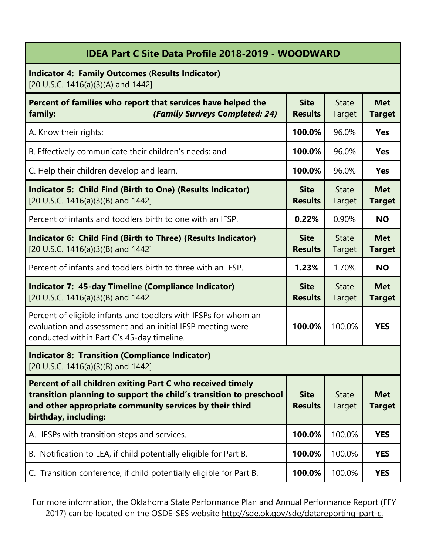|  | IDEA Part C Site Data Profile 2018-2019 - WOODWARD |  |
|--|----------------------------------------------------|--|
|  |                                                    |  |

**Indicator 4: Family Outcomes** (**Results Indicator)** [20 U.S.C. 1416(a)(3)(A) and 1442]

| Percent of families who report that services have helped the<br>(Family Surveys Completed: 24)<br>family:                                                                                                           | <b>Site</b><br><b>Results</b> | <b>State</b><br>Target        | <b>Met</b><br><b>Target</b> |
|---------------------------------------------------------------------------------------------------------------------------------------------------------------------------------------------------------------------|-------------------------------|-------------------------------|-----------------------------|
| A. Know their rights;                                                                                                                                                                                               | 100.0%                        | 96.0%                         | <b>Yes</b>                  |
| B. Effectively communicate their children's needs; and                                                                                                                                                              | 100.0%                        | 96.0%                         | <b>Yes</b>                  |
| C. Help their children develop and learn.                                                                                                                                                                           | 100.0%                        | 96.0%                         | <b>Yes</b>                  |
| Indicator 5: Child Find (Birth to One) (Results Indicator)<br>[20 U.S.C. 1416(a)(3)(B) and 1442]                                                                                                                    | <b>Site</b><br><b>Results</b> | <b>State</b><br><b>Target</b> | <b>Met</b><br><b>Target</b> |
| Percent of infants and toddlers birth to one with an IFSP.                                                                                                                                                          | 0.22%                         | 0.90%                         | <b>NO</b>                   |
| Indicator 6: Child Find (Birth to Three) (Results Indicator)<br>[20 U.S.C. 1416(a)(3)(B) and 1442]                                                                                                                  | <b>Site</b><br><b>Results</b> | <b>State</b><br><b>Target</b> | <b>Met</b><br><b>Target</b> |
| Percent of infants and toddlers birth to three with an IFSP.                                                                                                                                                        | 1.23%                         | 1.70%                         | <b>NO</b>                   |
| <b>Indicator 7: 45-day Timeline (Compliance Indicator)</b><br>[20 U.S.C. 1416(a)(3)(B) and 1442                                                                                                                     | <b>Site</b><br><b>Results</b> | <b>State</b><br><b>Target</b> | <b>Met</b><br><b>Target</b> |
| Percent of eligible infants and toddlers with IFSPs for whom an<br>evaluation and assessment and an initial IFSP meeting were<br>conducted within Part C's 45-day timeline.                                         | 100.0%                        | 100.0%                        | <b>YES</b>                  |
| <b>Indicator 8: Transition (Compliance Indicator)</b><br>[20 U.S.C. 1416(a)(3)(B) and 1442]                                                                                                                         |                               |                               |                             |
| Percent of all children exiting Part C who received timely<br>transition planning to support the child's transition to preschool<br>and other appropriate community services by their third<br>birthday, including: | <b>Site</b><br><b>Results</b> | <b>State</b><br><b>Target</b> | <b>Met</b><br>Target        |
| A. IFSPs with transition steps and services.                                                                                                                                                                        | 100.0%                        | 100.0%                        | <b>YES</b>                  |
| B. Notification to LEA, if child potentially eligible for Part B.                                                                                                                                                   | 100.0%                        | 100.0%                        | <b>YES</b>                  |
| C. Transition conference, if child potentially eligible for Part B.                                                                                                                                                 | 100.0%                        | 100.0%                        | <b>YES</b>                  |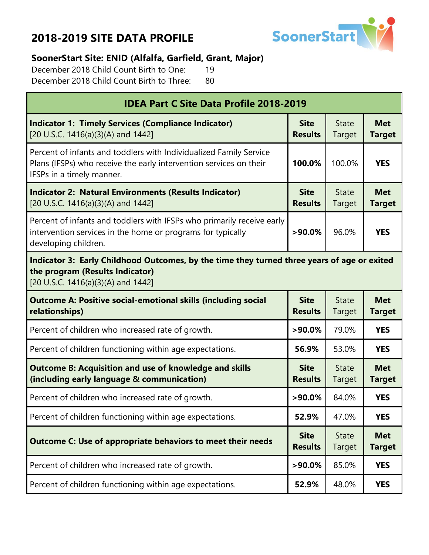

#### **SoonerStart Site: ENID (Alfalfa, Garfield, Grant, Major)**

December 2018 Child Count Birth to One: 19 December 2018 Child Count Birth to Three: 80

| <b>IDEA Part C Site Data Profile 2018-2019</b>                                                                                                                        |                               |                        |                             |  |  |
|-----------------------------------------------------------------------------------------------------------------------------------------------------------------------|-------------------------------|------------------------|-----------------------------|--|--|
| <b>Indicator 1: Timely Services (Compliance Indicator)</b><br>[20 U.S.C. 1416(a)(3)(A) and 1442]                                                                      | <b>Site</b><br><b>Results</b> | <b>State</b><br>Target | <b>Met</b><br><b>Target</b> |  |  |
| Percent of infants and toddlers with Individualized Family Service<br>Plans (IFSPs) who receive the early intervention services on their<br>IFSPs in a timely manner. | 100.0%                        | 100.0%                 | <b>YES</b>                  |  |  |
| <b>Indicator 2: Natural Environments (Results Indicator)</b><br>[20 U.S.C. 1416(a)(3)(A) and 1442]                                                                    | <b>Site</b><br><b>Results</b> | <b>State</b><br>Target | <b>Met</b><br><b>Target</b> |  |  |
| Percent of infants and toddlers with IFSPs who primarily receive early<br>intervention services in the home or programs for typically<br>developing children.         | $>90.0\%$                     | 96.0%                  | <b>YES</b>                  |  |  |
| Indicator 3: Early Childhood Outcomes, by the time they turned three years of age or exited<br>the program (Results Indicator)<br>[20 U.S.C. 1416(a)(3)(A) and 1442]  |                               |                        |                             |  |  |
| <b>Outcome A: Positive social-emotional skills (including social</b><br>relationships)                                                                                | <b>Site</b><br><b>Results</b> | <b>State</b><br>Target | <b>Met</b><br><b>Target</b> |  |  |
| Percent of children who increased rate of growth.                                                                                                                     | $>90.0\%$                     | 79.0%                  | <b>YES</b>                  |  |  |
| Percent of children functioning within age expectations.                                                                                                              | 56.9%                         | 53.0%                  | <b>YES</b>                  |  |  |
| <b>Outcome B: Acquisition and use of knowledge and skills</b><br>(including early language & communication)                                                           | <b>Site</b><br><b>Results</b> | <b>State</b><br>Target | <b>Met</b><br><b>Target</b> |  |  |
| Percent of children who increased rate of growth.                                                                                                                     | $>90.0\%$                     | 84.0%                  | <b>YES</b>                  |  |  |
| Percent of children functioning within age expectations.                                                                                                              | 52.9%                         | 47.0%                  | <b>YES</b>                  |  |  |
| <b>Outcome C: Use of appropriate behaviors to meet their needs</b>                                                                                                    | <b>Site</b><br><b>Results</b> | <b>State</b><br>Target | <b>Met</b><br><b>Target</b> |  |  |
| Percent of children who increased rate of growth.                                                                                                                     | $>90.0\%$                     | 85.0%                  | <b>YES</b>                  |  |  |
| Percent of children functioning within age expectations.                                                                                                              | 52.9%                         | 48.0%                  | <b>YES</b>                  |  |  |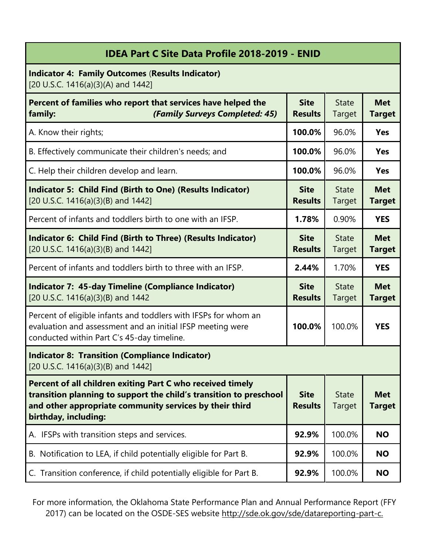| <b>IDEA Part C Site Data Profile 2018-2019 - ENID</b>                                                                                                                                                               |                               |                        |                             |  |
|---------------------------------------------------------------------------------------------------------------------------------------------------------------------------------------------------------------------|-------------------------------|------------------------|-----------------------------|--|
| <b>Indicator 4: Family Outcomes (Results Indicator)</b><br>[20 U.S.C. 1416(a)(3)(A) and 1442]                                                                                                                       |                               |                        |                             |  |
| Percent of families who report that services have helped the<br>(Family Surveys Completed: 45)<br>family:                                                                                                           | <b>Site</b><br><b>Results</b> | <b>State</b><br>Target | <b>Met</b><br><b>Target</b> |  |
| A. Know their rights;                                                                                                                                                                                               | 100.0%                        | 96.0%                  | <b>Yes</b>                  |  |
| B. Effectively communicate their children's needs; and                                                                                                                                                              | 100.0%                        | 96.0%                  | <b>Yes</b>                  |  |
| C. Help their children develop and learn.                                                                                                                                                                           | 100.0%                        | 96.0%                  | <b>Yes</b>                  |  |
| <b>Indicator 5: Child Find (Birth to One) (Results Indicator)</b><br>[20 U.S.C. 1416(a)(3)(B) and 1442]                                                                                                             | <b>Site</b><br><b>Results</b> | <b>State</b><br>Target | <b>Met</b><br><b>Target</b> |  |
| Percent of infants and toddlers birth to one with an IFSP.                                                                                                                                                          | 1.78%                         | 0.90%                  | <b>YES</b>                  |  |
| Indicator 6: Child Find (Birth to Three) (Results Indicator)<br>[20 U.S.C. 1416(a)(3)(B) and 1442]                                                                                                                  | <b>Site</b><br><b>Results</b> | <b>State</b><br>Target | <b>Met</b><br><b>Target</b> |  |
| Percent of infants and toddlers birth to three with an IFSP.                                                                                                                                                        | 2.44%                         | 1.70%                  | <b>YES</b>                  |  |
| <b>Indicator 7: 45-day Timeline (Compliance Indicator)</b><br>[20 U.S.C. 1416(a)(3)(B) and 1442                                                                                                                     | <b>Site</b><br><b>Results</b> | <b>State</b><br>Target | <b>Met</b><br><b>Target</b> |  |
| Percent of eligible infants and toddlers with IFSPs for whom an<br>evaluation and assessment and an initial IFSP meeting were<br>conducted within Part C's 45-day timeline.                                         | 100.0%                        | 100.0%                 | <b>YES</b>                  |  |
| <b>Indicator 8: Transition (Compliance Indicator)</b><br>[20 U.S.C. 1416(a)(3)(B) and 1442]                                                                                                                         |                               |                        |                             |  |
| Percent of all children exiting Part C who received timely<br>transition planning to support the child's transition to preschool<br>and other appropriate community services by their third<br>birthday, including: | <b>Site</b><br><b>Results</b> | <b>State</b><br>Target | <b>Met</b><br><b>Target</b> |  |
| A. IFSPs with transition steps and services.                                                                                                                                                                        | 92.9%                         | 100.0%                 | <b>NO</b>                   |  |
| B. Notification to LEA, if child potentially eligible for Part B.                                                                                                                                                   | 92.9%                         | 100.0%                 | <b>NO</b>                   |  |
| C. Transition conference, if child potentially eligible for Part B.                                                                                                                                                 | 92.9%                         | 100.0%                 | <b>NO</b>                   |  |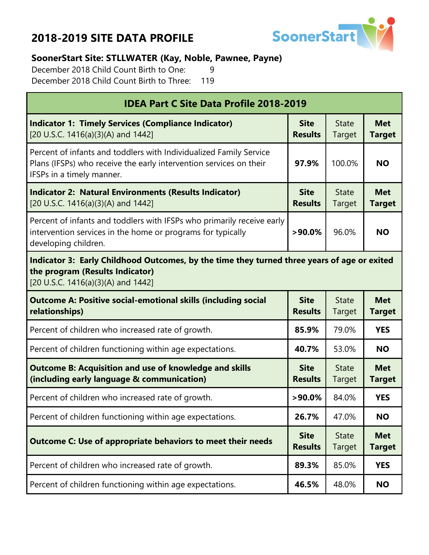

#### **SoonerStart Site: STLLWATER (Kay, Noble, Pawnee, Payne)**

December 2018 Child Count Birth to One: 9 December 2018 Child Count Birth to Three: 119

| <b>IDEA Part C Site Data Profile 2018-2019</b>                                                                                                                        |                                                                                             |                        |                             |  |  |
|-----------------------------------------------------------------------------------------------------------------------------------------------------------------------|---------------------------------------------------------------------------------------------|------------------------|-----------------------------|--|--|
| <b>Indicator 1: Timely Services (Compliance Indicator)</b><br>[20 U.S.C. 1416(a)(3)(A) and 1442]                                                                      | <b>Site</b><br><b>Results</b>                                                               | <b>State</b><br>Target | <b>Met</b><br><b>Target</b> |  |  |
| Percent of infants and toddlers with Individualized Family Service<br>Plans (IFSPs) who receive the early intervention services on their<br>IFSPs in a timely manner. | 97.9%                                                                                       | 100.0%                 | <b>NO</b>                   |  |  |
| <b>Indicator 2: Natural Environments (Results Indicator)</b><br>[20 U.S.C. 1416(a)(3)(A) and 1442]                                                                    | <b>Site</b><br><b>Results</b>                                                               | <b>State</b><br>Target | <b>Met</b><br><b>Target</b> |  |  |
| Percent of infants and toddlers with IFSPs who primarily receive early<br>intervention services in the home or programs for typically<br>developing children.         | $>90.0\%$                                                                                   | 96.0%                  | <b>NO</b>                   |  |  |
| the program (Results Indicator)<br>[20 U.S.C. 1416(a)(3)(A) and 1442]                                                                                                 | Indicator 3: Early Childhood Outcomes, by the time they turned three years of age or exited |                        |                             |  |  |
| <b>Outcome A: Positive social-emotional skills (including social</b><br>relationships)                                                                                | <b>Site</b><br><b>Results</b>                                                               | <b>State</b><br>Target | <b>Met</b><br><b>Target</b> |  |  |
| Percent of children who increased rate of growth.                                                                                                                     | 85.9%                                                                                       | 79.0%                  | <b>YES</b>                  |  |  |
| Percent of children functioning within age expectations.                                                                                                              | 40.7%                                                                                       | 53.0%                  | <b>NO</b>                   |  |  |
| <b>Outcome B: Acquisition and use of knowledge and skills</b><br>(including early language & communication)                                                           | <b>Site</b><br><b>Results</b>                                                               | <b>State</b><br>Target | <b>Met</b><br><b>Target</b> |  |  |
| Percent of children who increased rate of growth.                                                                                                                     | $>90.0\%$                                                                                   | 84.0%                  | <b>YES</b>                  |  |  |
| Percent of children functioning within age expectations.                                                                                                              | 26.7%                                                                                       | 47.0%                  | <b>NO</b>                   |  |  |
| <b>Outcome C: Use of appropriate behaviors to meet their needs</b>                                                                                                    | <b>Site</b><br><b>Results</b>                                                               | <b>State</b><br>Target | <b>Met</b><br><b>Target</b> |  |  |
| Percent of children who increased rate of growth.                                                                                                                     | 89.3%                                                                                       | 85.0%                  | <b>YES</b>                  |  |  |
| Percent of children functioning within age expectations.                                                                                                              | 46.5%                                                                                       | 48.0%                  | <b>NO</b>                   |  |  |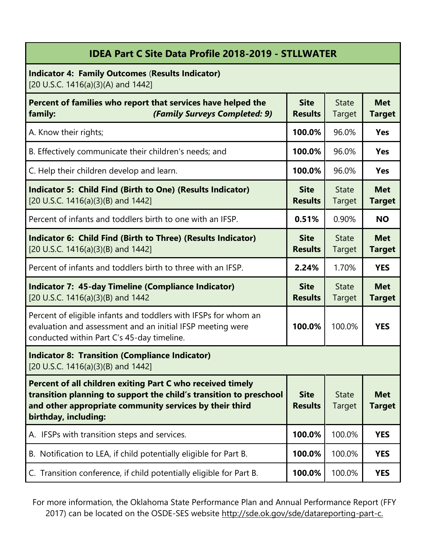| <b>IDEA Part C Site Data Profile 2018-2019 - STLLWATER</b> |  |  |
|------------------------------------------------------------|--|--|
|                                                            |  |  |

**Indicator 4: Family Outcomes** (**Results Indicator)** [20 U.S.C. 1416(a)(3)(A) and 1442]

| Percent of families who report that services have helped the<br>(Family Surveys Completed: 9)<br>family:                                                                                                            | <b>Site</b><br><b>Results</b> | <b>State</b><br>Target        | <b>Met</b><br><b>Target</b> |
|---------------------------------------------------------------------------------------------------------------------------------------------------------------------------------------------------------------------|-------------------------------|-------------------------------|-----------------------------|
| A. Know their rights;                                                                                                                                                                                               | 100.0%                        | 96.0%                         | <b>Yes</b>                  |
| B. Effectively communicate their children's needs; and                                                                                                                                                              | 100.0%                        | 96.0%                         | <b>Yes</b>                  |
| C. Help their children develop and learn.                                                                                                                                                                           | 100.0%                        | 96.0%                         | <b>Yes</b>                  |
| <b>Indicator 5: Child Find (Birth to One) (Results Indicator)</b><br>[20 U.S.C. 1416(a)(3)(B) and 1442]                                                                                                             | <b>Site</b><br><b>Results</b> | <b>State</b><br>Target        | <b>Met</b><br><b>Target</b> |
| Percent of infants and toddlers birth to one with an IFSP.                                                                                                                                                          | 0.51%                         | 0.90%                         | <b>NO</b>                   |
| Indicator 6: Child Find (Birth to Three) (Results Indicator)<br>[20 U.S.C. 1416(a)(3)(B) and 1442]                                                                                                                  | <b>Site</b><br><b>Results</b> | <b>State</b><br><b>Target</b> | <b>Met</b><br><b>Target</b> |
| Percent of infants and toddlers birth to three with an IFSP.                                                                                                                                                        | 2.24%                         | 1.70%                         | <b>YES</b>                  |
| <b>Indicator 7: 45-day Timeline (Compliance Indicator)</b><br>[20 U.S.C. 1416(a)(3)(B) and 1442                                                                                                                     | <b>Site</b><br><b>Results</b> | <b>State</b><br>Target        | <b>Met</b><br><b>Target</b> |
| Percent of eligible infants and toddlers with IFSPs for whom an<br>evaluation and assessment and an initial IFSP meeting were<br>conducted within Part C's 45-day timeline.                                         | 100.0%                        | 100.0%                        | <b>YES</b>                  |
| <b>Indicator 8: Transition (Compliance Indicator)</b><br>[20 U.S.C. 1416(a)(3)(B) and 1442]                                                                                                                         |                               |                               |                             |
| Percent of all children exiting Part C who received timely<br>transition planning to support the child's transition to preschool<br>and other appropriate community services by their third<br>birthday, including: | <b>Site</b><br><b>Results</b> | <b>State</b><br>Target        | <b>Met</b><br>Target        |
| A. IFSPs with transition steps and services.                                                                                                                                                                        | 100.0%                        | 100.0%                        | <b>YES</b>                  |
| B. Notification to LEA, if child potentially eligible for Part B.                                                                                                                                                   | 100.0%                        | 100.0%                        | <b>YES</b>                  |
| C. Transition conference, if child potentially eligible for Part B.                                                                                                                                                 | 100.0%                        | 100.0%                        | <b>YES</b>                  |